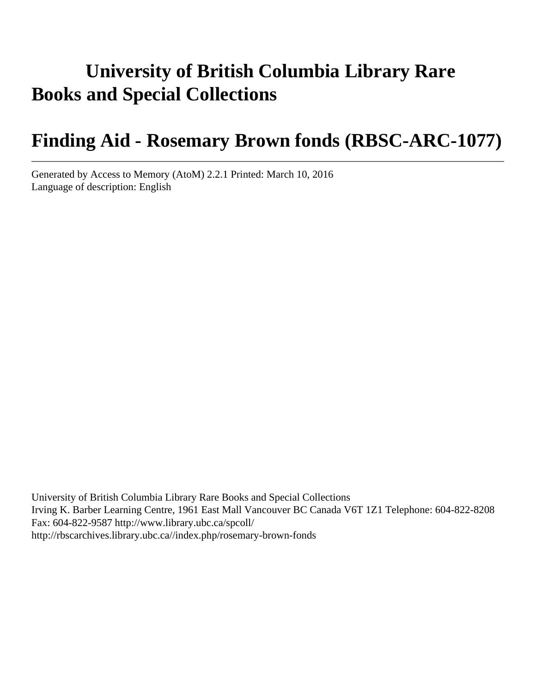# **University of British Columbia Library Rare Books and Special Collections**

# **Finding Aid - Rosemary Brown fonds (RBSC-ARC-1077)**

Generated by Access to Memory (AtoM) 2.2.1 Printed: March 10, 2016 Language of description: English

University of British Columbia Library Rare Books and Special Collections Irving K. Barber Learning Centre, 1961 East Mall Vancouver BC Canada V6T 1Z1 Telephone: 604-822-8208 Fax: 604-822-9587 http://www.library.ubc.ca/spcoll/ http://rbscarchives.library.ubc.ca//index.php/rosemary-brown-fonds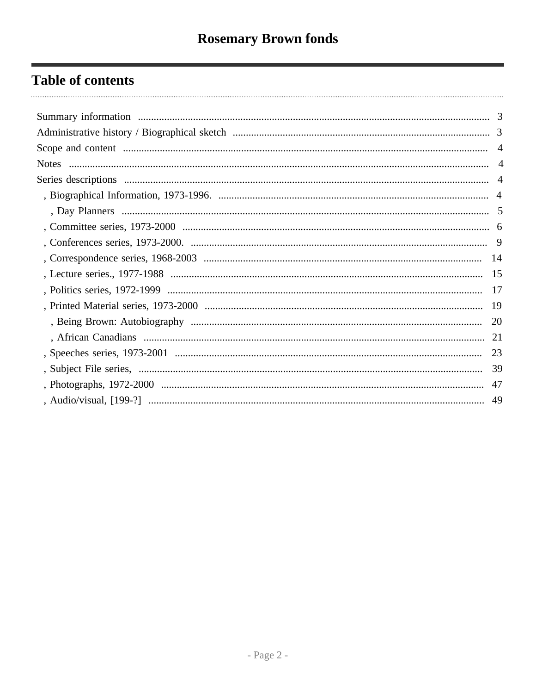# **Table of contents**

| -19 |
|-----|
| 20  |
|     |
|     |
|     |
| 47  |
| 49  |
|     |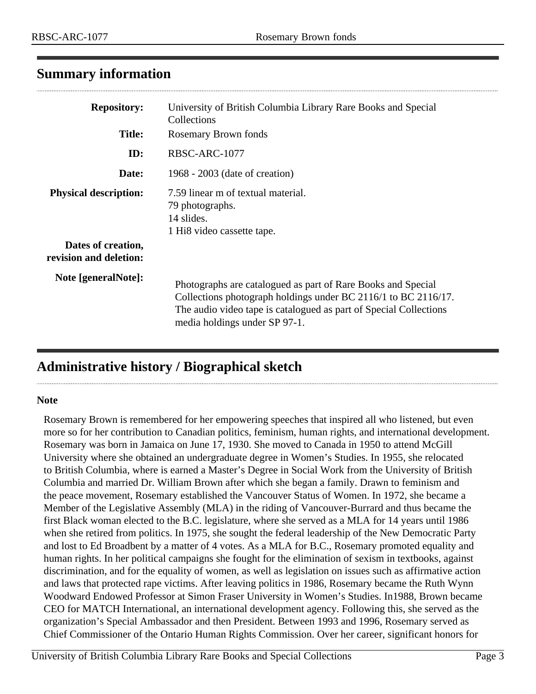### <span id="page-2-0"></span>**Summary information**

| <b>Repository:</b><br><b>Title:</b>                                          | University of British Columbia Library Rare Books and Special<br>Collections<br><b>Rosemary Brown fonds</b>                                                                                                                          |
|------------------------------------------------------------------------------|--------------------------------------------------------------------------------------------------------------------------------------------------------------------------------------------------------------------------------------|
| ID:                                                                          | RBSC-ARC-1077                                                                                                                                                                                                                        |
| Date:                                                                        | 1968 - 2003 (date of creation)                                                                                                                                                                                                       |
| <b>Physical description:</b><br>Dates of creation,<br>revision and deletion: | 7.59 linear m of textual material.<br>79 photographs.<br>14 slides.<br>1 Hi <sub>8</sub> video cassette tape.                                                                                                                        |
| Note [generalNote]:                                                          | Photographs are catalogued as part of Rare Books and Special<br>Collections photograph holdings under BC 2116/1 to BC 2116/17.<br>The audio video tape is catalogued as part of Special Collections<br>media holdings under SP 97-1. |

## <span id="page-2-1"></span>**Administrative history / Biographical sketch**

#### **Note**

 $\cdots$ 

Rosemary Brown is remembered for her empowering speeches that inspired all who listened, but even more so for her contribution to Canadian politics, feminism, human rights, and international development. Rosemary was born in Jamaica on June 17, 1930. She moved to Canada in 1950 to attend McGill University where she obtained an undergraduate degree in Women's Studies. In 1955, she relocated to British Columbia, where is earned a Master's Degree in Social Work from the University of British Columbia and married Dr. William Brown after which she began a family. Drawn to feminism and the peace movement, Rosemary established the Vancouver Status of Women. In 1972, she became a Member of the Legislative Assembly (MLA) in the riding of Vancouver-Burrard and thus became the first Black woman elected to the B.C. legislature, where she served as a MLA for 14 years until 1986 when she retired from politics. In 1975, she sought the federal leadership of the New Democratic Party and lost to Ed Broadbent by a matter of 4 votes. As a MLA for B.C., Rosemary promoted equality and human rights. In her political campaigns she fought for the elimination of sexism in textbooks, against discrimination, and for the equality of women, as well as legislation on issues such as affirmative action and laws that protected rape victims. After leaving politics in 1986, Rosemary became the Ruth Wynn Woodward Endowed Professor at Simon Fraser University in Women's Studies. In1988, Brown became CEO for MATCH International, an international development agency. Following this, she served as the organization's Special Ambassador and then President. Between 1993 and 1996, Rosemary served as Chief Commissioner of the Ontario Human Rights Commission. Over her career, significant honors for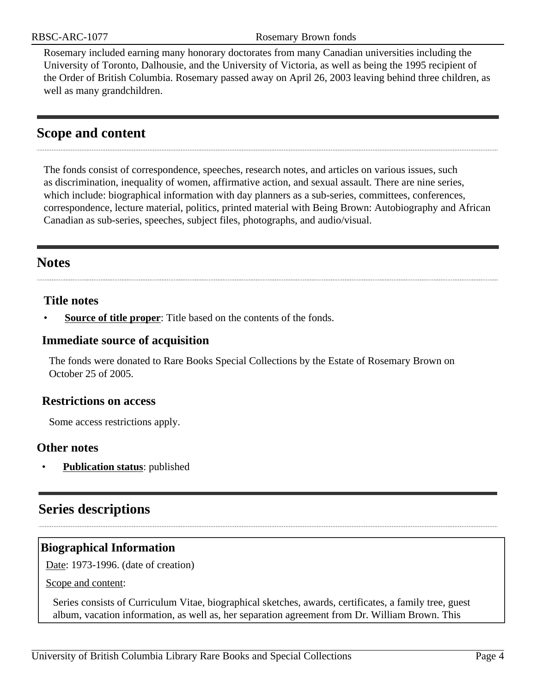Rosemary included earning many honorary doctorates from many Canadian universities including the University of Toronto, Dalhousie, and the University of Victoria, as well as being the 1995 recipient of the Order of British Columbia. Rosemary passed away on April 26, 2003 leaving behind three children, as well as many grandchildren.

### <span id="page-3-0"></span>**Scope and content**

The fonds consist of correspondence, speeches, research notes, and articles on various issues, such as discrimination, inequality of women, affirmative action, and sexual assault. There are nine series, which include: biographical information with day planners as a sub-series, committees, conferences, correspondence, lecture material, politics, printed material with Being Brown: Autobiography and African Canadian as sub-series, speeches, subject files, photographs, and audio/visual.

#### <span id="page-3-1"></span>**Notes**

#### **Title notes**

**Source of title proper**: Title based on the contents of the fonds.

#### **Immediate source of acquisition**

The fonds were donated to Rare Books Special Collections by the Estate of Rosemary Brown on October 25 of 2005.

#### **Restrictions on access**

Some access restrictions apply.

#### **Other notes**

**Publication status:** published

### <span id="page-3-2"></span>**Series descriptions**

#### <span id="page-3-3"></span>**Biographical Information**

Date: 1973-1996. (date of creation)

Scope and content:

Series consists of Curriculum Vitae, biographical sketches, awards, certificates, a family tree, guest album, vacation information, as well as, her separation agreement from Dr. William Brown. This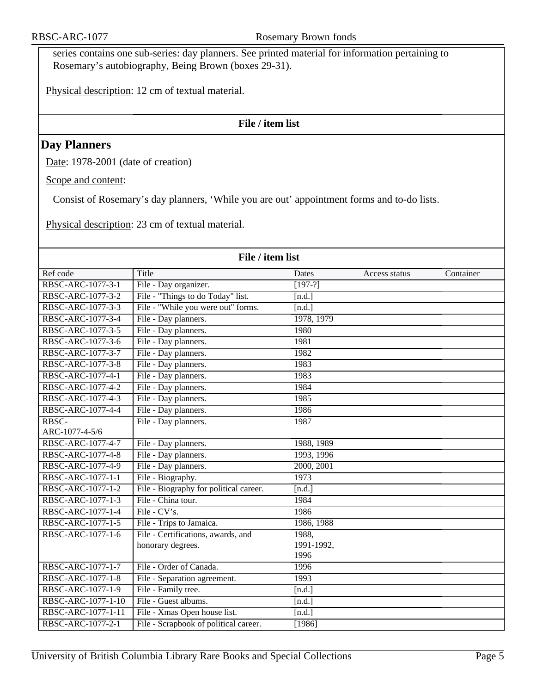series contains one sub-series: day planners. See printed material for information pertaining to Rosemary's autobiography, Being Brown (boxes 29-31).

Physical description: 12 cm of textual material.

#### **File / item list**

#### <span id="page-4-0"></span>**Day Planners**

Date: 1978-2001 (date of creation)

Scope and content:

Consist of Rosemary's day planners, 'While you are out' appointment forms and to-do lists.

Physical description: 23 cm of textual material.

| File / item list   |                                        |            |               |           |
|--------------------|----------------------------------------|------------|---------------|-----------|
| Ref code           | Title                                  | Dates      | Access status | Container |
| RBSC-ARC-1077-3-1  | File - Day organizer.                  | $[197-?]$  |               |           |
| RBSC-ARC-1077-3-2  | File - "Things to do Today" list.      | [n.d.]     |               |           |
| RBSC-ARC-1077-3-3  | File - "While you were out" forms.     | [n.d.]     |               |           |
| RBSC-ARC-1077-3-4  | File - Day planners.                   | 1978, 1979 |               |           |
| RBSC-ARC-1077-3-5  | File - Day planners.                   | 1980       |               |           |
| RBSC-ARC-1077-3-6  | File - Day planners.                   | 1981       |               |           |
| RBSC-ARC-1077-3-7  | File - Day planners.                   | 1982       |               |           |
| RBSC-ARC-1077-3-8  | File - Day planners.                   | 1983       |               |           |
| RBSC-ARC-1077-4-1  | File - Day planners.                   | 1983       |               |           |
| RBSC-ARC-1077-4-2  | File - Day planners.                   | 1984       |               |           |
| RBSC-ARC-1077-4-3  | File - Day planners.                   | 1985       |               |           |
| RBSC-ARC-1077-4-4  | File - Day planners.                   | 1986       |               |           |
| RBSC-              | File - Day planners.                   | 1987       |               |           |
| ARC-1077-4-5/6     |                                        |            |               |           |
| RBSC-ARC-1077-4-7  | File - Day planners.                   | 1988, 1989 |               |           |
| RBSC-ARC-1077-4-8  | File - Day planners.                   | 1993, 1996 |               |           |
| RBSC-ARC-1077-4-9  | File - Day planners.                   | 2000, 2001 |               |           |
| RBSC-ARC-1077-1-1  | File - Biography.                      | 1973       |               |           |
| RBSC-ARC-1077-1-2  | File - Biography for political career. | [n.d.]     |               |           |
| RBSC-ARC-1077-1-3  | File - China tour.                     | 1984       |               |           |
| RBSC-ARC-1077-1-4  | File - $CV's.$                         | 1986       |               |           |
| RBSC-ARC-1077-1-5  | File - Trips to Jamaica.               | 1986, 1988 |               |           |
| RBSC-ARC-1077-1-6  | File - Certifications, awards, and     | 1988,      |               |           |
|                    | honorary degrees.                      | 1991-1992, |               |           |
|                    |                                        | 1996       |               |           |
| RBSC-ARC-1077-1-7  | File - Order of Canada.                | 1996       |               |           |
| RBSC-ARC-1077-1-8  | File - Separation agreement.           | 1993       |               |           |
| RBSC-ARC-1077-1-9  | File - Family tree.                    | [n.d.]     |               |           |
| RBSC-ARC-1077-1-10 | File - Guest albums.                   | [n.d.]     |               |           |
| RBSC-ARC-1077-1-11 | File - Xmas Open house list.           | [n.d.]     |               |           |
| RBSC-ARC-1077-2-1  | File - Scrapbook of political career.  | [1986]     |               |           |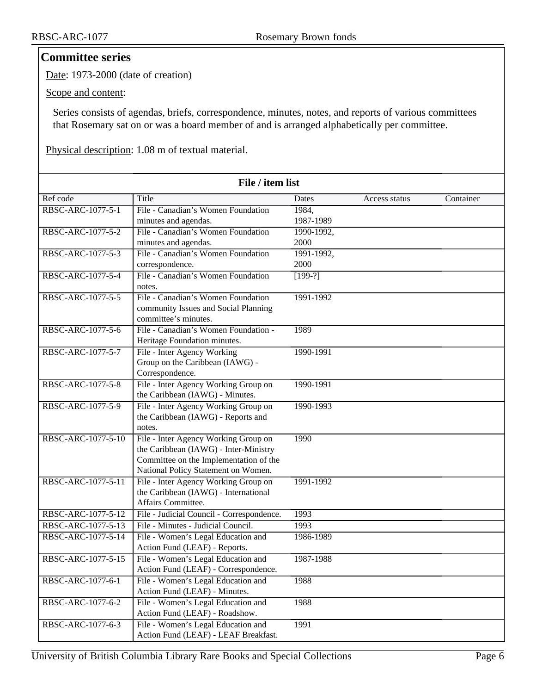#### <span id="page-5-0"></span>**Committee series**

Date: 1973-2000 (date of creation)

Scope and content:

Series consists of agendas, briefs, correspondence, minutes, notes, and reports of various committees that Rosemary sat on or was a board member of and is arranged alphabetically per committee.

Physical description: 1.08 m of textual material.

| File / item list   |                                                                                                                                                                |            |               |           |
|--------------------|----------------------------------------------------------------------------------------------------------------------------------------------------------------|------------|---------------|-----------|
| Ref code           | Title                                                                                                                                                          | Dates      | Access status | Container |
| RBSC-ARC-1077-5-1  | File - Canadian's Women Foundation                                                                                                                             | 1984,      |               |           |
|                    | minutes and agendas.                                                                                                                                           | 1987-1989  |               |           |
| RBSC-ARC-1077-5-2  | File - Canadian's Women Foundation                                                                                                                             | 1990-1992, |               |           |
|                    | minutes and agendas.                                                                                                                                           | 2000       |               |           |
| RBSC-ARC-1077-5-3  | File - Canadian's Women Foundation                                                                                                                             | 1991-1992, |               |           |
|                    | correspondence.                                                                                                                                                | 2000       |               |           |
| RBSC-ARC-1077-5-4  | File - Canadian's Women Foundation<br>notes.                                                                                                                   | $[199-?]$  |               |           |
| RBSC-ARC-1077-5-5  | File - Canadian's Women Foundation<br>community Issues and Social Planning<br>committee's minutes.                                                             | 1991-1992  |               |           |
| RBSC-ARC-1077-5-6  | File - Canadian's Women Foundation -<br>Heritage Foundation minutes.                                                                                           | 1989       |               |           |
| RBSC-ARC-1077-5-7  | File - Inter Agency Working<br>Group on the Caribbean (IAWG) -<br>Correspondence.                                                                              | 1990-1991  |               |           |
| RBSC-ARC-1077-5-8  | File - Inter Agency Working Group on<br>the Caribbean (IAWG) - Minutes.                                                                                        | 1990-1991  |               |           |
| RBSC-ARC-1077-5-9  | File - Inter Agency Working Group on<br>the Caribbean (IAWG) - Reports and<br>notes.                                                                           | 1990-1993  |               |           |
| RBSC-ARC-1077-5-10 | File - Inter Agency Working Group on<br>the Caribbean (IAWG) - Inter-Ministry<br>Committee on the Implementation of the<br>National Policy Statement on Women. | 1990       |               |           |
| RBSC-ARC-1077-5-11 | File - Inter Agency Working Group on<br>the Caribbean (IAWG) - International<br>Affairs Committee.                                                             | 1991-1992  |               |           |
| RBSC-ARC-1077-5-12 | File - Judicial Council - Correspondence.                                                                                                                      | 1993       |               |           |
| RBSC-ARC-1077-5-13 | File - Minutes - Judicial Council.                                                                                                                             | 1993       |               |           |
| RBSC-ARC-1077-5-14 | File - Women's Legal Education and<br>Action Fund (LEAF) - Reports.                                                                                            | 1986-1989  |               |           |
| RBSC-ARC-1077-5-15 | File - Women's Legal Education and<br>Action Fund (LEAF) - Correspondence.                                                                                     | 1987-1988  |               |           |
| RBSC-ARC-1077-6-1  | File - Women's Legal Education and<br>Action Fund (LEAF) - Minutes.                                                                                            | 1988       |               |           |
| RBSC-ARC-1077-6-2  | File - Women's Legal Education and<br>Action Fund (LEAF) - Roadshow.                                                                                           | 1988       |               |           |
| RBSC-ARC-1077-6-3  | File - Women's Legal Education and<br>Action Fund (LEAF) - LEAF Breakfast.                                                                                     | 1991       |               |           |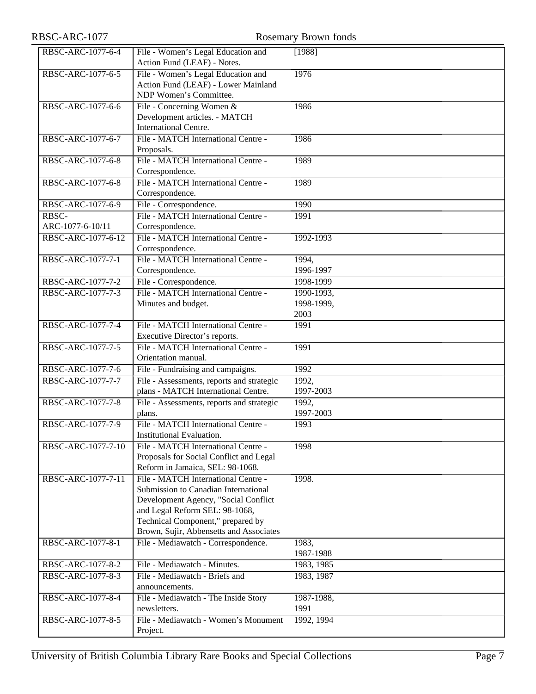# RBSC-ARC-1077 Rosemary Brown fonds

| RBSC-ARC-1077-6-4  | File - Women's Legal Education and        | [1988]     |
|--------------------|-------------------------------------------|------------|
|                    | Action Fund (LEAF) - Notes.               |            |
| RBSC-ARC-1077-6-5  | File - Women's Legal Education and        | 1976       |
|                    | Action Fund (LEAF) - Lower Mainland       |            |
|                    | NDP Women's Committee.                    |            |
| RBSC-ARC-1077-6-6  | File - Concerning Women &                 | 1986       |
|                    | Development articles. - MATCH             |            |
|                    | International Centre.                     |            |
| RBSC-ARC-1077-6-7  | File - MATCH International Centre -       | 1986       |
|                    | Proposals.                                |            |
| RBSC-ARC-1077-6-8  | File - MATCH International Centre -       | 1989       |
|                    | Correspondence.                           |            |
| RBSC-ARC-1077-6-8  | File - MATCH International Centre -       | 1989       |
|                    | Correspondence.                           |            |
| RBSC-ARC-1077-6-9  | File - Correspondence.                    | 1990       |
| RBSC-              | File - MATCH International Centre -       | 1991       |
| ARC-1077-6-10/11   | Correspondence.                           |            |
|                    |                                           |            |
| RBSC-ARC-1077-6-12 | File - MATCH International Centre -       | 1992-1993  |
|                    | Correspondence.                           |            |
| RBSC-ARC-1077-7-1  | File - MATCH International Centre -       | 1994,      |
|                    | Correspondence.                           | 1996-1997  |
| RBSC-ARC-1077-7-2  | File - Correspondence.                    | 1998-1999  |
| RBSC-ARC-1077-7-3  | File - MATCH International Centre -       | 1990-1993, |
|                    | Minutes and budget.                       | 1998-1999, |
|                    |                                           | 2003       |
| RBSC-ARC-1077-7-4  | File - MATCH International Centre -       | 1991       |
|                    | Executive Director's reports.             |            |
| RBSC-ARC-1077-7-5  | File - MATCH International Centre -       | 1991       |
|                    | Orientation manual.                       |            |
| RBSC-ARC-1077-7-6  | File - Fundraising and campaigns.         | 1992       |
| RBSC-ARC-1077-7-7  | File - Assessments, reports and strategic | 1992,      |
|                    | plans - MATCH International Centre.       | 1997-2003  |
| RBSC-ARC-1077-7-8  | File - Assessments, reports and strategic | 1992,      |
|                    | plans.                                    | 1997-2003  |
| RBSC-ARC-1077-7-9  | File - MATCH International Centre -       | 1993       |
|                    | Institutional Evaluation.                 |            |
| RBSC-ARC-1077-7-10 | File - MATCH International Centre -       | 1998       |
|                    | Proposals for Social Conflict and Legal   |            |
|                    | Reform in Jamaica, SEL: 98-1068.          |            |
|                    | File - MATCH International Centre -       |            |
| RBSC-ARC-1077-7-11 |                                           | 1998.      |
|                    | Submission to Canadian International      |            |
|                    | Development Agency, "Social Conflict      |            |
|                    | and Legal Reform SEL: 98-1068,            |            |
|                    | Technical Component," prepared by         |            |
|                    | Brown, Sujir, Abbensetts and Associates   |            |
| RBSC-ARC-1077-8-1  | File - Mediawatch - Correspondence.       | 1983,      |
|                    |                                           | 1987-1988  |
| RBSC-ARC-1077-8-2  | File - Mediawatch - Minutes.              | 1983, 1985 |
| RBSC-ARC-1077-8-3  | File - Mediawatch - Briefs and            | 1983, 1987 |
|                    | announcements.                            |            |
| RBSC-ARC-1077-8-4  | File - Mediawatch - The Inside Story      | 1987-1988, |
|                    | newsletters.                              | 1991       |
| RBSC-ARC-1077-8-5  | File - Mediawatch - Women's Monument      | 1992, 1994 |
|                    | Project.                                  |            |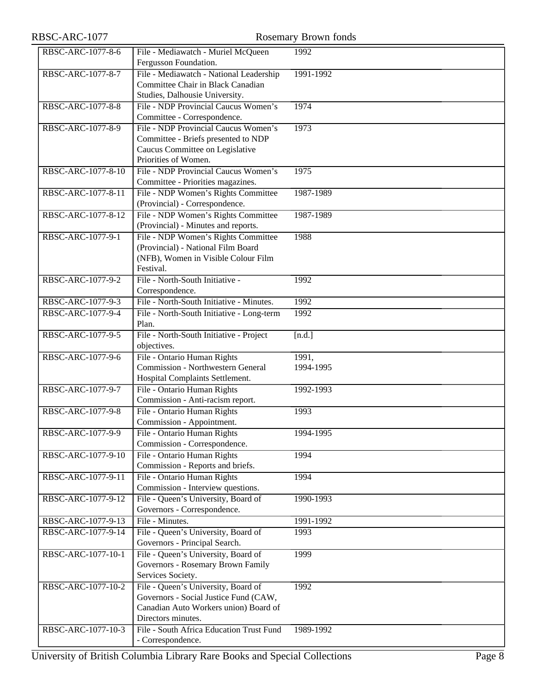# RBSC-ARC-1077 Rosemary Brown fonds

| RBSC-ARC-1077-8-6  | File - Mediawatch - Muriel McQueen                          | 1992      |
|--------------------|-------------------------------------------------------------|-----------|
|                    | Fergusson Foundation.                                       |           |
| RBSC-ARC-1077-8-7  | File - Mediawatch - National Leadership                     | 1991-1992 |
|                    | Committee Chair in Black Canadian                           |           |
|                    | Studies, Dalhousie University.                              |           |
| RBSC-ARC-1077-8-8  | File - NDP Provincial Caucus Women's                        | 1974      |
|                    | Committee - Correspondence.                                 |           |
| RBSC-ARC-1077-8-9  | File - NDP Provincial Caucus Women's                        | 1973      |
|                    | Committee - Briefs presented to NDP                         |           |
|                    | Caucus Committee on Legislative                             |           |
|                    | Priorities of Women.                                        |           |
| RBSC-ARC-1077-8-10 | File - NDP Provincial Caucus Women's                        | 1975      |
|                    | Committee - Priorities magazines.                           |           |
| RBSC-ARC-1077-8-11 | File - NDP Women's Rights Committee                         | 1987-1989 |
|                    | (Provincial) - Correspondence.                              |           |
| RBSC-ARC-1077-8-12 | File - NDP Women's Rights Committee                         | 1987-1989 |
|                    | (Provincial) - Minutes and reports.                         |           |
| RBSC-ARC-1077-9-1  | File - NDP Women's Rights Committee                         | 1988      |
|                    | (Provincial) - National Film Board                          |           |
|                    | (NFB), Women in Visible Colour Film<br>Festival.            |           |
| RBSC-ARC-1077-9-2  | File - North-South Initiative -                             | 1992      |
|                    | Correspondence.                                             |           |
| RBSC-ARC-1077-9-3  | File - North-South Initiative - Minutes.                    | 1992      |
| RBSC-ARC-1077-9-4  | File - North-South Initiative - Long-term                   | 1992      |
|                    | Plan.                                                       |           |
| RBSC-ARC-1077-9-5  | File - North-South Initiative - Project                     | [n.d.]    |
|                    | objectives.                                                 |           |
| RBSC-ARC-1077-9-6  | File - Ontario Human Rights                                 | 1991,     |
|                    | <b>Commission - Northwestern General</b>                    | 1994-1995 |
|                    | Hospital Complaints Settlement.                             |           |
| RBSC-ARC-1077-9-7  | File - Ontario Human Rights                                 | 1992-1993 |
|                    | Commission - Anti-racism report.                            |           |
| RBSC-ARC-1077-9-8  | File - Ontario Human Rights                                 | 1993      |
|                    | Commission - Appointment.                                   |           |
| RBSC-ARC-1077-9-9  | File - Ontario Human Rights                                 | 1994-1995 |
|                    | Commission - Correspondence.                                |           |
| RBSC-ARC-1077-9-10 | File - Ontario Human Rights                                 | 1994      |
|                    | Commission - Reports and briefs.                            |           |
| RBSC-ARC-1077-9-11 | File - Ontario Human Rights                                 | 1994      |
|                    | Commission - Interview questions.                           |           |
| RBSC-ARC-1077-9-12 | File - Queen's University, Board of                         | 1990-1993 |
|                    | Governors - Correspondence.                                 |           |
| RBSC-ARC-1077-9-13 | File - Minutes.                                             | 1991-1992 |
| RBSC-ARC-1077-9-14 | File - Queen's University, Board of                         | 1993      |
|                    | Governors - Principal Search.                               |           |
| RBSC-ARC-1077-10-1 | File - Queen's University, Board of                         | 1999      |
|                    | Governors - Rosemary Brown Family                           |           |
|                    | Services Society.                                           |           |
| RBSC-ARC-1077-10-2 | File - Queen's University, Board of                         | 1992      |
|                    | Governors - Social Justice Fund (CAW,                       |           |
|                    | Canadian Auto Workers union) Board of<br>Directors minutes. |           |
| RBSC-ARC-1077-10-3 | File - South Africa Education Trust Fund                    | 1989-1992 |
|                    | - Correspondence.                                           |           |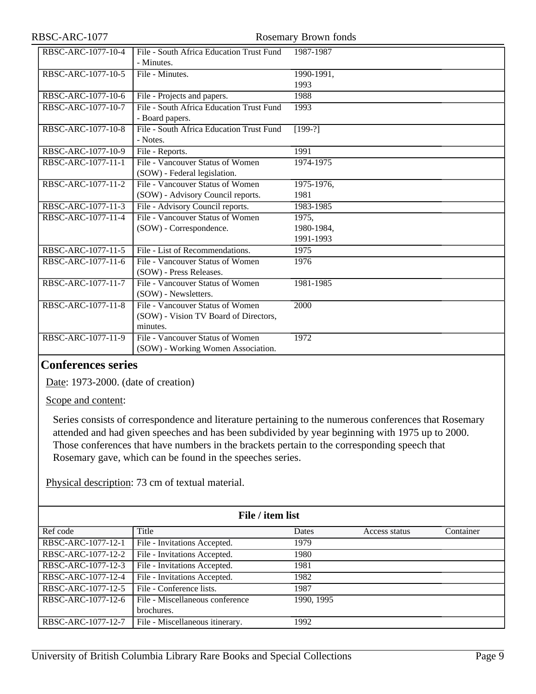| RBSC-ARC-1077-10-4 | File - South Africa Education Trust Fund | 1987-1987  |
|--------------------|------------------------------------------|------------|
|                    | - Minutes.                               |            |
| RBSC-ARC-1077-10-5 | File - Minutes.                          | 1990-1991, |
|                    |                                          | 1993       |
|                    |                                          |            |
| RBSC-ARC-1077-10-6 | File - Projects and papers.              | 1988       |
| RBSC-ARC-1077-10-7 | File - South Africa Education Trust Fund | 1993       |
|                    | - Board papers.                          |            |
| RBSC-ARC-1077-10-8 | File - South Africa Education Trust Fund | $[199-?]$  |
|                    | - Notes.                                 |            |
| RBSC-ARC-1077-10-9 | File - Reports.                          | 1991       |
| RBSC-ARC-1077-11-1 | File - Vancouver Status of Women         | 1974-1975  |
|                    | (SOW) - Federal legislation.             |            |
| RBSC-ARC-1077-11-2 | File - Vancouver Status of Women         | 1975-1976, |
|                    | (SOW) - Advisory Council reports.        | 1981       |
| RBSC-ARC-1077-11-3 | File - Advisory Council reports.         | 1983-1985  |
| RBSC-ARC-1077-11-4 | File - Vancouver Status of Women         | 1975,      |
|                    | (SOW) - Correspondence.                  | 1980-1984, |
|                    |                                          | 1991-1993  |
| RBSC-ARC-1077-11-5 | File - List of Recommendations.          | 1975       |
| RBSC-ARC-1077-11-6 | File - Vancouver Status of Women         | 1976       |
|                    | (SOW) - Press Releases.                  |            |
| RBSC-ARC-1077-11-7 | File - Vancouver Status of Women         | 1981-1985  |
|                    | (SOW) - Newsletters.                     |            |
| RBSC-ARC-1077-11-8 | File - Vancouver Status of Women         | 2000       |
|                    | (SOW) - Vision TV Board of Directors,    |            |
|                    | minutes.                                 |            |
| RBSC-ARC-1077-11-9 | File - Vancouver Status of Women         | 1972       |
|                    | (SOW) - Working Women Association.       |            |

#### <span id="page-8-0"></span>**Conferences series**

Date: 1973-2000. (date of creation)

Scope and content:

Series consists of correspondence and literature pertaining to the numerous conferences that Rosemary attended and had given speeches and has been subdivided by year beginning with 1975 up to 2000. Those conferences that have numbers in the brackets pertain to the corresponding speech that Rosemary gave, which can be found in the speeches series.

Physical description: 73 cm of textual material.

| File / item list   |                                 |                          |               |           |
|--------------------|---------------------------------|--------------------------|---------------|-----------|
| Ref code           | Title                           | Dates                    | Access status | Container |
| RBSC-ARC-1077-12-1 | File - Invitations Accepted.    | 1979                     |               |           |
| RBSC-ARC-1077-12-2 | File - Invitations Accepted.    | 1980                     |               |           |
| RBSC-ARC-1077-12-3 | File - Invitations Accepted.    | 1981                     |               |           |
| RBSC-ARC-1077-12-4 | File - Invitations Accepted.    | 1982                     |               |           |
| RBSC-ARC-1077-12-5 | File - Conference lists.        | 1987                     |               |           |
| RBSC-ARC-1077-12-6 | File - Miscellaneous conference | $\overline{1990}$ , 1995 |               |           |
|                    | brochures.                      |                          |               |           |
| RBSC-ARC-1077-12-7 | File - Miscellaneous itinerary. | 1992                     |               |           |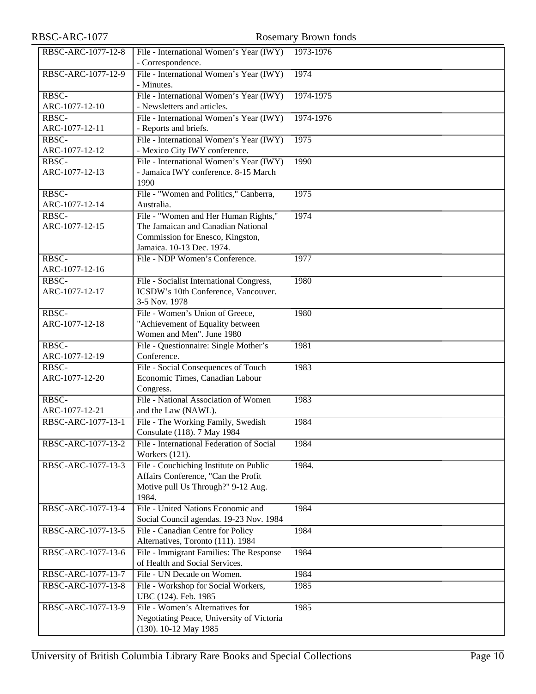| RBSC-ARC-1077           |                                                                                                                                             | <b>Rosemary Brown fonds</b> |
|-------------------------|---------------------------------------------------------------------------------------------------------------------------------------------|-----------------------------|
| RBSC-ARC-1077-12-8      | File - International Women's Year (IWY)<br>- Correspondence.                                                                                | 1973-1976                   |
| RBSC-ARC-1077-12-9      | File - International Women's Year (IWY)<br>- Minutes.                                                                                       | 1974                        |
| RBSC-<br>ARC-1077-12-10 | File - International Women's Year (IWY)<br>- Newsletters and articles.                                                                      | 1974-1975                   |
| RBSC-<br>ARC-1077-12-11 | File - International Women's Year (IWY)<br>- Reports and briefs.                                                                            | 1974-1976                   |
| RBSC-<br>ARC-1077-12-12 | File - International Women's Year (IWY)<br>- Mexico City IWY conference.                                                                    | 1975                        |
| RBSC-<br>ARC-1077-12-13 | File - International Women's Year (IWY)<br>- Jamaica IWY conference. 8-15 March<br>1990                                                     | 1990                        |
| RBSC-<br>ARC-1077-12-14 | File - "Women and Politics," Canberra,<br>Australia.                                                                                        | 1975                        |
| RBSC-<br>ARC-1077-12-15 | File - "Women and Her Human Rights,"<br>The Jamaican and Canadian National<br>Commission for Enesco, Kingston,<br>Jamaica. 10-13 Dec. 1974. | 1974                        |
| RBSC-<br>ARC-1077-12-16 | File - NDP Women's Conference.                                                                                                              | 1977                        |
| RBSC-<br>ARC-1077-12-17 | File - Socialist International Congress,<br>ICSDW's 10th Conference, Vancouver.<br>3-5 Nov. 1978                                            | 1980                        |
| RBSC-<br>ARC-1077-12-18 | File - Women's Union of Greece,<br>"Achievement of Equality between<br>Women and Men". June 1980                                            | 1980                        |
| RBSC-<br>ARC-1077-12-19 | File - Questionnaire: Single Mother's<br>Conference.                                                                                        | 1981                        |
| RBSC-<br>ARC-1077-12-20 | File - Social Consequences of Touch<br>Economic Times, Canadian Labour<br>Congress.                                                         | 1983                        |
| RBSC-<br>ARC-1077-12-21 | File - National Association of Women<br>and the Law (NAWL).                                                                                 | 1983                        |
| RBSC-ARC-1077-13-1      | File - The Working Family, Swedish<br>Consulate (118). 7 May 1984                                                                           | 1984                        |
| RBSC-ARC-1077-13-2      | File - International Federation of Social<br>Workers (121).                                                                                 | 1984                        |
| RBSC-ARC-1077-13-3      | File - Couchiching Institute on Public<br>Affairs Conference, "Can the Profit<br>Motive pull Us Through?" 9-12 Aug.<br>1984.                | 1984.                       |
| RBSC-ARC-1077-13-4      | File - United Nations Economic and<br>Social Council agendas. 19-23 Nov. 1984                                                               | 1984                        |
| RBSC-ARC-1077-13-5      | File - Canadian Centre for Policy<br>Alternatives, Toronto (111). 1984                                                                      | 1984                        |
| RBSC-ARC-1077-13-6      | File - Immigrant Families: The Response<br>of Health and Social Services.                                                                   | 1984                        |
| RBSC-ARC-1077-13-7      | File - UN Decade on Women.                                                                                                                  | 1984                        |
| RBSC-ARC-1077-13-8      | File - Workshop for Social Workers,<br>UBC (124). Feb. 1985                                                                                 | 1985                        |
| RBSC-ARC-1077-13-9      | File - Women's Alternatives for<br>Negotiating Peace, University of Victoria<br>(130). 10-12 May 1985                                       | 1985                        |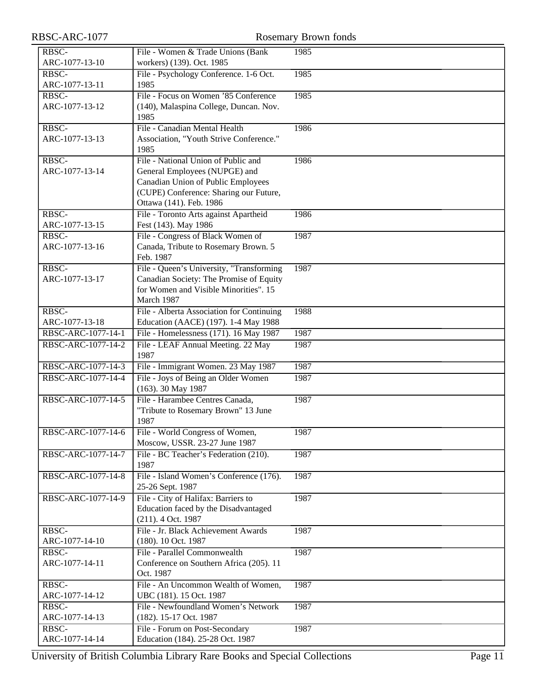| RBSC-ARC-1077           |                                                                                   | <b>Rosemary Brown fonds</b> |
|-------------------------|-----------------------------------------------------------------------------------|-----------------------------|
| RBSC-                   | File - Women & Trade Unions (Bank                                                 | 1985                        |
| ARC-1077-13-10          | workers) (139). Oct. 1985                                                         |                             |
| RBSC-                   | File - Psychology Conference. 1-6 Oct.                                            | 1985                        |
| ARC-1077-13-11          | 1985                                                                              |                             |
| RBSC-                   | File - Focus on Women '85 Conference                                              | 1985                        |
| ARC-1077-13-12          | (140), Malaspina College, Duncan. Nov.                                            |                             |
|                         | 1985                                                                              |                             |
| RBSC-                   | File - Canadian Mental Health                                                     | 1986                        |
| ARC-1077-13-13          | Association, "Youth Strive Conference."                                           |                             |
|                         | 1985                                                                              |                             |
| RBSC-                   | File - National Union of Public and                                               | 1986                        |
| ARC-1077-13-14          | General Employees (NUPGE) and                                                     |                             |
|                         | Canadian Union of Public Employees                                                |                             |
|                         | (CUPE) Conference: Sharing our Future,                                            |                             |
|                         | Ottawa (141). Feb. 1986                                                           |                             |
| RBSC-                   | File - Toronto Arts against Apartheid                                             | 1986                        |
| ARC-1077-13-15          | Fest (143). May 1986                                                              |                             |
| RBSC-                   | File - Congress of Black Women of                                                 | 1987                        |
| ARC-1077-13-16          | Canada, Tribute to Rosemary Brown. 5                                              |                             |
|                         | Feb. 1987                                                                         |                             |
| RBSC-                   | File - Queen's University, "Transforming                                          | 1987                        |
| ARC-1077-13-17          | Canadian Society: The Promise of Equity                                           |                             |
|                         | for Women and Visible Minorities". 15<br>March 1987                               |                             |
| RBSC-                   |                                                                                   |                             |
| ARC-1077-13-18          | File - Alberta Association for Continuing<br>Education (AACE) (197). 1-4 May 1988 | 1988                        |
| RBSC-ARC-1077-14-1      | File - Homelessness (171). 16 May 1987                                            | 1987                        |
| RBSC-ARC-1077-14-2      | File - LEAF Annual Meeting. 22 May                                                | 1987                        |
|                         | 1987                                                                              |                             |
| RBSC-ARC-1077-14-3      | File - Immigrant Women. 23 May 1987                                               | 1987                        |
| RBSC-ARC-1077-14-4      | File - Joys of Being an Older Women                                               | 1987                        |
|                         | (163). 30 May 1987                                                                |                             |
| RBSC-ARC-1077-14-5      | File - Harambee Centres Canada,                                                   | 1987                        |
|                         | "Tribute to Rosemary Brown" 13 June                                               |                             |
|                         | 1987                                                                              |                             |
| RBSC-ARC-1077-14-6      | File - World Congress of Women,                                                   | 1987                        |
|                         | Moscow, USSR. 23-27 June 1987                                                     |                             |
| RBSC-ARC-1077-14-7      | File - BC Teacher's Federation (210).                                             | 1987                        |
|                         | 1987                                                                              |                             |
| RBSC-ARC-1077-14-8      | File - Island Women's Conference (176).                                           | 1987                        |
|                         | 25-26 Sept. 1987                                                                  |                             |
| RBSC-ARC-1077-14-9      | File - City of Halifax: Barriers to                                               | 1987                        |
|                         | Education faced by the Disadvantaged                                              |                             |
|                         | (211). 4 Oct. 1987                                                                |                             |
| RBSC-                   | File - Jr. Black Achievement Awards                                               | 1987                        |
| ARC-1077-14-10          | (180). 10 Oct. 1987                                                               |                             |
| RBSC-                   | File - Parallel Commonwealth                                                      | 1987                        |
| ARC-1077-14-11          | Conference on Southern Africa (205). 11                                           |                             |
|                         | Oct. 1987                                                                         |                             |
| RBSC-                   | File - An Uncommon Wealth of Women,                                               | 1987                        |
| ARC-1077-14-12<br>RBSC- | UBC (181). 15 Oct. 1987<br>File - Newfoundland Women's Network                    |                             |
| ARC-1077-14-13          | (182). 15-17 Oct. 1987                                                            | 1987                        |
| RBSC-                   | File - Forum on Post-Secondary                                                    | 1987                        |
| ARC-1077-14-14          | Education (184). 25-28 Oct. 1987                                                  |                             |
|                         |                                                                                   |                             |

University of British Columbia Library Rare Books and Special Collections Page 11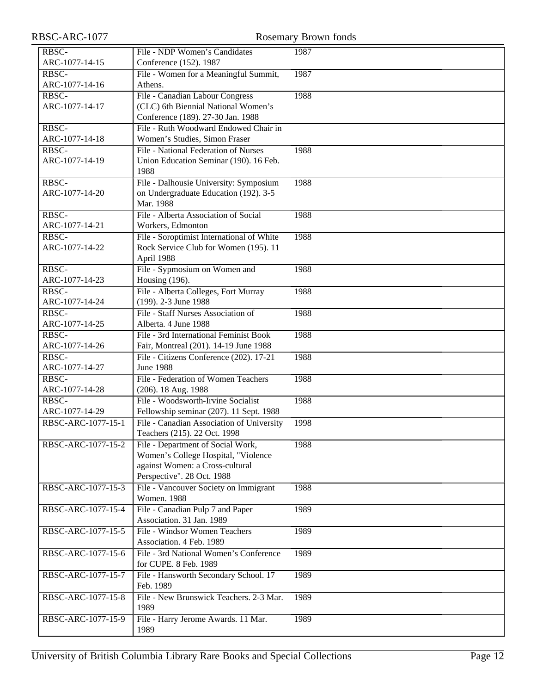| RBSC-ARC-1077           |                                                                           | <b>Rosemary Brown fonds</b> |
|-------------------------|---------------------------------------------------------------------------|-----------------------------|
| RBSC-                   | File - NDP Women's Candidates                                             | 1987                        |
| ARC-1077-14-15          | Conference (152). 1987                                                    |                             |
| RBSC-                   | File - Women for a Meaningful Summit,                                     | 1987                        |
| ARC-1077-14-16          | Athens.                                                                   |                             |
| RBSC-                   | File - Canadian Labour Congress                                           | 1988                        |
| ARC-1077-14-17          | (CLC) 6th Biennial National Women's                                       |                             |
|                         | Conference (189). 27-30 Jan. 1988                                         |                             |
| RBSC-                   | File - Ruth Woodward Endowed Chair in                                     |                             |
| ARC-1077-14-18          | Women's Studies, Simon Fraser                                             |                             |
| RBSC-                   | File - National Federation of Nurses                                      | 1988                        |
| ARC-1077-14-19          | Union Education Seminar (190). 16 Feb.                                    |                             |
|                         | 1988                                                                      |                             |
| RBSC-                   | File - Dalhousie University: Symposium                                    | 1988                        |
| ARC-1077-14-20          | on Undergraduate Education (192). 3-5                                     |                             |
|                         | Mar. 1988                                                                 |                             |
| RBSC-<br>ARC-1077-14-21 | File - Alberta Association of Social<br>Workers, Edmonton                 | 1988                        |
| RBSC-                   | File - Soroptimist International of White                                 | 1988                        |
| ARC-1077-14-22          | Rock Service Club for Women (195). 11                                     |                             |
|                         | April 1988                                                                |                             |
| RBSC-                   | File - Sypmosium on Women and                                             | 1988                        |
| ARC-1077-14-23          | Housing (196).                                                            |                             |
| RBSC-                   | File - Alberta Colleges, Fort Murray                                      | 1988                        |
| ARC-1077-14-24          | (199). 2-3 June 1988                                                      |                             |
| RBSC-                   | File - Staff Nurses Association of                                        | 1988                        |
| ARC-1077-14-25          | Alberta. 4 June 1988                                                      |                             |
| RBSC-                   | File - 3rd International Feminist Book                                    | 1988                        |
| ARC-1077-14-26          | Fair, Montreal (201). 14-19 June 1988                                     |                             |
| RBSC-                   | File - Citizens Conference (202). 17-21                                   | 1988                        |
| ARC-1077-14-27          | <b>June 1988</b>                                                          |                             |
| RBSC-                   | File - Federation of Women Teachers                                       | 1988                        |
| ARC-1077-14-28          | (206). 18 Aug. 1988                                                       |                             |
| RBSC-                   | File - Woodsworth-Irvine Socialist                                        | 1988                        |
| ARC-1077-14-29          | Fellowship seminar (207). 11 Sept. 1988                                   |                             |
| RBSC-ARC-1077-15-1      | File - Canadian Association of University<br>Teachers (215). 22 Oct. 1998 | 1998                        |
| RBSC-ARC-1077-15-2      | File - Department of Social Work,                                         | 1988                        |
|                         | Women's College Hospital, "Violence                                       |                             |
|                         | against Women: a Cross-cultural                                           |                             |
|                         | Perspective". 28 Oct. 1988                                                |                             |
| RBSC-ARC-1077-15-3      | File - Vancouver Society on Immigrant                                     | 1988                        |
|                         | <b>Women. 1988</b>                                                        |                             |
| RBSC-ARC-1077-15-4      | File - Canadian Pulp 7 and Paper                                          | 1989                        |
|                         | Association. 31 Jan. 1989                                                 |                             |
| RBSC-ARC-1077-15-5      | File - Windsor Women Teachers                                             | 1989                        |
|                         | Association. 4 Feb. 1989                                                  |                             |
| RBSC-ARC-1077-15-6      | File - 3rd National Women's Conference                                    | 1989                        |
|                         | for CUPE. 8 Feb. 1989                                                     |                             |
| RBSC-ARC-1077-15-7      | File - Hansworth Secondary School. 17                                     | 1989                        |
|                         | Feb. 1989                                                                 |                             |
| RBSC-ARC-1077-15-8      | File - New Brunswick Teachers. 2-3 Mar.<br>1989                           | 1989                        |
| RBSC-ARC-1077-15-9      |                                                                           | 1989                        |
|                         | File - Harry Jerome Awards. 11 Mar.<br>1989                               |                             |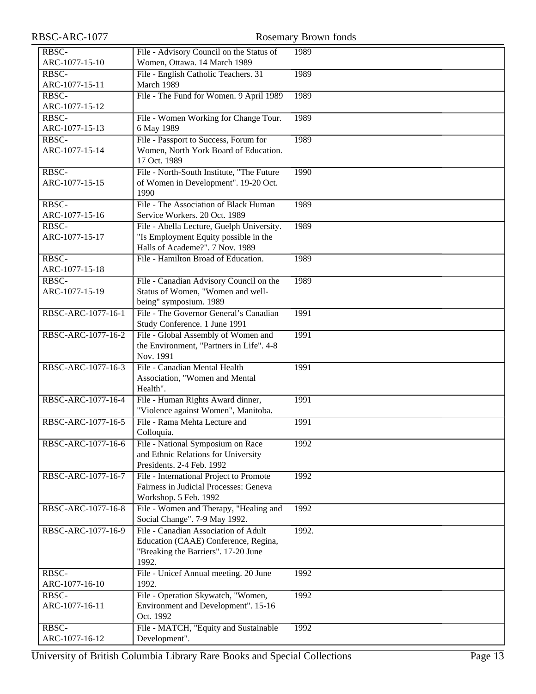| RBSC-ARC-1077           |                                                                                                                              | Rosemary Brown fonds |
|-------------------------|------------------------------------------------------------------------------------------------------------------------------|----------------------|
| RBSC-<br>ARC-1077-15-10 | File - Advisory Council on the Status of<br>Women, Ottawa. 14 March 1989                                                     | 1989                 |
| RBSC-<br>ARC-1077-15-11 | File - English Catholic Teachers. 31<br>March 1989                                                                           | 1989                 |
| RBSC-<br>ARC-1077-15-12 | File - The Fund for Women. 9 April 1989                                                                                      | 1989                 |
| RBSC-<br>ARC-1077-15-13 | File - Women Working for Change Tour.<br>6 May 1989                                                                          | 1989                 |
| RBSC-<br>ARC-1077-15-14 | File - Passport to Success, Forum for<br>Women, North York Board of Education.<br>17 Oct. 1989                               | 1989                 |
| RBSC-<br>ARC-1077-15-15 | File - North-South Institute, "The Future<br>of Women in Development". 19-20 Oct.<br>1990                                    | 1990                 |
| RBSC-<br>ARC-1077-15-16 | File - The Association of Black Human<br>Service Workers. 20 Oct. 1989                                                       | 1989                 |
| RBSC-<br>ARC-1077-15-17 | File - Abella Lecture, Guelph University.<br>"Is Employment Equity possible in the<br>Halls of Academe?". 7 Nov. 1989        | 1989                 |
| RBSC-<br>ARC-1077-15-18 | File - Hamilton Broad of Education.                                                                                          | 1989                 |
| RBSC-<br>ARC-1077-15-19 | File - Canadian Advisory Council on the<br>Status of Women, "Women and well-<br>being" symposium. 1989                       | 1989                 |
| RBSC-ARC-1077-16-1      | File - The Governor General's Canadian<br>Study Conference. 1 June 1991                                                      | 1991                 |
| RBSC-ARC-1077-16-2      | File - Global Assembly of Women and<br>the Environment, "Partners in Life". 4-8<br>Nov. 1991                                 | 1991                 |
| RBSC-ARC-1077-16-3      | File - Canadian Mental Health<br>Association, "Women and Mental<br>Health".                                                  | 1991                 |
| RBSC-ARC-1077-16-4      | File - Human Rights Award dinner,<br>"Violence against Women", Manitoba.                                                     | 1991                 |
| RBSC-ARC-1077-16-5      | File - Rama Mehta Lecture and<br>Colloquia.                                                                                  | 1991                 |
| RBSC-ARC-1077-16-6      | File - National Symposium on Race<br>and Ethnic Relations for University<br>Presidents. 2-4 Feb. 1992                        | 1992                 |
| RBSC-ARC-1077-16-7      | File - International Project to Promote<br>Fairness in Judicial Processes: Geneva<br>Workshop. 5 Feb. 1992                   | 1992                 |
| RBSC-ARC-1077-16-8      | File - Women and Therapy, "Healing and<br>Social Change". 7-9 May 1992.                                                      | 1992                 |
| RBSC-ARC-1077-16-9      | File - Canadian Association of Adult<br>Education (CAAE) Conference, Regina,<br>"Breaking the Barriers". 17-20 June<br>1992. | 1992.                |
| RBSC-<br>ARC-1077-16-10 | File - Unicef Annual meeting. 20 June<br>1992.                                                                               | 1992                 |
| RBSC-<br>ARC-1077-16-11 | File - Operation Skywatch, "Women,<br>Environment and Development". 15-16<br>Oct. 1992                                       | 1992                 |
| RBSC-<br>ARC-1077-16-12 | File - MATCH, "Equity and Sustainable<br>Development".                                                                       | 1992                 |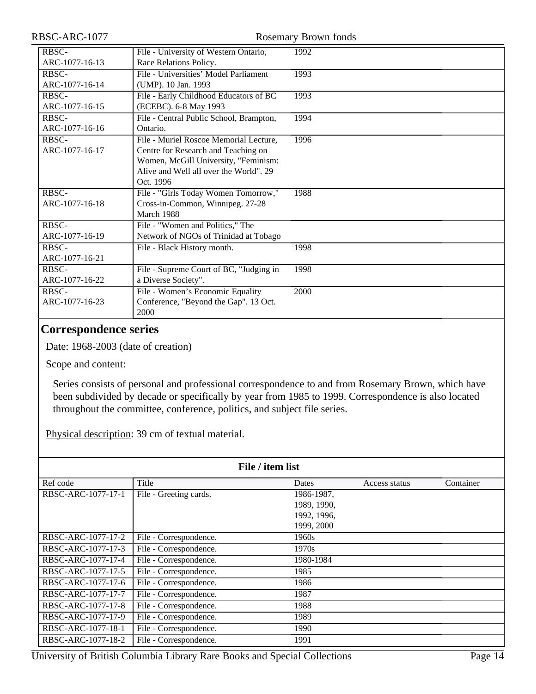| RBSC-ARC-1077           | <b>Rosemary Brown fonds</b>                                                                                                                                                  |      |
|-------------------------|------------------------------------------------------------------------------------------------------------------------------------------------------------------------------|------|
| RBSC-<br>ARC-1077-16-13 | File - University of Western Ontario,<br>Race Relations Policy.                                                                                                              | 1992 |
| RBSC-<br>ARC-1077-16-14 | File - Universities' Model Parliament<br>(UMP). 10 Jan. 1993                                                                                                                 | 1993 |
| RBSC-<br>ARC-1077-16-15 | File - Early Childhood Educators of BC<br>(ECEBC). 6-8 May 1993                                                                                                              | 1993 |
| RBSC-<br>ARC-1077-16-16 | File - Central Public School, Brampton,<br>Ontario.                                                                                                                          | 1994 |
| RBSC-<br>ARC-1077-16-17 | File - Muriel Roscoe Memorial Lecture,<br>Centre for Research and Teaching on<br>Women, McGill University, "Feminism:<br>Alive and Well all over the World". 29<br>Oct. 1996 | 1996 |
| RBSC-<br>ARC-1077-16-18 | File - "Girls Today Women Tomorrow,"<br>Cross-in-Common, Winnipeg. 27-28<br>March 1988                                                                                       | 1988 |
| RBSC-<br>ARC-1077-16-19 | File - "Women and Politics," The<br>Network of NGOs of Trinidad at Tobago                                                                                                    |      |
| RBSC-<br>ARC-1077-16-21 | File - Black History month.                                                                                                                                                  | 1998 |
| RBSC-<br>ARC-1077-16-22 | File - Supreme Court of BC, "Judging in<br>a Diverse Society".                                                                                                               | 1998 |
| RBSC-<br>ARC-1077-16-23 | File - Women's Economic Equality<br>Conference, "Beyond the Gap". 13 Oct.<br>2000                                                                                            | 2000 |

#### <span id="page-13-0"></span>**Correspondence series**

Date: 1968-2003 (date of creation)

Scope and content:

Series consists of personal and professional correspondence to and from Rosemary Brown, which have been subdivided by decade or specifically by year from 1985 to 1999. Correspondence is also located throughout the committee, conference, politics, and subject file series.

Physical description: 39 cm of textual material.

| File / item list   |                        |             |               |           |
|--------------------|------------------------|-------------|---------------|-----------|
| Ref code           | Title                  | Dates       | Access status | Container |
| RBSC-ARC-1077-17-1 | File - Greeting cards. | 1986-1987,  |               |           |
|                    |                        | 1989, 1990, |               |           |
|                    |                        | 1992, 1996, |               |           |
|                    |                        | 1999, 2000  |               |           |
| RBSC-ARC-1077-17-2 | File - Correspondence. | 1960s       |               |           |
| RBSC-ARC-1077-17-3 | File - Correspondence. | 1970s       |               |           |
| RBSC-ARC-1077-17-4 | File - Correspondence. | 1980-1984   |               |           |
| RBSC-ARC-1077-17-5 | File - Correspondence. | 1985        |               |           |
| RBSC-ARC-1077-17-6 | File - Correspondence. | 1986        |               |           |
| RBSC-ARC-1077-17-7 | File - Correspondence. | 1987        |               |           |
| RBSC-ARC-1077-17-8 | File - Correspondence. | 1988        |               |           |
| RBSC-ARC-1077-17-9 | File - Correspondence. | 1989        |               |           |
| RBSC-ARC-1077-18-1 | File - Correspondence. | 1990        |               |           |
| RBSC-ARC-1077-18-2 | File - Correspondence. | 1991        |               |           |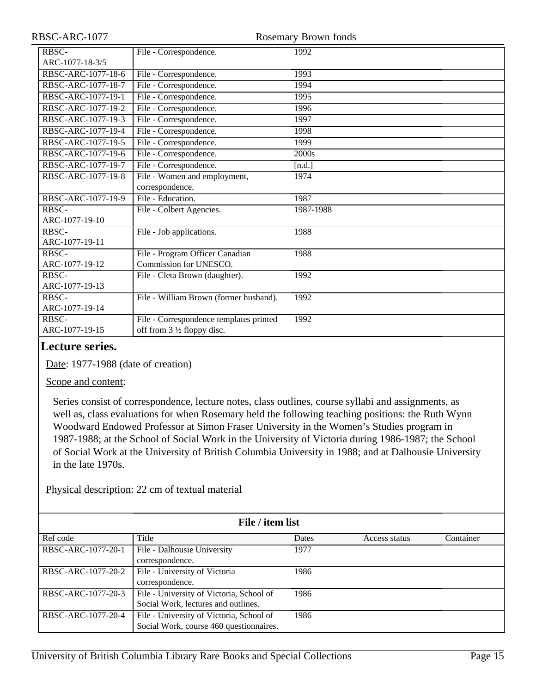| RBSC-ARC-1077                  |                                                                        | <b>Rosemary Brown fonds</b> |
|--------------------------------|------------------------------------------------------------------------|-----------------------------|
| RBSC-<br>ARC-1077-18-3/5       | File - Correspondence.                                                 | 1992                        |
| RBSC-ARC-1077-18-6             | File - Correspondence.                                                 | 1993                        |
| RBSC-ARC-1077-18-7             | File - Correspondence.                                                 | 1994                        |
| RBSC-ARC-1077-19-1             | File - Correspondence.                                                 | 1995                        |
| RBSC-ARC-1077-19-2             | File - Correspondence.                                                 | 1996                        |
| RBSC-ARC-1077-19-3             | File - Correspondence.                                                 | 1997                        |
| RBSC-ARC-1077-19-4             | File - Correspondence.                                                 | 1998                        |
| RBSC-ARC-1077-19-5             | File - Correspondence.                                                 | 1999                        |
| RBSC-ARC-1077-19-6             | File - Correspondence.                                                 | 2000s                       |
| RBSC-ARC-1077-19-7             | File - Correspondence.                                                 | [n.d.]                      |
| RBSC-ARC-1077-19-8             | File - Women and employment,<br>correspondence.                        | 1974                        |
| RBSC-ARC-1077-19-9             | File - Education.                                                      | 1987                        |
| RBSC-<br>ARC-1077-19-10        | File - Colbert Agencies.                                               | 1987-1988                   |
| RBSC-<br>ARC-1077-19-11        | File - Job applications.                                               | 1988                        |
| <b>RBSC-</b><br>ARC-1077-19-12 | File - Program Officer Canadian<br>Commission for UNESCO.              | 1988                        |
| RBSC-<br>ARC-1077-19-13        | File - Cleta Brown (daughter).                                         | 1992                        |
| RBSC-<br>ARC-1077-19-14        | File - William Brown (former husband).                                 | 1992                        |
| RBSC-<br>ARC-1077-19-15        | File - Correspondence templates printed<br>off from 3 1/2 floppy disc. | 1992                        |

#### <span id="page-14-0"></span>**Lecture series.**

Date: 1977-1988 (date of creation)

Scope and content:

Series consist of correspondence, lecture notes, class outlines, course syllabi and assignments, as well as, class evaluations for when Rosemary held the following teaching positions: the Ruth Wynn Woodward Endowed Professor at Simon Fraser University in the Women's Studies program in 1987-1988; at the School of Social Work in the University of Victoria during 1986-1987; the School of Social Work at the University of British Columbia University in 1988; and at Dalhousie University in the late 1970s.

Physical description: 22 cm of textual material

| File / item list   |                                                                                     |       |               |           |
|--------------------|-------------------------------------------------------------------------------------|-------|---------------|-----------|
| Ref code           | Title                                                                               | Dates | Access status | Container |
| RBSC-ARC-1077-20-1 | File - Dalhousie University<br>correspondence.                                      | 1977  |               |           |
| RBSC-ARC-1077-20-2 | File - University of Victoria<br>correspondence.                                    | 1986  |               |           |
| RBSC-ARC-1077-20-3 | File - University of Victoria, School of<br>Social Work, lectures and outlines.     | 1986  |               |           |
| RBSC-ARC-1077-20-4 | File - University of Victoria, School of<br>Social Work, course 460 questionnaires. | 1986  |               |           |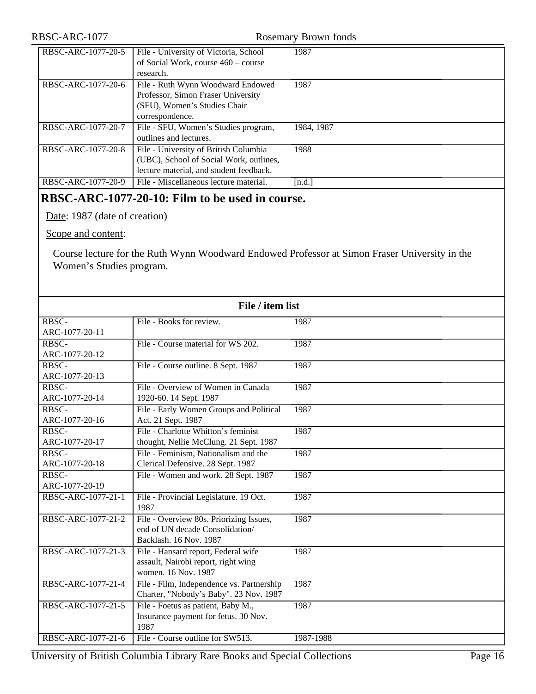#### RBSC-ARC-1077 Rosemary Brown fonds

| RBSC-ARC-1077-20-5 | File - University of Victoria, School<br>of Social Work, course 460 – course<br>research.                                   | 1987       |
|--------------------|-----------------------------------------------------------------------------------------------------------------------------|------------|
| RBSC-ARC-1077-20-6 | File - Ruth Wynn Woodward Endowed<br>Professor, Simon Fraser University<br>(SFU), Women's Studies Chair<br>correspondence.  | 1987       |
| RBSC-ARC-1077-20-7 | File - SFU, Women's Studies program,<br>outlines and lectures.                                                              | 1984, 1987 |
| RBSC-ARC-1077-20-8 | File - University of British Columbia<br>(UBC), School of Social Work, outlines,<br>lecture material, and student feedback. | 1988       |
| RBSC-ARC-1077-20-9 | File - Miscellaneous lecture material.                                                                                      | [n.d.]     |

#### **RBSC-ARC-1077-20-10: Film to be used in course.**

Date: 1987 (date of creation)

Scope and content:

Course lecture for the Ruth Wynn Woodward Endowed Professor at Simon Fraser University in the Women's Studies program.

| File / item list   |                                           |           |  |
|--------------------|-------------------------------------------|-----------|--|
| RBSC-              | File - Books for review.                  | 1987      |  |
| ARC-1077-20-11     |                                           |           |  |
| RBSC-              | File - Course material for WS 202.        | 1987      |  |
| ARC-1077-20-12     |                                           |           |  |
| RBSC-              | File - Course outline. 8 Sept. 1987       | 1987      |  |
| ARC-1077-20-13     |                                           |           |  |
| RBSC-              | File - Overview of Women in Canada        | 1987      |  |
| ARC-1077-20-14     | 1920-60. 14 Sept. 1987                    |           |  |
| RBSC-              | File - Early Women Groups and Political   | 1987      |  |
| ARC-1077-20-16     | Act. 21 Sept. 1987                        |           |  |
| RBSC-              | File - Charlotte Whitton's feminist       | 1987      |  |
| ARC-1077-20-17     | thought, Nellie McClung. 21 Sept. 1987    |           |  |
| RBSC-              | File - Feminism, Nationalism and the      | 1987      |  |
| ARC-1077-20-18     | Clerical Defensive. 28 Sept. 1987         |           |  |
| <b>RBSC-</b>       | File - Women and work. 28 Sept. 1987      | 1987      |  |
| ARC-1077-20-19     |                                           |           |  |
| RBSC-ARC-1077-21-1 | File - Provincial Legislature. 19 Oct.    | 1987      |  |
|                    | 1987                                      |           |  |
| RBSC-ARC-1077-21-2 | File - Overview 80s. Priorizing Issues,   | 1987      |  |
|                    | end of UN decade Consolidation/           |           |  |
|                    | Backlash. 16 Nov. 1987                    |           |  |
| RBSC-ARC-1077-21-3 | File - Hansard report, Federal wife       | 1987      |  |
|                    | assault, Nairobi report, right wing       |           |  |
|                    | women. 16 Nov. 1987                       |           |  |
| RBSC-ARC-1077-21-4 | File - Film, Independence vs. Partnership | 1987      |  |
|                    | Charter, "Nobody's Baby". 23 Nov. 1987    |           |  |
| RBSC-ARC-1077-21-5 | File - Foetus as patient, Baby M.,        | 1987      |  |
|                    | Insurance payment for fetus. 30 Nov.      |           |  |
|                    | 1987                                      |           |  |
| RBSC-ARC-1077-21-6 | File - Course outline for SW513.          | 1987-1988 |  |

University of British Columbia Library Rare Books and Special Collections Page 16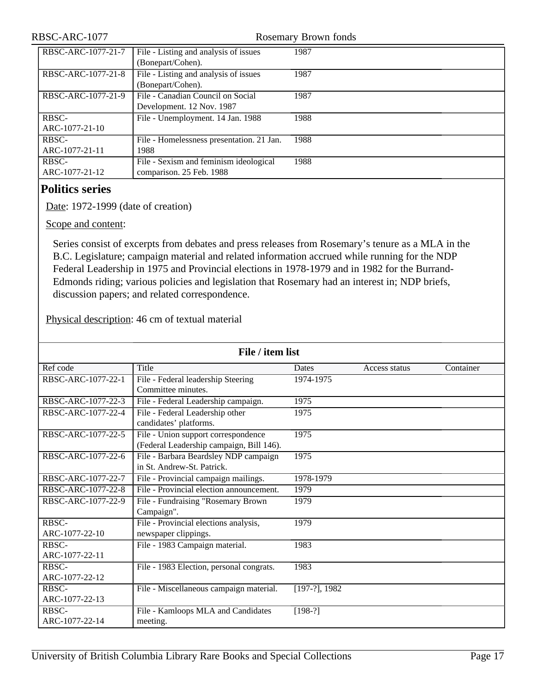| RBSC-ARC-1077      | <b>Rosemary Brown fonds</b>               |      |
|--------------------|-------------------------------------------|------|
| RBSC-ARC-1077-21-7 | File - Listing and analysis of issues     | 1987 |
|                    | (Bonepart/Cohen).                         |      |
| RBSC-ARC-1077-21-8 | File - Listing and analysis of issues     | 1987 |
|                    | (Bonepart/Cohen).                         |      |
| RBSC-ARC-1077-21-9 | File - Canadian Council on Social         | 1987 |
|                    | Development. 12 Nov. 1987                 |      |
| RBSC-              | File - Unemployment. 14 Jan. 1988         | 1988 |
| ARC-1077-21-10     |                                           |      |
| RBSC-              | File - Homelessness presentation. 21 Jan. | 1988 |
| ARC-1077-21-11     | 1988                                      |      |
| RBSC-              | File - Sexism and feminism ideological    | 1988 |
| ARC-1077-21-12     | comparison. 25 Feb. 1988                  |      |

#### <span id="page-16-0"></span>**Politics series**

Date: 1972-1999 (date of creation)

Scope and content:

Series consist of excerpts from debates and press releases from Rosemary's tenure as a MLA in the B.C. Legislature; campaign material and related information accrued while running for the NDP Federal Leadership in 1975 and Provincial elections in 1978-1979 and in 1982 for the Burrand-Edmonds riding; various policies and legislation that Rosemary had an interest in; NDP briefs, discussion papers; and related correspondence.

Physical description: 46 cm of textual material

| File / item list               |                                                                                 |                  |               |           |
|--------------------------------|---------------------------------------------------------------------------------|------------------|---------------|-----------|
| Ref code                       | Title                                                                           | <b>Dates</b>     | Access status | Container |
| RBSC-ARC-1077-22-1             | File - Federal leadership Steering<br>Committee minutes.                        | 1974-1975        |               |           |
| RBSC-ARC-1077-22-3             | File - Federal Leadership campaign.                                             | 1975             |               |           |
| RBSC-ARC-1077-22-4             | File - Federal Leadership other<br>candidates' platforms.                       | 1975             |               |           |
| RBSC-ARC-1077-22-5             | File - Union support correspondence<br>(Federal Leadership campaign, Bill 146). | 1975             |               |           |
| RBSC-ARC-1077-22-6             | File - Barbara Beardsley NDP campaign<br>in St. Andrew-St. Patrick.             | 1975             |               |           |
| RBSC-ARC-1077-22-7             | File - Provincial campaign mailings.                                            | 1978-1979        |               |           |
| RBSC-ARC-1077-22-8             | File - Provincial election announcement.                                        | 1979             |               |           |
| RBSC-ARC-1077-22-9             | File - Fundraising "Rosemary Brown<br>Campaign".                                | 1979             |               |           |
| <b>RBSC-</b><br>ARC-1077-22-10 | File - Provincial elections analysis,<br>newspaper clippings.                   | 1979             |               |           |
| RBSC-<br>ARC-1077-22-11        | File - 1983 Campaign material.                                                  | 1983             |               |           |
| RBSC-<br>ARC-1077-22-12        | File - 1983 Election, personal congrats.                                        | 1983             |               |           |
| <b>RBSC-</b><br>ARC-1077-22-13 | File - Miscellaneous campaign material.                                         | $[197-?]$ , 1982 |               |           |
| RBSC-<br>ARC-1077-22-14        | File - Kamloops MLA and Candidates<br>meeting.                                  | $[198-?]$        |               |           |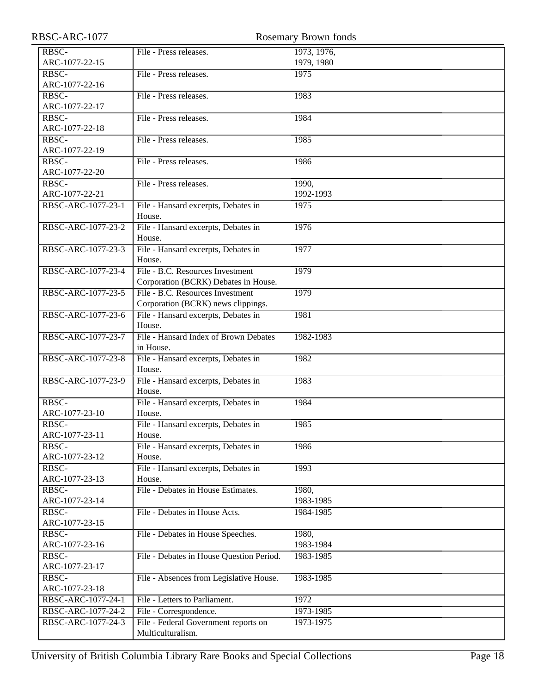| RBSC-ARC-1077                                 |                                               | <b>Rosemary Brown fonds</b> |
|-----------------------------------------------|-----------------------------------------------|-----------------------------|
| RBSC-                                         | File - Press releases.                        | 1973, 1976,                 |
| ARC-1077-22-15                                |                                               | 1979, 1980                  |
| $R\overline{B}$ <sub>S</sub> $\overline{C}$ - | File - Press releases.                        | 1975                        |
| ARC-1077-22-16                                |                                               |                             |
| RBSC-                                         | File - Press releases.                        | 1983                        |
| ARC-1077-22-17                                |                                               |                             |
| RBSC-                                         | File - Press releases.                        | 1984                        |
| ARC-1077-22-18                                |                                               |                             |
| RBSC-                                         | File - Press releases.                        | 1985                        |
| ARC-1077-22-19                                |                                               |                             |
| RBSC-                                         | File - Press releases.                        | 1986                        |
| ARC-1077-22-20                                |                                               |                             |
| RBSC-                                         | File - Press releases.                        | 1990,                       |
| ARC-1077-22-21                                |                                               | 1992-1993                   |
| RBSC-ARC-1077-23-1                            | File - Hansard excerpts, Debates in           | 1975                        |
|                                               | House.                                        |                             |
| RBSC-ARC-1077-23-2                            | File - Hansard excerpts, Debates in           | 1976                        |
|                                               | House.                                        |                             |
| RBSC-ARC-1077-23-3                            | File - Hansard excerpts, Debates in           | 1977                        |
|                                               | House.                                        |                             |
| RBSC-ARC-1077-23-4                            | File - B.C. Resources Investment              | 1979                        |
|                                               | Corporation (BCRK) Debates in House.          |                             |
| RBSC-ARC-1077-23-5                            | File - B.C. Resources Investment              | 1979                        |
|                                               | Corporation (BCRK) news clippings.            |                             |
| RBSC-ARC-1077-23-6                            | File - Hansard excerpts, Debates in<br>House. | 1981                        |
| RBSC-ARC-1077-23-7                            | File - Hansard Index of Brown Debates         | 1982-1983                   |
|                                               | in House.                                     |                             |
| RBSC-ARC-1077-23-8                            | File - Hansard excerpts, Debates in           | 1982                        |
|                                               | House.                                        |                             |
| RBSC-ARC-1077-23-9                            | File - Hansard excerpts, Debates in           | 1983                        |
|                                               | House.                                        |                             |
| RBSC-                                         | File - Hansard excerpts, Debates in           | 1984                        |
| ARC-1077-23-10                                | House.                                        |                             |
| RBSC-                                         | File - Hansard excerpts, Debates in           | 1985                        |
| ARC-1077-23-11                                | House.                                        |                             |
| RBSC-                                         | File - Hansard excerpts, Debates in           | 1986                        |
| ARC-1077-23-12                                | House.                                        |                             |
| RBSC-                                         | File - Hansard excerpts, Debates in           | 1993                        |
| ARC-1077-23-13                                | House.                                        |                             |
| RBSC-                                         | File - Debates in House Estimates.            | 1980,                       |
| ARC-1077-23-14                                |                                               | 1983-1985                   |
| RBSC-                                         | File - Debates in House Acts.                 | 1984-1985                   |
| ARC-1077-23-15                                |                                               |                             |
| RBSC-                                         | File - Debates in House Speeches.             | 1980,                       |
| ARC-1077-23-16<br>RBSC-                       | File - Debates in House Question Period.      | 1983-1984<br>1983-1985      |
| ARC-1077-23-17                                |                                               |                             |
| RBSC-                                         | File - Absences from Legislative House.       | 1983-1985                   |
| ARC-1077-23-18                                |                                               |                             |
| RBSC-ARC-1077-24-1                            | File - Letters to Parliament.                 | 1972                        |
| RBSC-ARC-1077-24-2                            | File - Correspondence.                        | 1973-1985                   |
| RBSC-ARC-1077-24-3                            | File - Federal Government reports on          | 1973-1975                   |
|                                               | Multiculturalism.                             |                             |
|                                               |                                               |                             |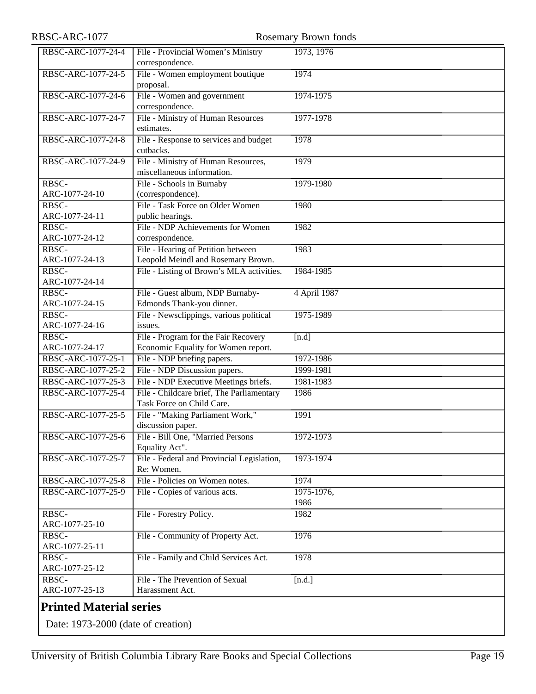<span id="page-18-0"></span>

| RBSC-ARC-1077                      |                                                                        | <b>Rosemary Brown fonds</b> |
|------------------------------------|------------------------------------------------------------------------|-----------------------------|
| RBSC-ARC-1077-24-4                 | File - Provincial Women's Ministry                                     | 1973, 1976                  |
|                                    | correspondence.                                                        |                             |
| RBSC-ARC-1077-24-5                 | File - Women employment boutique                                       | 1974                        |
|                                    | proposal.                                                              |                             |
| RBSC-ARC-1077-24-6                 | File - Women and government                                            | 1974-1975                   |
|                                    | correspondence.                                                        |                             |
| RBSC-ARC-1077-24-7                 | File - Ministry of Human Resources                                     | 1977-1978                   |
|                                    | estimates.                                                             |                             |
| RBSC-ARC-1077-24-8                 | File - Response to services and budget                                 | 1978                        |
|                                    | cutbacks.                                                              |                             |
| RBSC-ARC-1077-24-9                 | File - Ministry of Human Resources,                                    | 1979                        |
|                                    | miscellaneous information.                                             |                             |
| RBSC-                              | File - Schools in Burnaby                                              | 1979-1980                   |
| ARC-1077-24-10                     | (correspondence).                                                      |                             |
| RBSC-                              | File - Task Force on Older Women                                       | 1980                        |
| ARC-1077-24-11                     | public hearings.                                                       |                             |
| $R\overline{\text{BSC}}$           | File - NDP Achievements for Women                                      | 1982                        |
| ARC-1077-24-12                     | correspondence.                                                        |                             |
| RBSC-                              | File - Hearing of Petition between                                     | 1983                        |
| ARC-1077-24-13                     | Leopold Meindl and Rosemary Brown.                                     |                             |
| RBSC-                              | File - Listing of Brown's MLA activities.                              | 1984-1985                   |
| ARC-1077-24-14                     |                                                                        |                             |
| RBSC-                              | File - Guest album, NDP Burnaby-                                       | 4 April 1987                |
| ARC-1077-24-15                     | Edmonds Thank-you dinner.                                              |                             |
| RBSC-                              | File - Newsclippings, various political                                | 1975-1989                   |
| ARC-1077-24-16                     | issues.                                                                |                             |
| RBSC-                              | File - Program for the Fair Recovery                                   | [n.d]                       |
| ARC-1077-24-17                     | Economic Equality for Women report.                                    |                             |
| RBSC-ARC-1077-25-1                 | File - NDP briefing papers.                                            | 1972-1986                   |
| RBSC-ARC-1077-25-2                 | File - NDP Discussion papers.                                          | 1999-1981                   |
| RBSC-ARC-1077-25-3                 | File - NDP Executive Meetings briefs.                                  | 1981-1983                   |
| RBSC-ARC-1077-25-4                 | File - Childcare brief, The Parliamentary<br>Task Force on Child Care. | 1986                        |
| RBSC-ARC-1077-25-5                 | File - "Making Parliament Work,"<br>discussion paper.                  | 1991                        |
| RBSC-ARC-1077-25-6                 | File - Bill One, "Married Persons                                      | 1972-1973                   |
|                                    | Equality Act".                                                         |                             |
| RBSC-ARC-1077-25-7                 | File - Federal and Provincial Legislation,                             | 1973-1974                   |
|                                    | Re: Women.                                                             |                             |
| RBSC-ARC-1077-25-8                 | File - Policies on Women notes.                                        | 1974                        |
| RBSC-ARC-1077-25-9                 | File - Copies of various acts.                                         | 1975-1976,                  |
|                                    |                                                                        | 1986                        |
| RBSC-                              | File - Forestry Policy.                                                | 1982                        |
| ARC-1077-25-10                     |                                                                        |                             |
| RBSC-                              | File - Community of Property Act.                                      | 1976                        |
| ARC-1077-25-11                     |                                                                        |                             |
| RBSC-                              | File - Family and Child Services Act.                                  | 1978                        |
| ARC-1077-25-12                     |                                                                        |                             |
| RBSC-                              | File - The Prevention of Sexual                                        | [n.d.]                      |
| ARC-1077-25-13                     | Harassment Act.                                                        |                             |
| <b>Printed Material series</b>     |                                                                        |                             |
| Date: 1973-2000 (date of creation) |                                                                        |                             |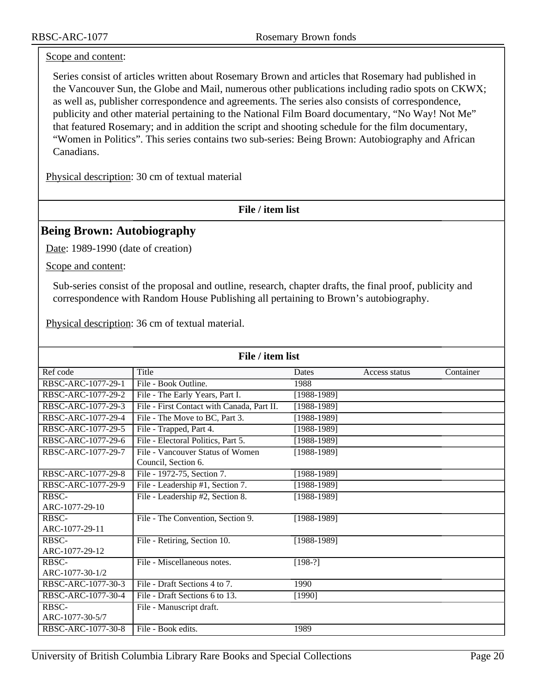#### Scope and content:

Series consist of articles written about Rosemary Brown and articles that Rosemary had published in the Vancouver Sun, the Globe and Mail, numerous other publications including radio spots on CKWX; as well as, publisher correspondence and agreements. The series also consists of correspondence, publicity and other material pertaining to the National Film Board documentary, "No Way! Not Me" that featured Rosemary; and in addition the script and shooting schedule for the film documentary, "Women in Politics". This series contains two sub-series: Being Brown: Autobiography and African Canadians.

Physical description: 30 cm of textual material

**File / item list**

#### <span id="page-19-0"></span>**Being Brown: Autobiography**

Date: 1989-1990 (date of creation)

Scope and content:

Sub-series consist of the proposal and outline, research, chapter drafts, the final proof, publicity and correspondence with Random House Publishing all pertaining to Brown's autobiography.

Physical description: 36 cm of textual material.

| File / item list   |                                                         |               |               |           |
|--------------------|---------------------------------------------------------|---------------|---------------|-----------|
| Ref code           | Title                                                   | Dates         | Access status | Container |
| RBSC-ARC-1077-29-1 | File - Book Outline.                                    | 1988          |               |           |
| RBSC-ARC-1077-29-2 | File - The Early Years, Part I.                         | $[1988-1989]$ |               |           |
| RBSC-ARC-1077-29-3 | File - First Contact with Canada, Part II.              | $[1988-1989]$ |               |           |
| RBSC-ARC-1077-29-4 | File - The Move to BC, Part 3.                          | $[1988-1989]$ |               |           |
| RBSC-ARC-1077-29-5 | File - Trapped, Part 4.                                 | $[1988-1989]$ |               |           |
| RBSC-ARC-1077-29-6 | File - Electoral Politics, Part 5.                      | $[1988-1989]$ |               |           |
| RBSC-ARC-1077-29-7 | File - Vancouver Status of Women<br>Council, Section 6. | [1988-1989]   |               |           |
| RBSC-ARC-1077-29-8 | File - 1972-75, Section 7.                              | $[1988-1989]$ |               |           |
| RBSC-ARC-1077-29-9 | File - Leadership #1, Section 7.                        | $[1988-1989]$ |               |           |
| RBSC-              | File - Leadership #2, Section 8.                        | $[1988-1989]$ |               |           |
| ARC-1077-29-10     |                                                         |               |               |           |
| RBSC-              | File - The Convention, Section 9.                       | [1988-1989]   |               |           |
| ARC-1077-29-11     |                                                         |               |               |           |
| RBSC-              | File - Retiring, Section 10.                            | $[1988-1989]$ |               |           |
| ARC-1077-29-12     |                                                         |               |               |           |
| RBSC-              | File - Miscellaneous notes.                             | $[198-?]$     |               |           |
| ARC-1077-30-1/2    |                                                         |               |               |           |
| RBSC-ARC-1077-30-3 | File - Draft Sections 4 to 7.                           | 1990          |               |           |
| RBSC-ARC-1077-30-4 | File - Draft Sections 6 to 13.                          | [1990]        |               |           |
| RBSC-              | File - Manuscript draft.                                |               |               |           |
| ARC-1077-30-5/7    |                                                         |               |               |           |
| RBSC-ARC-1077-30-8 | File - Book edits.                                      | 1989          |               |           |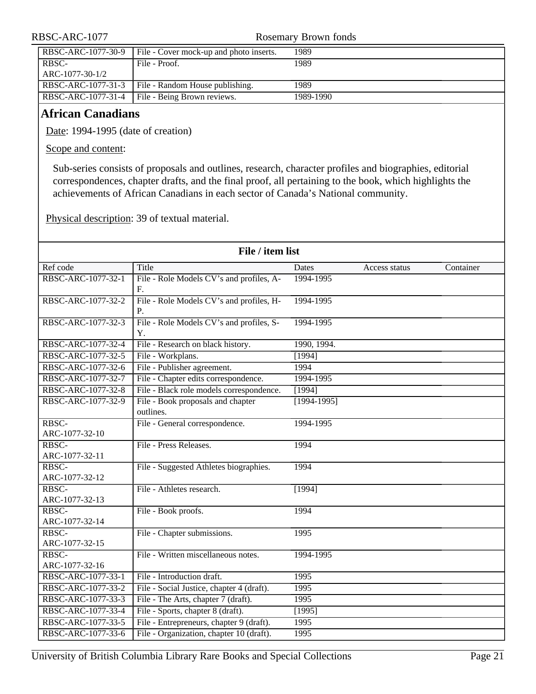| RBSC-ARC-1077      |                                                      | Rosemary Brown fonds |
|--------------------|------------------------------------------------------|----------------------|
| RBSC-ARC-1077-30-9 | File - Cover mock-up and photo inserts.              | 1989                 |
| RBSC-              | File - Proof.                                        | 1989                 |
| ARC-1077-30-1/2    |                                                      |                      |
|                    | RBSC-ARC-1077-31-3   File - Random House publishing. | 1989                 |

RBSC-ARC-1077-31-4 File - Being Brown reviews. 1989-1990

#### <span id="page-20-0"></span>**African Canadians**

Date: 1994-1995 (date of creation)

Scope and content:

Sub-series consists of proposals and outlines, research, character profiles and biographies, editorial correspondences, chapter drafts, and the final proof, all pertaining to the book, which highlights the achievements of African Canadians in each sector of Canada's National community.

Physical description: 39 of textual material.

| File / item list        |                                                |               |               |           |
|-------------------------|------------------------------------------------|---------------|---------------|-----------|
| Ref code                | Title                                          | Dates         | Access status | Container |
| RBSC-ARC-1077-32-1      | File - Role Models CV's and profiles, A-<br>F. | 1994-1995     |               |           |
| RBSC-ARC-1077-32-2      | File - Role Models CV's and profiles, H-<br>Р. | 1994-1995     |               |           |
| RBSC-ARC-1077-32-3      | File - Role Models CV's and profiles, S-<br>Y. | 1994-1995     |               |           |
| RBSC-ARC-1077-32-4      | File - Research on black history.              | 1990, 1994.   |               |           |
| RBSC-ARC-1077-32-5      | File - Workplans.                              | $\sqrt{1994}$ |               |           |
| RBSC-ARC-1077-32-6      | File - Publisher agreement.                    | 1994          |               |           |
| RBSC-ARC-1077-32-7      | File - Chapter edits correspondence.           | 1994-1995     |               |           |
| RBSC-ARC-1077-32-8      | File - Black role models correspondence.       | [1994]        |               |           |
| RBSC-ARC-1077-32-9      | File - Book proposals and chapter<br>outlines. | $[1994-1995]$ |               |           |
| RBSC-<br>ARC-1077-32-10 | File - General correspondence.                 | 1994-1995     |               |           |
| RBSC-<br>ARC-1077-32-11 | File - Press Releases.                         | 1994          |               |           |
| RBSC-<br>ARC-1077-32-12 | File - Suggested Athletes biographies.         | 1994          |               |           |
| RBSC-<br>ARC-1077-32-13 | File - Athletes research.                      | [1994]        |               |           |
| RBSC-<br>ARC-1077-32-14 | File - Book proofs.                            | 1994          |               |           |
| RBSC-<br>ARC-1077-32-15 | File - Chapter submissions.                    | 1995          |               |           |
| RBSC-<br>ARC-1077-32-16 | File - Written miscellaneous notes.            | 1994-1995     |               |           |
| RBSC-ARC-1077-33-1      | File - Introduction draft.                     | 1995          |               |           |
| RBSC-ARC-1077-33-2      | File - Social Justice, chapter 4 (draft).      | 1995          |               |           |
| RBSC-ARC-1077-33-3      | File - The Arts, chapter 7 (draft).            | 1995          |               |           |
| RBSC-ARC-1077-33-4      | File - Sports, chapter 8 (draft).              | [1995]        |               |           |
| RBSC-ARC-1077-33-5      | File - Entrepreneurs, chapter 9 (draft).       | 1995          |               |           |
| RBSC-ARC-1077-33-6      | File - Organization, chapter 10 (draft).       | 1995          |               |           |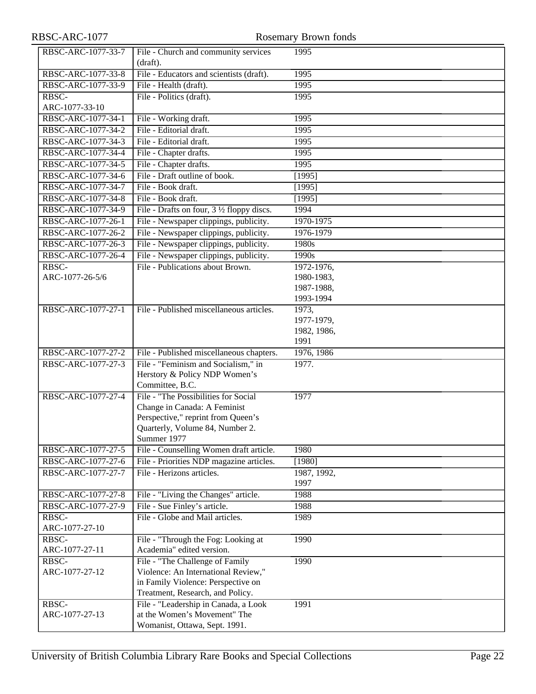| RBSC-ARC-1077      |                                                                                         | <b>Rosemary Brown fonds</b> |
|--------------------|-----------------------------------------------------------------------------------------|-----------------------------|
| RBSC-ARC-1077-33-7 | File - Church and community services<br>(draft).                                        | 1995                        |
| RBSC-ARC-1077-33-8 | File - Educators and scientists (draft).                                                | 1995                        |
| RBSC-ARC-1077-33-9 | File - Health (draft).                                                                  | 1995                        |
| RBSC-              | File - Politics (draft).                                                                | 1995                        |
| ARC-1077-33-10     |                                                                                         |                             |
| RBSC-ARC-1077-34-1 | File - Working draft.                                                                   | 1995                        |
| RBSC-ARC-1077-34-2 | File - Editorial draft.                                                                 | 1995                        |
| RBSC-ARC-1077-34-3 | File - Editorial draft.                                                                 | 1995                        |
| RBSC-ARC-1077-34-4 | File - Chapter drafts.                                                                  | 1995                        |
| RBSC-ARC-1077-34-5 | File - Chapter drafts.                                                                  | 1995                        |
| RBSC-ARC-1077-34-6 | File - Draft outline of book.                                                           | [1995]                      |
| RBSC-ARC-1077-34-7 | File - Book draft.                                                                      | [1995]                      |
| RBSC-ARC-1077-34-8 | File - Book draft.                                                                      | [1995]                      |
| RBSC-ARC-1077-34-9 | File - Drafts on four, 3 1/2 floppy discs.                                              | 1994                        |
| RBSC-ARC-1077-26-1 | File - Newspaper clippings, publicity.                                                  | 1970-1975                   |
| RBSC-ARC-1077-26-2 | File - Newspaper clippings, publicity.                                                  | 1976-1979                   |
| RBSC-ARC-1077-26-3 | File - Newspaper clippings, publicity.                                                  | 1980s                       |
| RBSC-ARC-1077-26-4 | File - Newspaper clippings, publicity.                                                  | 1990s                       |
| RBSC-              | File - Publications about Brown.                                                        | 1972-1976,                  |
| ARC-1077-26-5/6    |                                                                                         | 1980-1983,                  |
|                    |                                                                                         | 1987-1988,                  |
|                    |                                                                                         | 1993-1994                   |
| RBSC-ARC-1077-27-1 | File - Published miscellaneous articles.                                                | 1973,                       |
|                    |                                                                                         | 1977-1979,                  |
|                    |                                                                                         | 1982, 1986,                 |
|                    |                                                                                         | 1991                        |
| RBSC-ARC-1077-27-2 | File - Published miscellaneous chapters.                                                | 1976, 1986                  |
| RBSC-ARC-1077-27-3 | File - "Feminism and Socialism," in<br>Herstory & Policy NDP Women's<br>Committee, B.C. | 1977.                       |
| RBSC-ARC-1077-27-4 | File - "The Possibilities for Social                                                    | 1977                        |
|                    | Change in Canada: A Feminist                                                            |                             |
|                    | Perspective," reprint from Queen's                                                      |                             |
|                    | Quarterly, Volume 84, Number 2.                                                         |                             |
|                    | Summer 1977                                                                             |                             |
| RBSC-ARC-1077-27-5 | File - Counselling Women draft article.                                                 | 1980                        |
| RBSC-ARC-1077-27-6 | File - Priorities NDP magazine articles.                                                | [1980]                      |
| RBSC-ARC-1077-27-7 | File - Herizons articles.                                                               | 1987, 1992,                 |
|                    |                                                                                         | 1997                        |
| RBSC-ARC-1077-27-8 | File - "Living the Changes" article.                                                    | 1988                        |
| RBSC-ARC-1077-27-9 | File - Sue Finley's article.                                                            | 1988                        |
| RBSC-              | File - Globe and Mail articles.                                                         | 1989                        |
| ARC-1077-27-10     |                                                                                         |                             |
| RBSC-              | File - "Through the Fog: Looking at                                                     | 1990                        |
| ARC-1077-27-11     | Academia" edited version.                                                               |                             |
| RBSC-              | File - "The Challenge of Family                                                         | 1990                        |
| ARC-1077-27-12     | Violence: An International Review,"                                                     |                             |
|                    | in Family Violence: Perspective on                                                      |                             |
| RBSC-              | Treatment, Research, and Policy.                                                        |                             |
| ARC-1077-27-13     | File - "Leadership in Canada, a Look<br>at the Women's Movement" The                    | 1991                        |
|                    | Womanist, Ottawa, Sept. 1991.                                                           |                             |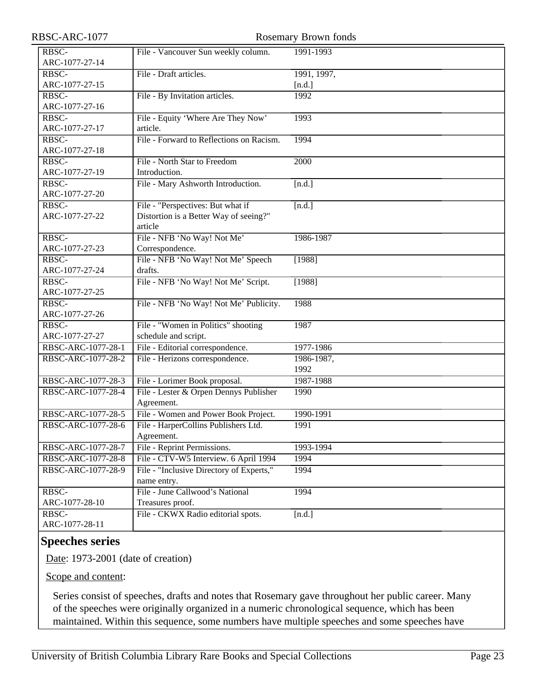| RBSC-ARC-1077      |                                          | <b>Rosemary Brown fonds</b> |
|--------------------|------------------------------------------|-----------------------------|
| RBSC-              | File - Vancouver Sun weekly column.      | 1991-1993                   |
| ARC-1077-27-14     |                                          |                             |
| RBSC-              | File - Draft articles.                   | 1991, 1997,                 |
| ARC-1077-27-15     |                                          | [n.d.]                      |
| RBSC-              | File - By Invitation articles.           | 1992                        |
| ARC-1077-27-16     |                                          |                             |
| RBSC-              | File - Equity 'Where Are They Now'       | 1993                        |
| ARC-1077-27-17     | article.                                 |                             |
| RBSC-              | File - Forward to Reflections on Racism. | 1994                        |
| ARC-1077-27-18     |                                          |                             |
| RBSC-              | File - North Star to Freedom             | 2000                        |
| ARC-1077-27-19     | Introduction.                            |                             |
| RBSC-              | File - Mary Ashworth Introduction.       | [n.d.]                      |
| ARC-1077-27-20     |                                          |                             |
| RBSC-              | File - "Perspectives: But what if        | [n.d.]                      |
| ARC-1077-27-22     | Distortion is a Better Way of seeing?"   |                             |
|                    | article                                  |                             |
| RBSC-              | File - NFB 'No Way! Not Me'              | 1986-1987                   |
| ARC-1077-27-23     | Correspondence.                          |                             |
| RBSC-              | File - NFB 'No Way! Not Me' Speech       | [1988]                      |
| ARC-1077-27-24     | drafts.                                  |                             |
| RBSC-              | File - NFB 'No Way! Not Me' Script.      | [1988]                      |
| ARC-1077-27-25     |                                          |                             |
| RBSC-              | File - NFB 'No Way! Not Me' Publicity.   | 1988                        |
| ARC-1077-27-26     |                                          |                             |
| RBSC-              | File - "Women in Politics" shooting      | 1987                        |
| ARC-1077-27-27     | schedule and script.                     |                             |
| RBSC-ARC-1077-28-1 | File - Editorial correspondence.         | 1977-1986                   |
| RBSC-ARC-1077-28-2 | File - Herizons correspondence.          | 1986-1987,                  |
|                    |                                          | 1992                        |
| RBSC-ARC-1077-28-3 | File - Lorimer Book proposal.            | 1987-1988                   |
| RBSC-ARC-1077-28-4 | File - Lester & Orpen Dennys Publisher   | 1990                        |
|                    | Agreement.                               |                             |
| RBSC-ARC-1077-28-5 | File - Women and Power Book Project.     | 1990-1991                   |
| RBSC-ARC-1077-28-6 | File - HarperCollins Publishers Ltd.     | 1991                        |
|                    | Agreement.                               |                             |
| RBSC-ARC-1077-28-7 | File - Reprint Permissions.              | 1993-1994                   |
| RBSC-ARC-1077-28-8 | File - CTV-W5 Interview. 6 April 1994    | 1994                        |
| RBSC-ARC-1077-28-9 | File - "Inclusive Directory of Experts," | 1994                        |
|                    | name entry.                              |                             |
| RBSC-              | File - June Callwood's National          | 1994                        |
| ARC-1077-28-10     | Treasures proof.                         |                             |
| RBSC-              | File - CKWX Radio editorial spots.       | [n.d.]                      |
| ARC-1077-28-11     |                                          |                             |
|                    |                                          |                             |

#### <span id="page-22-0"></span>**Speeches series**

Date: 1973-2001 (date of creation)

Scope and content:

Series consist of speeches, drafts and notes that Rosemary gave throughout her public career. Many of the speeches were originally organized in a numeric chronological sequence, which has been maintained. Within this sequence, some numbers have multiple speeches and some speeches have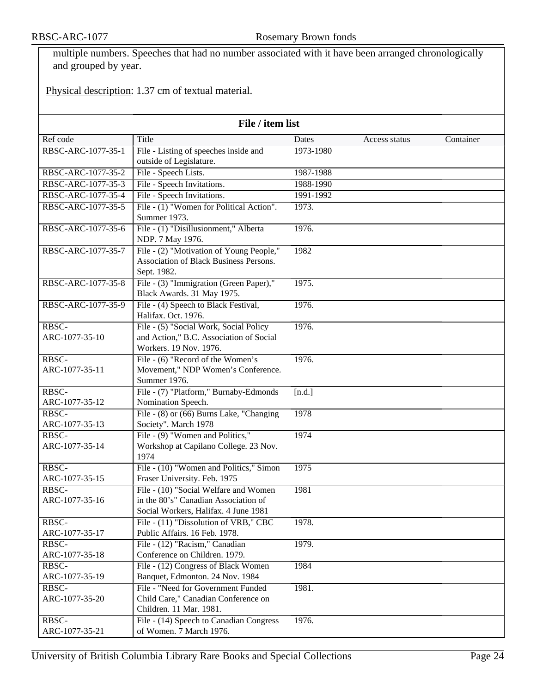multiple numbers. Speeches that had no number associated with it have been arranged chronologically and grouped by year.

Physical description: 1.37 cm of textual material.

| File / item list        |                                                                  |              |               |           |
|-------------------------|------------------------------------------------------------------|--------------|---------------|-----------|
| Ref code                | Title                                                            | <b>Dates</b> | Access status | Container |
| RBSC-ARC-1077-35-1      | File - Listing of speeches inside and                            | 1973-1980    |               |           |
|                         | outside of Legislature.                                          |              |               |           |
| RBSC-ARC-1077-35-2      | File - Speech Lists.                                             | 1987-1988    |               |           |
| RBSC-ARC-1077-35-3      | File - Speech Invitations.                                       | 1988-1990    |               |           |
| RBSC-ARC-1077-35-4      | File - Speech Invitations.                                       | 1991-1992    |               |           |
| RBSC-ARC-1077-35-5      | File - (1) "Women for Political Action".                         | 1973.        |               |           |
|                         | Summer 1973.                                                     |              |               |           |
| RBSC-ARC-1077-35-6      | File - (1) "Disillusionment," Alberta                            | 1976.        |               |           |
|                         | NDP. 7 May 1976.                                                 |              |               |           |
| RBSC-ARC-1077-35-7      | File - (2) "Motivation of Young People,"                         | 1982         |               |           |
|                         | Association of Black Business Persons.                           |              |               |           |
|                         | Sept. 1982.                                                      |              |               |           |
| RBSC-ARC-1077-35-8      | File - (3) "Immigration (Green Paper),"                          | 1975.        |               |           |
|                         | Black Awards. 31 May 1975.                                       |              |               |           |
| RBSC-ARC-1077-35-9      | File - (4) Speech to Black Festival,                             | 1976.        |               |           |
|                         | Halifax. Oct. 1976.                                              |              |               |           |
| RBSC-                   | File - (5) "Social Work, Social Policy                           | 1976.        |               |           |
| ARC-1077-35-10          | and Action," B.C. Association of Social                          |              |               |           |
|                         | Workers. 19 Nov. 1976.                                           |              |               |           |
| RBSC-                   | File - (6) "Record of the Women's                                | 1976.        |               |           |
| ARC-1077-35-11          | Movement," NDP Women's Conference.                               |              |               |           |
|                         | Summer 1976.                                                     |              |               |           |
| RBSC-                   | File - (7) "Platform," Burnaby-Edmonds                           | [n.d.]       |               |           |
| ARC-1077-35-12<br>RBSC- | Nomination Speech.                                               | 1978         |               |           |
| ARC-1077-35-13          | File - (8) or (66) Burns Lake, "Changing<br>Society". March 1978 |              |               |           |
| RBSC-                   | File - (9) "Women and Politics,"                                 | 1974         |               |           |
| ARC-1077-35-14          | Workshop at Capilano College. 23 Nov.                            |              |               |           |
|                         | 1974                                                             |              |               |           |
| RBSC-                   | File - (10) "Women and Politics," Simon                          | 1975         |               |           |
| ARC-1077-35-15          | Fraser University. Feb. 1975                                     |              |               |           |
| RBSC-                   | File - (10) "Social Welfare and Women                            | 1981         |               |           |
| ARC-1077-35-16          | in the 80's" Canadian Association of                             |              |               |           |
|                         | Social Workers, Halifax. 4 June 1981                             |              |               |           |
| RBSC-                   | File - (11) "Dissolution of VRB," CBC                            | 1978.        |               |           |
| ARC-1077-35-17          | Public Affairs. 16 Feb. 1978.                                    |              |               |           |
| RBSC-                   | File - (12) "Racism," Canadian                                   | 1979.        |               |           |
| ARC-1077-35-18          | Conference on Children. 1979.                                    |              |               |           |
| RBSC-                   | File - (12) Congress of Black Women                              | 1984         |               |           |
| ARC-1077-35-19          | Banquet, Edmonton. 24 Nov. 1984                                  |              |               |           |
| RBSC-                   | File - "Need for Government Funded                               | 1981.        |               |           |
| ARC-1077-35-20          | Child Care," Canadian Conference on                              |              |               |           |
|                         | Children. 11 Mar. 1981.                                          |              |               |           |
| RBSC-                   | File - (14) Speech to Canadian Congress                          | 1976.        |               |           |
| ARC-1077-35-21          | of Women. 7 March 1976.                                          |              |               |           |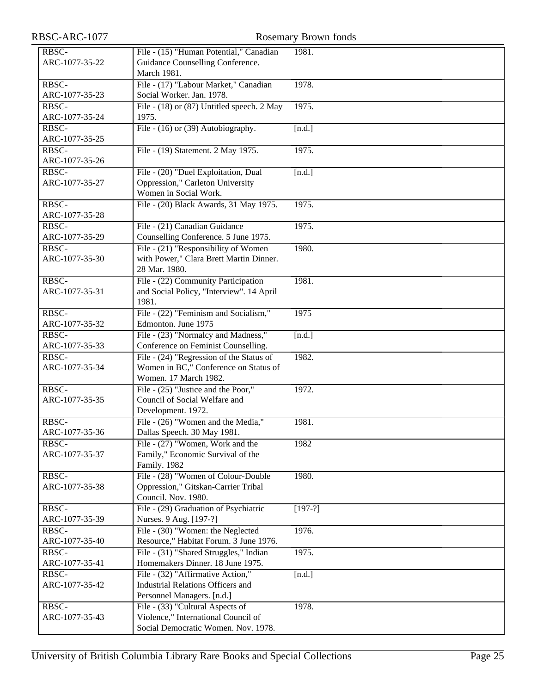| RBSC-ARC-1077           |                                                                            | Rosemary Brown fonds |
|-------------------------|----------------------------------------------------------------------------|----------------------|
| RBSC-                   | File - (15) "Human Potential," Canadian                                    | 1981.                |
| ARC-1077-35-22          | Guidance Counselling Conference.                                           |                      |
|                         | March 1981.                                                                |                      |
| RBSC-                   | File - (17) "Labour Market," Canadian                                      | 1978.                |
| ARC-1077-35-23          | Social Worker. Jan. 1978.                                                  |                      |
| RBSC-                   | File - (18) or (87) Untitled speech. 2 May                                 | 1975.                |
| ARC-1077-35-24          | 1975.                                                                      |                      |
| RBSC-                   | File - (16) or (39) Autobiography.                                         | [n.d.]               |
| ARC-1077-35-25          |                                                                            |                      |
| RBSC-                   | File - (19) Statement. 2 May 1975.                                         | 1975.                |
| ARC-1077-35-26          |                                                                            |                      |
| RBSC-                   | File - (20) "Duel Exploitation, Dual                                       | [n.d.]               |
| ARC-1077-35-27          | Oppression," Carleton University                                           |                      |
|                         | Women in Social Work.                                                      |                      |
| RBSC-                   | File - (20) Black Awards, 31 May 1975.                                     | 1975.                |
| ARC-1077-35-28          |                                                                            |                      |
| RBSC-                   | File - (21) Canadian Guidance                                              | 1975.                |
| ARC-1077-35-29          | Counselling Conference. 5 June 1975.                                       |                      |
| RBSC-                   | File - (21) "Responsibility of Women                                       | 1980.                |
| ARC-1077-35-30          | with Power," Clara Brett Martin Dinner.                                    |                      |
|                         | 28 Mar. 1980.                                                              |                      |
| RBSC-                   | File - (22) Community Participation                                        | 1981.                |
| ARC-1077-35-31          | and Social Policy, "Interview". 14 April                                   |                      |
|                         | 1981.                                                                      |                      |
| RBSC-                   | File - (22) "Feminism and Socialism,"                                      | 1975                 |
| ARC-1077-35-32<br>RBSC- | Edmonton. June 1975                                                        |                      |
| ARC-1077-35-33          | File - (23) "Normalcy and Madness,"<br>Conference on Feminist Counselling. | [n.d.]               |
| RBSC-                   | File $-(24)$ "Regression of the Status of                                  | 1982.                |
| ARC-1077-35-34          | Women in BC," Conference on Status of                                      |                      |
|                         | Women. 17 March 1982.                                                      |                      |
| RBSC-                   | File - (25) "Justice and the Poor,"                                        | 1972.                |
| ARC-1077-35-35          | Council of Social Welfare and                                              |                      |
|                         | Development. 1972.                                                         |                      |
| RBSC-                   | File - (26) "Women and the Media,"                                         | 1981.                |
| ARC-1077-35-36          | Dallas Speech. 30 May 1981.                                                |                      |
| RBSC-                   | File - (27) "Women, Work and the                                           | 1982                 |
| ARC-1077-35-37          | Family," Economic Survival of the                                          |                      |
|                         | Family. 1982                                                               |                      |
| RBSC-                   | File - (28) "Women of Colour-Double                                        | 1980.                |
| ARC-1077-35-38          | Oppression," Gitskan-Carrier Tribal                                        |                      |
|                         | Council. Nov. 1980.                                                        |                      |
| RBSC-                   | File - (29) Graduation of Psychiatric                                      | $[197-?]$            |
| ARC-1077-35-39          | Nurses. 9 Aug. [197-?]                                                     |                      |
| RBSC-                   | File - (30) "Women: the Neglected                                          | 1976.                |
| ARC-1077-35-40          | Resource," Habitat Forum. 3 June 1976.                                     |                      |
| RBSC-                   | File - (31) "Shared Struggles," Indian                                     | 1975.                |
| ARC-1077-35-41          | Homemakers Dinner. 18 June 1975.                                           |                      |
| RBSC-                   | File - (32) "Affirmative Action,"                                          | [n.d.]               |
| ARC-1077-35-42          | <b>Industrial Relations Officers and</b>                                   |                      |
|                         | Personnel Managers. [n.d.]                                                 |                      |
| RBSC-                   | File - (33) "Cultural Aspects of                                           | 1978.                |
| ARC-1077-35-43          | Violence," International Council of<br>Social Democratic Women. Nov. 1978. |                      |
|                         |                                                                            |                      |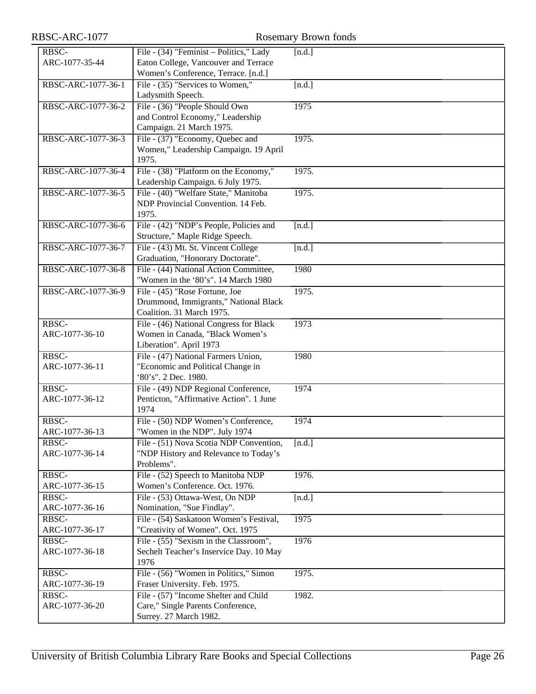| RBSC-              | File - (34) "Feminist - Politics," Lady                   | [n.d.]                            |
|--------------------|-----------------------------------------------------------|-----------------------------------|
| ARC-1077-35-44     | Eaton College, Vancouver and Terrace                      |                                   |
|                    | Women's Conference, Terrace. [n.d.]                       |                                   |
| RBSC-ARC-1077-36-1 | File - (35) "Services to Women,"                          | [n.d.]                            |
|                    | Ladysmith Speech.                                         |                                   |
| RBSC-ARC-1077-36-2 | File - (36) "People Should Own                            | 1975                              |
|                    | and Control Economy," Leadership                          |                                   |
|                    | Campaign. 21 March 1975.                                  |                                   |
| RBSC-ARC-1077-36-3 | File - (37) "Economy, Quebec and                          | 1975.                             |
|                    | Women," Leadership Campaign. 19 April                     |                                   |
| 1975.              |                                                           |                                   |
| RBSC-ARC-1077-36-4 | File - (38) "Platform on the Economy,"                    | 1975.                             |
|                    | Leadership Campaign. 6 July 1975.                         |                                   |
| RBSC-ARC-1077-36-5 | File - (40) "Welfare State," Manitoba                     | 1975.                             |
|                    | NDP Provincial Convention. 14 Feb.                        |                                   |
| 1975.              |                                                           |                                   |
| RBSC-ARC-1077-36-6 | File - (42) "NDP's People, Policies and                   | [n.d.]                            |
|                    | Structure," Maple Ridge Speech.                           |                                   |
| RBSC-ARC-1077-36-7 | File - (43) Mt. St. Vincent College                       | [n.d.]                            |
|                    | Graduation, "Honorary Doctorate".                         |                                   |
| RBSC-ARC-1077-36-8 | File - (44) National Action Committee,                    | 1980                              |
|                    | "Women in the '80's". 14 March 1980                       |                                   |
| RBSC-ARC-1077-36-9 | File - (45) "Rose Fortune, Joe                            | 1975.                             |
|                    | Drummond, Immigrants," National Black                     |                                   |
|                    | Coalition. 31 March 1975.                                 |                                   |
| RBSC-              | File - (46) National Congress for Black                   | 1973                              |
| ARC-1077-36-10     | Women in Canada, "Black Women's                           |                                   |
|                    | Liberation". April 1973                                   |                                   |
| RBSC-              | File - (47) National Farmers Union,                       | 1980                              |
| ARC-1077-36-11     | "Economic and Political Change in<br>'80's". 2 Dec. 1980. |                                   |
| RBSC-              | File - (49) NDP Regional Conference,                      | 1974                              |
| ARC-1077-36-12     | Penticton, "Affirmative Action". 1 June                   |                                   |
| 1974               |                                                           |                                   |
| RBSC-              | File - (50) NDP Women's Conference,                       | 1974                              |
| ARC-1077-36-13     | "Women in the NDP". July 1974                             |                                   |
| RBSC-              | File - (51) Nova Scotia NDP Convention,                   | $\overline{\lbrack n.d. \rbrack}$ |
| ARC-1077-36-14     | "NDP History and Relevance to Today's                     |                                   |
|                    | Problems".                                                |                                   |
| RBSC-              | File - (52) Speech to Manitoba NDP                        | 1976.                             |
| ARC-1077-36-15     | Women's Conference. Oct. 1976.                            |                                   |
| RBSC-              | File - (53) Ottawa-West, On NDP                           | [n.d.]                            |
| ARC-1077-36-16     | Nomination, "Sue Findlay".                                |                                   |
| RBSC-              | File - (54) Saskatoon Women's Festival,                   | 1975                              |
| ARC-1077-36-17     | "Creativity of Women". Oct. 1975                          |                                   |
| RBSC-              | File - (55) "Sexism in the Classroom",                    | 1976                              |
| ARC-1077-36-18     | Sechelt Teacher's Inservice Day. 10 May                   |                                   |
| 1976               |                                                           |                                   |
| RBSC-              | File - (56) "Women in Politics," Simon                    | 1975.                             |
| ARC-1077-36-19     | Fraser University. Feb. 1975.                             |                                   |
| RBSC-              | File - (57) "Income Shelter and Child                     | 1982.                             |
| ARC-1077-36-20     | Care," Single Parents Conference,                         |                                   |
|                    | Surrey. 27 March 1982.                                    |                                   |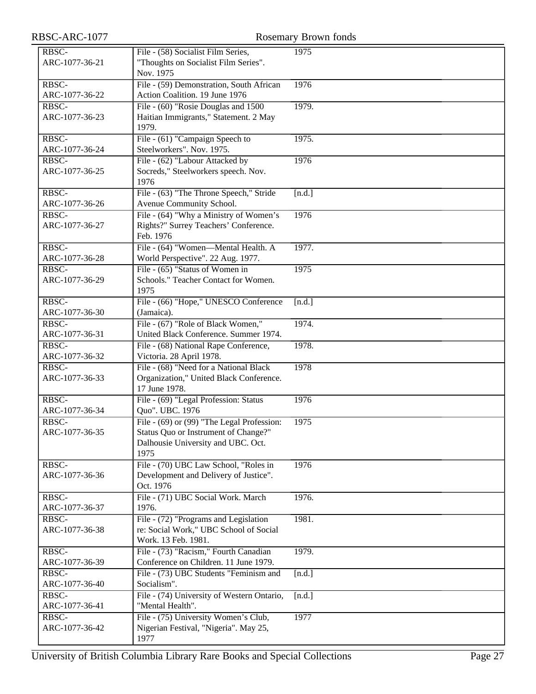| RBSC-ARC-1077           | Rosemary Brown fonds                                                                                                             |        |  |
|-------------------------|----------------------------------------------------------------------------------------------------------------------------------|--------|--|
| RBSC-<br>ARC-1077-36-21 | File - (58) Socialist Film Series,<br>"Thoughts on Socialist Film Series".<br>Nov. 1975                                          | 1975   |  |
| RBSC-<br>ARC-1077-36-22 | File - (59) Demonstration, South African<br>Action Coalition. 19 June 1976                                                       | 1976   |  |
| RBSC-<br>ARC-1077-36-23 | File - (60) "Rosie Douglas and 1500<br>Haitian Immigrants," Statement. 2 May<br>1979.                                            | 1979.  |  |
| RBSC-<br>ARC-1077-36-24 | File - (61) "Campaign Speech to<br>Steelworkers". Nov. 1975.                                                                     | 1975.  |  |
| RBSC-<br>ARC-1077-36-25 | File - (62) "Labour Attacked by<br>Socreds," Steelworkers speech. Nov.<br>1976                                                   | 1976   |  |
| RBSC-<br>ARC-1077-36-26 | File - (63) "The Throne Speech," Stride<br>Avenue Community School.                                                              | [n.d.] |  |
| RBSC-<br>ARC-1077-36-27 | File - (64) "Why a Ministry of Women's<br>Rights?" Surrey Teachers' Conference.<br>Feb. 1976                                     | 1976   |  |
| RBSC-<br>ARC-1077-36-28 | File - (64) "Women-Mental Health. A<br>World Perspective". 22 Aug. 1977.                                                         | 1977.  |  |
| RBSC-<br>ARC-1077-36-29 | File - (65) "Status of Women in<br>Schools." Teacher Contact for Women.<br>1975                                                  | 1975   |  |
| RBSC-<br>ARC-1077-36-30 | File - (66) "Hope," UNESCO Conference<br>(Jamaica).                                                                              | [n.d.] |  |
| RBSC-<br>ARC-1077-36-31 | File - (67) "Role of Black Women,"<br>United Black Conference. Summer 1974.                                                      | 1974.  |  |
| RBSC-<br>ARC-1077-36-32 | File - (68) National Rape Conference,<br>Victoria. 28 April 1978.                                                                | 1978.  |  |
| RBSC-<br>ARC-1077-36-33 | File - (68) "Need for a National Black<br>Organization," United Black Conference.<br>17 June 1978.                               | 1978   |  |
| RBSC-<br>ARC-1077-36-34 | File - (69) "Legal Profession: Status<br>Quo". UBC. 1976                                                                         | 1976   |  |
| RBSC-<br>ARC-1077-36-35 | File - (69) or (99) "The Legal Profession:<br>Status Quo or Instrument of Change?"<br>Dalhousie University and UBC. Oct.<br>1975 | 1975   |  |
| RBSC-<br>ARC-1077-36-36 | File - (70) UBC Law School, "Roles in<br>Development and Delivery of Justice".<br>Oct. 1976                                      | 1976   |  |
| RBSC-<br>ARC-1077-36-37 | File - (71) UBC Social Work. March<br>1976.                                                                                      | 1976.  |  |
| RBSC-<br>ARC-1077-36-38 | File - (72) "Programs and Legislation<br>re: Social Work," UBC School of Social<br>Work. 13 Feb. 1981.                           | 1981.  |  |
| RBSC-<br>ARC-1077-36-39 | File - (73) "Racism," Fourth Canadian<br>Conference on Children. 11 June 1979.                                                   | 1979.  |  |
| RBSC-<br>ARC-1077-36-40 | File - (73) UBC Students "Feminism and<br>Socialism".                                                                            | [n.d.] |  |
| RBSC-<br>ARC-1077-36-41 | File - (74) University of Western Ontario,<br>"Mental Health".                                                                   | [n.d.] |  |
| RBSC-<br>ARC-1077-36-42 | File - (75) University Women's Club,<br>Nigerian Festival, "Nigeria". May 25,<br>1977                                            | 1977   |  |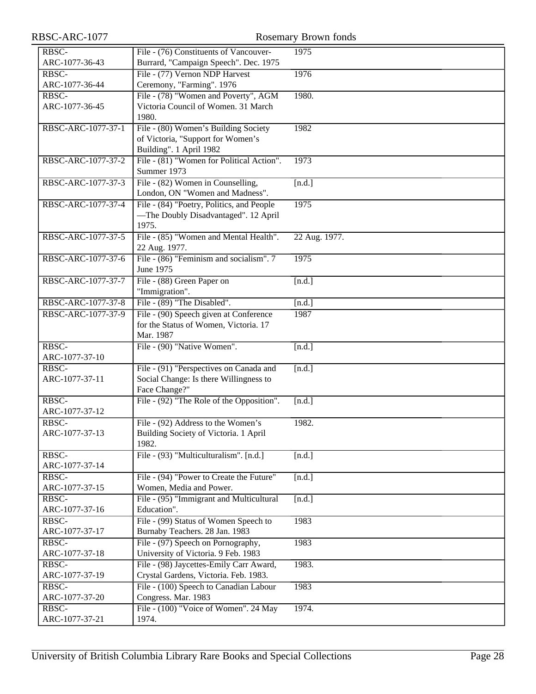| RBSC-ARC-1077      |                                           | <b>Rosemary Brown fonds</b> |
|--------------------|-------------------------------------------|-----------------------------|
| RBSC-              | File - (76) Constituents of Vancouver-    | 1975                        |
| ARC-1077-36-43     | Burrard, "Campaign Speech". Dec. 1975     |                             |
| RBSC-              | File - (77) Vernon NDP Harvest            | 1976                        |
| ARC-1077-36-44     | Ceremony, "Farming". 1976                 |                             |
| RBSC-              | File - (78) "Women and Poverty", AGM      | 1980.                       |
| ARC-1077-36-45     | Victoria Council of Women. 31 March       |                             |
|                    | 1980.                                     |                             |
| RBSC-ARC-1077-37-1 | File - (80) Women's Building Society      | 1982                        |
|                    | of Victoria, "Support for Women's         |                             |
|                    | Building". 1 April 1982                   |                             |
| RBSC-ARC-1077-37-2 | File - (81) "Women for Political Action". | 1973                        |
|                    | Summer 1973                               |                             |
| RBSC-ARC-1077-37-3 | File - (82) Women in Counselling,         | [n.d.]                      |
|                    | London, ON "Women and Madness".           |                             |
| RBSC-ARC-1077-37-4 | File - (84) "Poetry, Politics, and People | 1975                        |
|                    | -The Doubly Disadvantaged". 12 April      |                             |
|                    | 1975.                                     |                             |
| RBSC-ARC-1077-37-5 | File - (85) "Women and Mental Health".    | 22 Aug. 1977.               |
|                    | 22 Aug. 1977.                             |                             |
| RBSC-ARC-1077-37-6 | File - (86) "Feminism and socialism". 7   | 1975                        |
|                    | June 1975                                 |                             |
| RBSC-ARC-1077-37-7 | File - (88) Green Paper on                | [n.d.]                      |
|                    | "Immigration".                            |                             |
| RBSC-ARC-1077-37-8 | File - (89) "The Disabled".               | [n.d.]                      |
| RBSC-ARC-1077-37-9 | File - (90) Speech given at Conference    | 1987                        |
|                    | for the Status of Women, Victoria. 17     |                             |
|                    | Mar. 1987                                 |                             |
| RBSC-              | File - (90) "Native Women".               | [n.d.]                      |
| ARC-1077-37-10     |                                           |                             |
| RBSC-              | File - (91) "Perspectives on Canada and   | [n.d.]                      |
| ARC-1077-37-11     | Social Change: Is there Willingness to    |                             |
|                    | Face Change?"                             |                             |
| RBSC-              | File - (92) "The Role of the Opposition". | [n.d.]                      |
| ARC-1077-37-12     |                                           |                             |
| RBSC-              | File - (92) Address to the Women's        | 1982.                       |
| ARC-1077-37-13     | Building Society of Victoria. 1 April     |                             |
|                    | 1982.                                     |                             |
| RBSC-              | File - (93) "Multiculturalism". [n.d.]    | [n.d.]                      |
| ARC-1077-37-14     |                                           |                             |
| RBSC-              | File - (94) "Power to Create the Future"  | [n.d.]                      |
| ARC-1077-37-15     | Women, Media and Power.                   |                             |
| RBSC-              | File - (95) "Immigrant and Multicultural  | [n.d.]                      |
| ARC-1077-37-16     | Education".                               |                             |
| RBSC-              | File - (99) Status of Women Speech to     | 1983                        |
| ARC-1077-37-17     | Burnaby Teachers. 28 Jan. 1983            |                             |
| RBSC-              | File - (97) Speech on Pornography,        | 1983                        |
| ARC-1077-37-18     | University of Victoria. 9 Feb. 1983       |                             |
| RBSC-              | File - (98) Jaycettes-Emily Carr Award,   | 1983.                       |
| ARC-1077-37-19     | Crystal Gardens, Victoria. Feb. 1983.     |                             |
| RBSC-              | File - (100) Speech to Canadian Labour    | 1983                        |
| ARC-1077-37-20     | Congress. Mar. 1983                       |                             |
| RBSC-              | File - (100) "Voice of Women". 24 May     | 1974.                       |
| ARC-1077-37-21     | 1974.                                     |                             |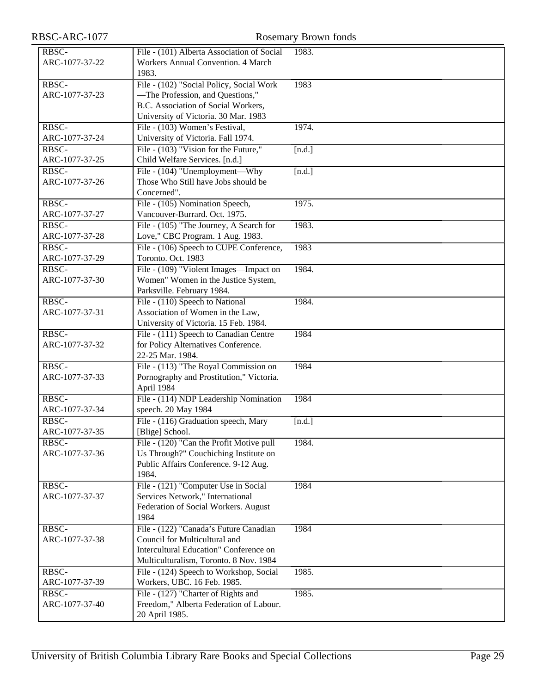| RBSC-ARC-1077           |                                                             | <b>Rosemary Brown fonds</b> |
|-------------------------|-------------------------------------------------------------|-----------------------------|
| RBSC-                   | File - (101) Alberta Association of Social                  | 1983.                       |
| ARC-1077-37-22          | Workers Annual Convention. 4 March                          |                             |
|                         | 1983.                                                       |                             |
| RBSC-                   | File - (102) "Social Policy, Social Work                    | 1983                        |
| ARC-1077-37-23          | -The Profession, and Questions,"                            |                             |
|                         | B.C. Association of Social Workers,                         |                             |
|                         | University of Victoria. 30 Mar. 1983                        |                             |
| RBSC-                   | File - (103) Women's Festival,                              | 1974.                       |
| ARC-1077-37-24          | University of Victoria. Fall 1974.                          |                             |
| RBSC-                   | File - (103) "Vision for the Future,"                       | [n.d.]                      |
| ARC-1077-37-25          | Child Welfare Services. [n.d.]                              |                             |
| RBSC-                   | File - (104) "Unemployment—Why                              | [n.d.]                      |
| ARC-1077-37-26          | Those Who Still have Jobs should be                         |                             |
|                         | Concerned".                                                 |                             |
| RBSC-                   | File - (105) Nomination Speech,                             | 1975.                       |
| ARC-1077-37-27          | Vancouver-Burrard. Oct. 1975.                               |                             |
| RBSC-                   | File - (105) "The Journey, A Search for                     | 1983.                       |
| ARC-1077-37-28          | Love," CBC Program. 1 Aug. 1983.                            |                             |
| RBSC-                   | File - (106) Speech to CUPE Conference,                     | 1983                        |
| ARC-1077-37-29          | Toronto. Oct. 1983                                          |                             |
| RBSC-                   | File - (109) "Violent Images—Impact on                      | 1984.                       |
| ARC-1077-37-30          | Women" Women in the Justice System,                         |                             |
|                         | Parksville. February 1984.                                  |                             |
| RBSC-                   | File - (110) Speech to National                             | 1984.                       |
| ARC-1077-37-31          | Association of Women in the Law,                            |                             |
|                         | University of Victoria. 15 Feb. 1984.                       |                             |
| RBSC-                   | File - (111) Speech to Canadian Centre                      | 1984                        |
| ARC-1077-37-32          | for Policy Alternatives Conference.                         |                             |
|                         | 22-25 Mar. 1984.                                            |                             |
| RBSC-                   | File - (113) "The Royal Commission on                       | 1984                        |
| ARC-1077-37-33          | Pornography and Prostitution," Victoria.                    |                             |
|                         | April 1984                                                  |                             |
| RBSC-                   | File - (114) NDP Leadership Nomination                      | 1984                        |
| ARC-1077-37-34          | speech. 20 May 1984                                         |                             |
| RBSC-                   | File - (116) Graduation speech, Mary                        | [n.d.]                      |
| ARC-1077-37-35<br>RBSC- | [Blige] School.<br>File - (120) "Can the Profit Motive pull | 1984.                       |
| ARC-1077-37-36          | Us Through?" Couchiching Institute on                       |                             |
|                         | Public Affairs Conference. 9-12 Aug.                        |                             |
|                         | 1984.                                                       |                             |
| RBSC-                   | File - (121) "Computer Use in Social                        | 1984                        |
| ARC-1077-37-37          | Services Network," International                            |                             |
|                         | Federation of Social Workers. August                        |                             |
|                         | 1984                                                        |                             |
| RBSC-                   | File - (122) "Canada's Future Canadian                      | 1984                        |
| ARC-1077-37-38          | Council for Multicultural and                               |                             |
|                         | Intercultural Education" Conference on                      |                             |
|                         | Multiculturalism, Toronto. 8 Nov. 1984                      |                             |
| RBSC-                   | File - (124) Speech to Workshop, Social                     | 1985.                       |
| ARC-1077-37-39          | Workers, UBC. 16 Feb. 1985.                                 |                             |
| RBSC-                   | File - (127) "Charter of Rights and                         | 1985.                       |
| ARC-1077-37-40          | Freedom," Alberta Federation of Labour.                     |                             |
|                         | 20 April 1985.                                              |                             |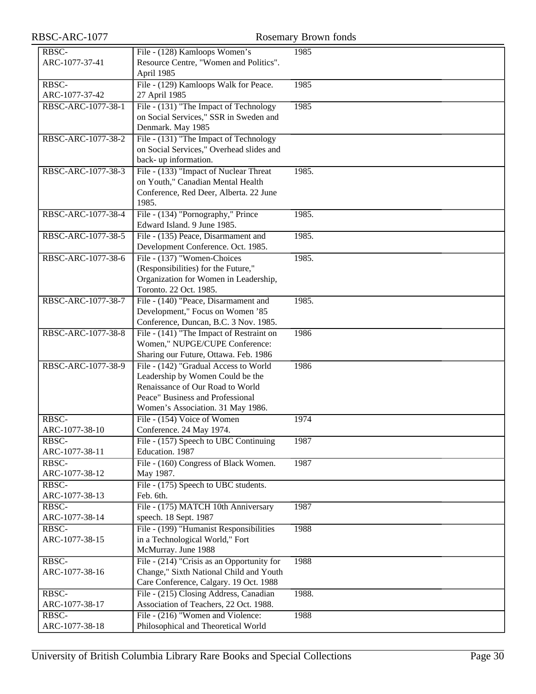| RBSC-ARC-1077      |                                                                            | Rosemary Brown fonds |
|--------------------|----------------------------------------------------------------------------|----------------------|
| RBSC-              | File - (128) Kamloops Women's                                              | 1985                 |
| ARC-1077-37-41     | Resource Centre, "Women and Politics".                                     |                      |
|                    | April 1985                                                                 |                      |
| RBSC-              | File - (129) Kamloops Walk for Peace.                                      | 1985                 |
| ARC-1077-37-42     | 27 April 1985                                                              |                      |
| RBSC-ARC-1077-38-1 | File - (131) "The Impact of Technology                                     | 1985                 |
|                    | on Social Services," SSR in Sweden and                                     |                      |
|                    | Denmark. May 1985                                                          |                      |
| RBSC-ARC-1077-38-2 | File - (131) "The Impact of Technology                                     |                      |
|                    | on Social Services," Overhead slides and                                   |                      |
|                    | back- up information.                                                      |                      |
| RBSC-ARC-1077-38-3 | File - (133) "Impact of Nuclear Threat                                     | 1985.                |
|                    | on Youth," Canadian Mental Health                                          |                      |
|                    | Conference, Red Deer, Alberta. 22 June                                     |                      |
|                    | 1985.                                                                      |                      |
| RBSC-ARC-1077-38-4 | File - (134) "Pornography," Prince                                         | 1985.                |
|                    | Edward Island. 9 June 1985.                                                |                      |
| RBSC-ARC-1077-38-5 | File - (135) Peace, Disarmament and                                        | 1985.                |
|                    | Development Conference. Oct. 1985.                                         |                      |
| RBSC-ARC-1077-38-6 | File - (137) "Women-Choices                                                | 1985.                |
|                    | (Responsibilities) for the Future,"                                        |                      |
|                    | Organization for Women in Leadership,                                      |                      |
|                    | Toronto. 22 Oct. 1985.                                                     |                      |
| RBSC-ARC-1077-38-7 | File - (140) "Peace, Disarmament and                                       | 1985.                |
|                    | Development," Focus on Women '85                                           |                      |
|                    | Conference, Duncan, B.C. 3 Nov. 1985.                                      |                      |
| RBSC-ARC-1077-38-8 | File - (141) "The Impact of Restraint on<br>Women," NUPGE/CUPE Conference: | 1986                 |
|                    | Sharing our Future, Ottawa. Feb. 1986                                      |                      |
| RBSC-ARC-1077-38-9 | File - (142) "Gradual Access to World                                      | 1986                 |
|                    | Leadership by Women Could be the                                           |                      |
|                    | Renaissance of Our Road to World                                           |                      |
|                    | Peace" Business and Professional                                           |                      |
|                    | Women's Association. 31 May 1986.                                          |                      |
| RBSC-              | File - (154) Voice of Women                                                | 1974                 |
| ARC-1077-38-10     | Conference. 24 May 1974.                                                   |                      |
| RBSC-              | File - (157) Speech to UBC Continuing                                      | 1987                 |
| ARC-1077-38-11     | Education. 1987                                                            |                      |
| RBSC-              | File - (160) Congress of Black Women.                                      | 1987                 |
| ARC-1077-38-12     | May 1987.                                                                  |                      |
| RBSC-              | File - (175) Speech to UBC students.                                       |                      |
| ARC-1077-38-13     | Feb. 6th.                                                                  |                      |
| RBSC-              | File - (175) MATCH 10th Anniversary                                        | 1987                 |
| ARC-1077-38-14     | speech. 18 Sept. 1987                                                      |                      |
| RBSC-              | File - (199) "Humanist Responsibilities                                    | 1988                 |
| ARC-1077-38-15     | in a Technological World," Fort                                            |                      |
|                    | McMurray. June 1988                                                        |                      |
| RBSC-              | File - $(214)$ "Crisis as an Opportunity for                               | 1988                 |
| ARC-1077-38-16     | Change," Sixth National Child and Youth                                    |                      |
|                    | Care Conference, Calgary. 19 Oct. 1988                                     |                      |
| RBSC-              | File - (215) Closing Address, Canadian                                     | 1988.                |
| ARC-1077-38-17     | Association of Teachers, 22 Oct. 1988.                                     |                      |
| RBSC-              | File - (216) "Women and Violence:                                          | 1988                 |
| ARC-1077-38-18     | Philosophical and Theoretical World                                        |                      |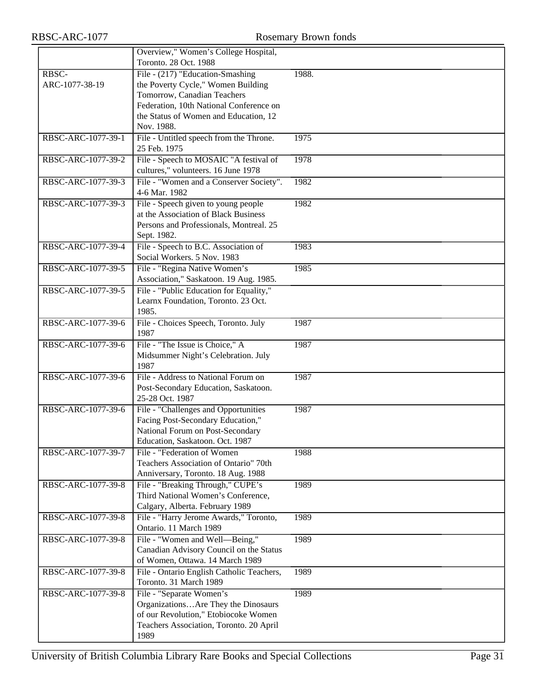|                    | Overview," Women's College Hospital,      |       |
|--------------------|-------------------------------------------|-------|
|                    | Toronto. 28 Oct. 1988                     |       |
| RBSC-              | File - (217) "Education-Smashing          | 1988. |
| ARC-1077-38-19     | the Poverty Cycle," Women Building        |       |
|                    | Tomorrow, Canadian Teachers               |       |
|                    | Federation, 10th National Conference on   |       |
|                    | the Status of Women and Education, 12     |       |
|                    | Nov. 1988.                                |       |
| RBSC-ARC-1077-39-1 | File - Untitled speech from the Throne.   | 1975  |
|                    | 25 Feb. 1975                              |       |
| RBSC-ARC-1077-39-2 | File - Speech to MOSAIC "A festival of    | 1978  |
|                    | cultures," volunteers. 16 June 1978       |       |
| RBSC-ARC-1077-39-3 | File - "Women and a Conserver Society".   | 1982  |
|                    | 4-6 Mar. 1982                             |       |
| RBSC-ARC-1077-39-3 | File - Speech given to young people       | 1982  |
|                    | at the Association of Black Business      |       |
|                    | Persons and Professionals, Montreal. 25   |       |
|                    | Sept. 1982.                               |       |
| RBSC-ARC-1077-39-4 | File - Speech to B.C. Association of      | 1983  |
|                    | Social Workers. 5 Nov. 1983               |       |
| RBSC-ARC-1077-39-5 | File - "Regina Native Women's             | 1985  |
|                    | Association," Saskatoon. 19 Aug. 1985.    |       |
| RBSC-ARC-1077-39-5 | File - "Public Education for Equality,"   |       |
|                    | Learnx Foundation, Toronto. 23 Oct.       |       |
|                    | 1985.                                     |       |
| RBSC-ARC-1077-39-6 | File - Choices Speech, Toronto. July      | 1987  |
|                    | 1987                                      |       |
| RBSC-ARC-1077-39-6 | File - "The Issue is Choice," A           | 1987  |
|                    | Midsummer Night's Celebration. July       |       |
|                    | 1987                                      |       |
| RBSC-ARC-1077-39-6 | File - Address to National Forum on       | 1987  |
|                    | Post-Secondary Education, Saskatoon.      |       |
|                    | 25-28 Oct. 1987                           |       |
| RBSC-ARC-1077-39-6 | File - "Challenges and Opportunities      | 1987  |
|                    | Facing Post-Secondary Education,"         |       |
|                    | National Forum on Post-Secondary          |       |
|                    | Education, Saskatoon. Oct. 1987           |       |
| RBSC-ARC-1077-39-7 | File - "Federation of Women               | 1988  |
|                    | Teachers Association of Ontario" 70th     |       |
|                    | Anniversary, Toronto. 18 Aug. 1988        |       |
| RBSC-ARC-1077-39-8 | File - "Breaking Through," CUPE's         | 1989  |
|                    | Third National Women's Conference,        |       |
|                    | Calgary, Alberta. February 1989           |       |
| RBSC-ARC-1077-39-8 | File - "Harry Jerome Awards," Toronto,    | 1989  |
|                    | Ontario. 11 March 1989                    |       |
| RBSC-ARC-1077-39-8 | File - "Women and Well-Being,"            | 1989  |
|                    | Canadian Advisory Council on the Status   |       |
|                    | of Women, Ottawa. 14 March 1989           |       |
| RBSC-ARC-1077-39-8 | File - Ontario English Catholic Teachers, | 1989  |
|                    | Toronto. 31 March 1989                    |       |
| RBSC-ARC-1077-39-8 | File - "Separate Women's                  | 1989  |
|                    | OrganizationsAre They the Dinosaurs       |       |
|                    | of our Revolution," Etobiocoke Women      |       |
|                    | Teachers Association, Toronto. 20 April   |       |
|                    | 1989                                      |       |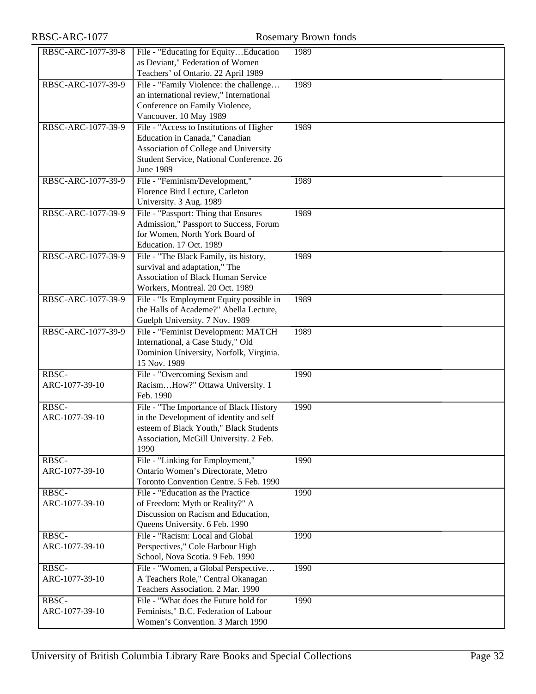| RBSC-ARC-1077           |                                                                                   | Rosemary Brown fonds |
|-------------------------|-----------------------------------------------------------------------------------|----------------------|
| RBSC-ARC-1077-39-8      | File - "Educating for EquityEducation                                             | 1989                 |
|                         | as Deviant," Federation of Women                                                  |                      |
|                         | Teachers' of Ontario. 22 April 1989                                               |                      |
| RBSC-ARC-1077-39-9      | File - "Family Violence: the challenge<br>an international review," International | 1989                 |
|                         | Conference on Family Violence,                                                    |                      |
|                         | Vancouver. 10 May 1989                                                            |                      |
| RBSC-ARC-1077-39-9      | File - "Access to Institutions of Higher                                          | 1989                 |
|                         | Education in Canada," Canadian                                                    |                      |
|                         | Association of College and University                                             |                      |
|                         | Student Service, National Conference. 26                                          |                      |
| RBSC-ARC-1077-39-9      | <b>June 1989</b><br>File - "Feminism/Development,"                                | 1989                 |
|                         | Florence Bird Lecture, Carleton                                                   |                      |
|                         | University. 3 Aug. 1989                                                           |                      |
| RBSC-ARC-1077-39-9      | File - "Passport: Thing that Ensures                                              | 1989                 |
|                         | Admission," Passport to Success, Forum                                            |                      |
|                         | for Women, North York Board of                                                    |                      |
|                         | Education. 17 Oct. 1989                                                           |                      |
| RBSC-ARC-1077-39-9      | File - "The Black Family, its history,<br>survival and adaptation," The           | 1989                 |
|                         | <b>Association of Black Human Service</b>                                         |                      |
|                         | Workers, Montreal. 20 Oct. 1989                                                   |                      |
| RBSC-ARC-1077-39-9      | File - "Is Employment Equity possible in                                          | 1989                 |
|                         | the Halls of Academe?" Abella Lecture,                                            |                      |
|                         | Guelph University. 7 Nov. 1989                                                    |                      |
| RBSC-ARC-1077-39-9      | File - "Feminist Development: MATCH<br>International, a Case Study," Old          | 1989                 |
|                         | Dominion University, Norfolk, Virginia.                                           |                      |
|                         | 15 Nov. 1989                                                                      |                      |
| RBSC-                   | File - "Overcoming Sexism and                                                     | 1990                 |
| ARC-1077-39-10          | RacismHow?" Ottawa University. 1                                                  |                      |
|                         | Feb. 1990                                                                         |                      |
| RBSC-                   | File - "The Importance of Black History                                           | 1990                 |
| ARC-1077-39-10          | in the Development of identity and self<br>esteem of Black Youth," Black Students |                      |
|                         | Association, McGill University. 2 Feb.                                            |                      |
|                         | 1990                                                                              |                      |
| RBSC-                   | File - "Linking for Employment,"                                                  | 1990                 |
| ARC-1077-39-10          | Ontario Women's Directorate, Metro                                                |                      |
|                         | Toronto Convention Centre. 5 Feb. 1990                                            |                      |
| RBSC-<br>ARC-1077-39-10 | File - "Education as the Practice                                                 | 1990                 |
|                         | of Freedom: Myth or Reality?" A<br>Discussion on Racism and Education,            |                      |
|                         | Queens University. 6 Feb. 1990                                                    |                      |
| RBSC-                   | File - "Racism: Local and Global                                                  | 1990                 |
| ARC-1077-39-10          | Perspectives," Cole Harbour High                                                  |                      |
|                         | School, Nova Scotia. 9 Feb. 1990                                                  |                      |
| RBSC-                   | File - "Women, a Global Perspective                                               | 1990                 |
| ARC-1077-39-10          | A Teachers Role," Central Okanagan<br>Teachers Association. 2 Mar. 1990           |                      |
| RBSC-                   | File - "What does the Future hold for                                             | 1990                 |
| ARC-1077-39-10          | Feminists," B.C. Federation of Labour                                             |                      |
|                         | Women's Convention. 3 March 1990                                                  |                      |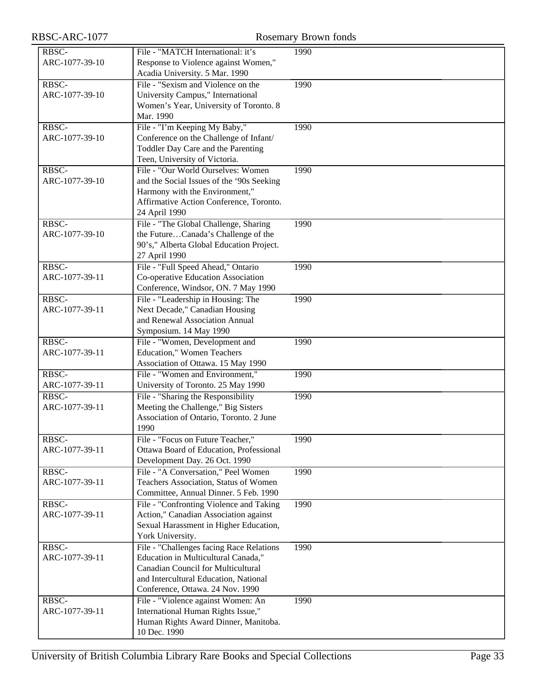| RBSC-ARC-1077 |  |
|---------------|--|
|---------------|--|

| RBSC-ARC-1077  | <b>Rosemary Brown fonds</b>                                                 |      |  |
|----------------|-----------------------------------------------------------------------------|------|--|
| RBSC-          | File - "MATCH International: it's                                           | 1990 |  |
| ARC-1077-39-10 | Response to Violence against Women,"                                        |      |  |
|                | Acadia University. 5 Mar. 1990                                              |      |  |
| RBSC-          | File - "Sexism and Violence on the                                          | 1990 |  |
| ARC-1077-39-10 | University Campus," International                                           |      |  |
|                | Women's Year, University of Toronto. 8                                      |      |  |
|                | Mar. 1990                                                                   |      |  |
| RBSC-          | File - "I'm Keeping My Baby,"                                               | 1990 |  |
| ARC-1077-39-10 | Conference on the Challenge of Infant/                                      |      |  |
|                | Toddler Day Care and the Parenting                                          |      |  |
|                | Teen, University of Victoria.                                               |      |  |
| RBSC-          | File - "Our World Ourselves: Women                                          | 1990 |  |
| ARC-1077-39-10 | and the Social Issues of the '90s Seeking<br>Harmony with the Environment," |      |  |
|                | Affirmative Action Conference, Toronto.                                     |      |  |
|                | 24 April 1990                                                               |      |  |
| RBSC-          | File - "The Global Challenge, Sharing                                       | 1990 |  |
| ARC-1077-39-10 | the FutureCanada's Challenge of the                                         |      |  |
|                | 90's," Alberta Global Education Project.                                    |      |  |
|                | 27 April 1990                                                               |      |  |
| RBSC-          | File - "Full Speed Ahead," Ontario                                          | 1990 |  |
| ARC-1077-39-11 | Co-operative Education Association                                          |      |  |
|                | Conference, Windsor, ON. 7 May 1990                                         |      |  |
| RBSC-          | File - "Leadership in Housing: The                                          | 1990 |  |
| ARC-1077-39-11 | Next Decade," Canadian Housing                                              |      |  |
|                | and Renewal Association Annual                                              |      |  |
|                | Symposium. 14 May 1990                                                      |      |  |
| RBSC-          | File - "Women, Development and                                              | 1990 |  |
| ARC-1077-39-11 | <b>Education," Women Teachers</b>                                           |      |  |
| RBSC-          | Association of Ottawa. 15 May 1990<br>File - "Women and Environment,"       | 1990 |  |
| ARC-1077-39-11 | University of Toronto. 25 May 1990                                          |      |  |
| RBSC-          | File - "Sharing the Responsibility                                          | 1990 |  |
| ARC-1077-39-11 | Meeting the Challenge," Big Sisters                                         |      |  |
|                | Association of Ontario, Toronto. 2 June                                     |      |  |
|                | 1990                                                                        |      |  |
| RBSC-          | File - "Focus on Future Teacher,"                                           | 1990 |  |
| ARC-1077-39-11 | Ottawa Board of Education, Professional                                     |      |  |
|                | Development Day. 26 Oct. 1990                                               |      |  |
| RBSC-          | File - "A Conversation," Peel Women                                         | 1990 |  |
| ARC-1077-39-11 | Teachers Association, Status of Women                                       |      |  |
|                | Committee, Annual Dinner. 5 Feb. 1990                                       |      |  |
| RBSC-          | File - "Confronting Violence and Taking                                     | 1990 |  |
| ARC-1077-39-11 | Action," Canadian Association against                                       |      |  |
|                | Sexual Harassment in Higher Education,                                      |      |  |
| RBSC-          | York University.<br>File - "Challenges facing Race Relations                | 1990 |  |
| ARC-1077-39-11 | Education in Multicultural Canada,"                                         |      |  |
|                | <b>Canadian Council for Multicultural</b>                                   |      |  |
|                | and Intercultural Education, National                                       |      |  |
|                | Conference, Ottawa. 24 Nov. 1990                                            |      |  |
| RBSC-          | File - "Violence against Women: An                                          | 1990 |  |
| ARC-1077-39-11 | International Human Rights Issue,"                                          |      |  |
|                | Human Rights Award Dinner, Manitoba.                                        |      |  |
|                | 10 Dec. 1990                                                                |      |  |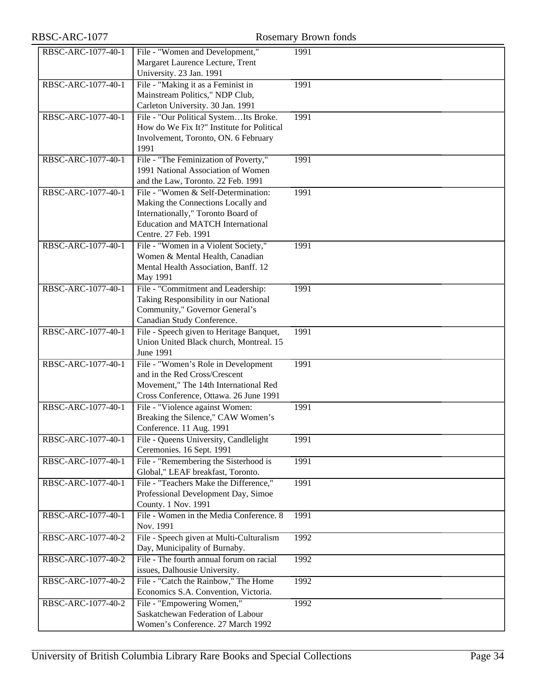| RBSC-ARC-1077      |                                                                                                                                                                                     | Rosemary Brown fonds |
|--------------------|-------------------------------------------------------------------------------------------------------------------------------------------------------------------------------------|----------------------|
| RBSC-ARC-1077-40-1 | File - "Women and Development,"<br>Margaret Laurence Lecture, Trent<br>University. 23 Jan. 1991                                                                                     | 1991                 |
| RBSC-ARC-1077-40-1 | File - "Making it as a Feminist in<br>Mainstream Politics," NDP Club,<br>Carleton University. 30 Jan. 1991                                                                          | 1991                 |
| RBSC-ARC-1077-40-1 | File - "Our Political SystemIts Broke.<br>How do We Fix It?" Institute for Political<br>Involvement, Toronto, ON. 6 February<br>1991                                                | 1991                 |
| RBSC-ARC-1077-40-1 | File - "The Feminization of Poverty,"<br>1991 National Association of Women<br>and the Law, Toronto. 22 Feb. 1991                                                                   | 1991                 |
| RBSC-ARC-1077-40-1 | File - "Women & Self-Determination:<br>Making the Connections Locally and<br>Internationally," Toronto Board of<br><b>Education and MATCH International</b><br>Centre. 27 Feb. 1991 | 1991                 |
| RBSC-ARC-1077-40-1 | File - "Women in a Violent Society,"<br>Women & Mental Health, Canadian<br>Mental Health Association, Banff. 12<br>May 1991                                                         | 1991                 |
| RBSC-ARC-1077-40-1 | File - "Commitment and Leadership:<br>Taking Responsibility in our National<br>Community," Governor General's<br>Canadian Study Conference.                                         | 1991                 |
| RBSC-ARC-1077-40-1 | File - Speech given to Heritage Banquet,<br>Union United Black church, Montreal. 15<br><b>June 1991</b>                                                                             | 1991                 |
| RBSC-ARC-1077-40-1 | File - "Women's Role in Development<br>and in the Red Cross/Crescent<br>Movement," The 14th International Red<br>Cross Conference, Ottawa. 26 June 1991                             | 1991                 |
| RBSC-ARC-1077-40-1 | File - "Violence against Women:<br>Breaking the Silence," CAW Women's<br>Conference. 11 Aug. 1991                                                                                   | 1991                 |
| RBSC-ARC-1077-40-1 | File - Queens University, Candlelight<br>Ceremonies. 16 Sept. 1991                                                                                                                  | 1991                 |
| RBSC-ARC-1077-40-1 | File - "Remembering the Sisterhood is<br>Global," LEAF breakfast, Toronto.                                                                                                          | 1991                 |
| RBSC-ARC-1077-40-1 | File - "Teachers Make the Difference,"<br>Professional Development Day, Simoe<br>County. 1 Nov. 1991                                                                                | 1991                 |
| RBSC-ARC-1077-40-1 | File - Women in the Media Conference. 8<br>Nov. 1991                                                                                                                                | 1991                 |
| RBSC-ARC-1077-40-2 | File - Speech given at Multi-Culturalism<br>Day, Municipality of Burnaby.                                                                                                           | 1992                 |
| RBSC-ARC-1077-40-2 | File - The fourth annual forum on racial<br>issues, Dalhousie University.                                                                                                           | 1992                 |
| RBSC-ARC-1077-40-2 | File - "Catch the Rainbow," The Home<br>Economics S.A. Convention, Victoria.                                                                                                        | 1992                 |
| RBSC-ARC-1077-40-2 | File - "Empowering Women,"<br>Saskatchewan Federation of Labour<br>Women's Conference. 27 March 1992                                                                                | 1992                 |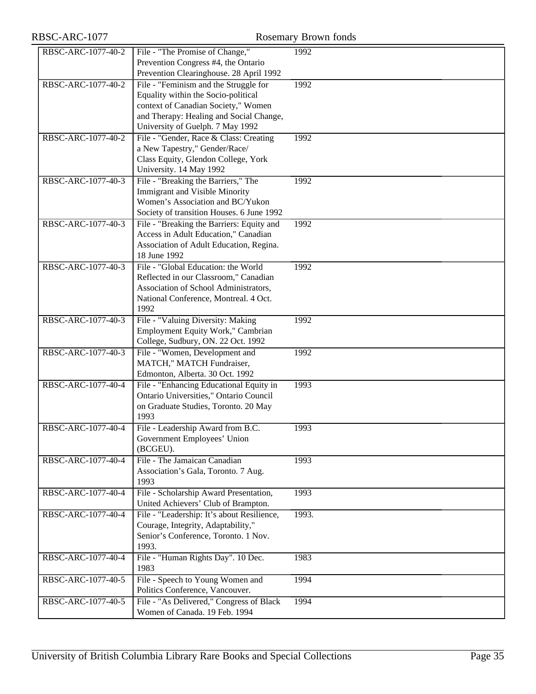RBSC-ARC-1077 Rosemary Brown fonds

| 1992<br>Prevention Congress #4, the Ontario<br>Prevention Clearinghouse. 28 April 1992<br>File - "Feminism and the Struggle for<br>RBSC-ARC-1077-40-2<br>1992<br>Equality within the Socio-political<br>context of Canadian Society," Women<br>and Therapy: Healing and Social Change,<br>University of Guelph. 7 May 1992<br>RBSC-ARC-1077-40-2<br>File - "Gender, Race & Class: Creating<br>1992<br>a New Tapestry," Gender/Race/<br>Class Equity, Glendon College, York<br>University. 14 May 1992<br>File - "Breaking the Barriers," The<br>RBSC-ARC-1077-40-3<br>1992<br>Immigrant and Visible Minority<br>Women's Association and BC/Yukon<br>Society of transition Houses. 6 June 1992<br>RBSC-ARC-1077-40-3<br>File - "Breaking the Barriers: Equity and<br>1992<br>Access in Adult Education," Canadian<br>Association of Adult Education, Regina.<br>18 June 1992<br>RBSC-ARC-1077-40-3<br>File - "Global Education: the World<br>1992<br>Reflected in our Classroom," Canadian<br>Association of School Administrators,<br>National Conference, Montreal. 4 Oct.<br>1992<br>RBSC-ARC-1077-40-3<br>File - "Valuing Diversity: Making<br>1992<br>Employment Equity Work," Cambrian<br>College, Sudbury, ON. 22 Oct. 1992<br>RBSC-ARC-1077-40-3<br>File - "Women, Development and<br>1992<br>MATCH," MATCH Fundraiser,<br>Edmonton, Alberta. 30 Oct. 1992<br>RBSC-ARC-1077-40-4<br>File - "Enhancing Educational Equity in<br>1993<br>Ontario Universities," Ontario Council<br>on Graduate Studies, Toronto. 20 May<br>1993<br>RBSC-ARC-1077-40-4<br>File - Leadership Award from B.C.<br>1993<br>Government Employees' Union<br>(BCGEU).<br>RBSC-ARC-1077-40-4<br>File - The Jamaican Canadian<br>1993<br>Association's Gala, Toronto. 7 Aug.<br>1993<br>RBSC-ARC-1077-40-4<br>File - Scholarship Award Presentation,<br>1993<br>United Achievers' Club of Brampton.<br>RBSC-ARC-1077-40-4<br>File - "Leadership: It's about Resilience,<br>1993.<br>Courage, Integrity, Adaptability,"<br>Senior's Conference, Toronto. 1 Nov.<br>1993.<br>File - "Human Rights Day". 10 Dec.<br>RBSC-ARC-1077-40-4<br>1983<br>1983<br>File - Speech to Young Women and<br>1994<br>RBSC-ARC-1077-40-5<br>Politics Conference, Vancouver.<br>File - "As Delivered," Congress of Black<br>1994<br>RBSC-ARC-1077-40-5 |                    |                                 |  |
|---------------------------------------------------------------------------------------------------------------------------------------------------------------------------------------------------------------------------------------------------------------------------------------------------------------------------------------------------------------------------------------------------------------------------------------------------------------------------------------------------------------------------------------------------------------------------------------------------------------------------------------------------------------------------------------------------------------------------------------------------------------------------------------------------------------------------------------------------------------------------------------------------------------------------------------------------------------------------------------------------------------------------------------------------------------------------------------------------------------------------------------------------------------------------------------------------------------------------------------------------------------------------------------------------------------------------------------------------------------------------------------------------------------------------------------------------------------------------------------------------------------------------------------------------------------------------------------------------------------------------------------------------------------------------------------------------------------------------------------------------------------------------------------------------------------------------------------------------------------------------------------------------------------------------------------------------------------------------------------------------------------------------------------------------------------------------------------------------------------------------------------------------------------------------------------------------------------------------------------------------------------------------------------------------------------|--------------------|---------------------------------|--|
|                                                                                                                                                                                                                                                                                                                                                                                                                                                                                                                                                                                                                                                                                                                                                                                                                                                                                                                                                                                                                                                                                                                                                                                                                                                                                                                                                                                                                                                                                                                                                                                                                                                                                                                                                                                                                                                                                                                                                                                                                                                                                                                                                                                                                                                                                                               | RBSC-ARC-1077-40-2 | File - "The Promise of Change," |  |
|                                                                                                                                                                                                                                                                                                                                                                                                                                                                                                                                                                                                                                                                                                                                                                                                                                                                                                                                                                                                                                                                                                                                                                                                                                                                                                                                                                                                                                                                                                                                                                                                                                                                                                                                                                                                                                                                                                                                                                                                                                                                                                                                                                                                                                                                                                               |                    |                                 |  |
|                                                                                                                                                                                                                                                                                                                                                                                                                                                                                                                                                                                                                                                                                                                                                                                                                                                                                                                                                                                                                                                                                                                                                                                                                                                                                                                                                                                                                                                                                                                                                                                                                                                                                                                                                                                                                                                                                                                                                                                                                                                                                                                                                                                                                                                                                                               |                    |                                 |  |
|                                                                                                                                                                                                                                                                                                                                                                                                                                                                                                                                                                                                                                                                                                                                                                                                                                                                                                                                                                                                                                                                                                                                                                                                                                                                                                                                                                                                                                                                                                                                                                                                                                                                                                                                                                                                                                                                                                                                                                                                                                                                                                                                                                                                                                                                                                               |                    |                                 |  |
|                                                                                                                                                                                                                                                                                                                                                                                                                                                                                                                                                                                                                                                                                                                                                                                                                                                                                                                                                                                                                                                                                                                                                                                                                                                                                                                                                                                                                                                                                                                                                                                                                                                                                                                                                                                                                                                                                                                                                                                                                                                                                                                                                                                                                                                                                                               |                    |                                 |  |
|                                                                                                                                                                                                                                                                                                                                                                                                                                                                                                                                                                                                                                                                                                                                                                                                                                                                                                                                                                                                                                                                                                                                                                                                                                                                                                                                                                                                                                                                                                                                                                                                                                                                                                                                                                                                                                                                                                                                                                                                                                                                                                                                                                                                                                                                                                               |                    |                                 |  |
|                                                                                                                                                                                                                                                                                                                                                                                                                                                                                                                                                                                                                                                                                                                                                                                                                                                                                                                                                                                                                                                                                                                                                                                                                                                                                                                                                                                                                                                                                                                                                                                                                                                                                                                                                                                                                                                                                                                                                                                                                                                                                                                                                                                                                                                                                                               |                    |                                 |  |
|                                                                                                                                                                                                                                                                                                                                                                                                                                                                                                                                                                                                                                                                                                                                                                                                                                                                                                                                                                                                                                                                                                                                                                                                                                                                                                                                                                                                                                                                                                                                                                                                                                                                                                                                                                                                                                                                                                                                                                                                                                                                                                                                                                                                                                                                                                               |                    |                                 |  |
|                                                                                                                                                                                                                                                                                                                                                                                                                                                                                                                                                                                                                                                                                                                                                                                                                                                                                                                                                                                                                                                                                                                                                                                                                                                                                                                                                                                                                                                                                                                                                                                                                                                                                                                                                                                                                                                                                                                                                                                                                                                                                                                                                                                                                                                                                                               |                    |                                 |  |
|                                                                                                                                                                                                                                                                                                                                                                                                                                                                                                                                                                                                                                                                                                                                                                                                                                                                                                                                                                                                                                                                                                                                                                                                                                                                                                                                                                                                                                                                                                                                                                                                                                                                                                                                                                                                                                                                                                                                                                                                                                                                                                                                                                                                                                                                                                               |                    |                                 |  |
|                                                                                                                                                                                                                                                                                                                                                                                                                                                                                                                                                                                                                                                                                                                                                                                                                                                                                                                                                                                                                                                                                                                                                                                                                                                                                                                                                                                                                                                                                                                                                                                                                                                                                                                                                                                                                                                                                                                                                                                                                                                                                                                                                                                                                                                                                                               |                    |                                 |  |
|                                                                                                                                                                                                                                                                                                                                                                                                                                                                                                                                                                                                                                                                                                                                                                                                                                                                                                                                                                                                                                                                                                                                                                                                                                                                                                                                                                                                                                                                                                                                                                                                                                                                                                                                                                                                                                                                                                                                                                                                                                                                                                                                                                                                                                                                                                               |                    |                                 |  |
|                                                                                                                                                                                                                                                                                                                                                                                                                                                                                                                                                                                                                                                                                                                                                                                                                                                                                                                                                                                                                                                                                                                                                                                                                                                                                                                                                                                                                                                                                                                                                                                                                                                                                                                                                                                                                                                                                                                                                                                                                                                                                                                                                                                                                                                                                                               |                    |                                 |  |
|                                                                                                                                                                                                                                                                                                                                                                                                                                                                                                                                                                                                                                                                                                                                                                                                                                                                                                                                                                                                                                                                                                                                                                                                                                                                                                                                                                                                                                                                                                                                                                                                                                                                                                                                                                                                                                                                                                                                                                                                                                                                                                                                                                                                                                                                                                               |                    |                                 |  |
|                                                                                                                                                                                                                                                                                                                                                                                                                                                                                                                                                                                                                                                                                                                                                                                                                                                                                                                                                                                                                                                                                                                                                                                                                                                                                                                                                                                                                                                                                                                                                                                                                                                                                                                                                                                                                                                                                                                                                                                                                                                                                                                                                                                                                                                                                                               |                    |                                 |  |
|                                                                                                                                                                                                                                                                                                                                                                                                                                                                                                                                                                                                                                                                                                                                                                                                                                                                                                                                                                                                                                                                                                                                                                                                                                                                                                                                                                                                                                                                                                                                                                                                                                                                                                                                                                                                                                                                                                                                                                                                                                                                                                                                                                                                                                                                                                               |                    |                                 |  |
|                                                                                                                                                                                                                                                                                                                                                                                                                                                                                                                                                                                                                                                                                                                                                                                                                                                                                                                                                                                                                                                                                                                                                                                                                                                                                                                                                                                                                                                                                                                                                                                                                                                                                                                                                                                                                                                                                                                                                                                                                                                                                                                                                                                                                                                                                                               |                    |                                 |  |
|                                                                                                                                                                                                                                                                                                                                                                                                                                                                                                                                                                                                                                                                                                                                                                                                                                                                                                                                                                                                                                                                                                                                                                                                                                                                                                                                                                                                                                                                                                                                                                                                                                                                                                                                                                                                                                                                                                                                                                                                                                                                                                                                                                                                                                                                                                               |                    |                                 |  |
|                                                                                                                                                                                                                                                                                                                                                                                                                                                                                                                                                                                                                                                                                                                                                                                                                                                                                                                                                                                                                                                                                                                                                                                                                                                                                                                                                                                                                                                                                                                                                                                                                                                                                                                                                                                                                                                                                                                                                                                                                                                                                                                                                                                                                                                                                                               |                    |                                 |  |
|                                                                                                                                                                                                                                                                                                                                                                                                                                                                                                                                                                                                                                                                                                                                                                                                                                                                                                                                                                                                                                                                                                                                                                                                                                                                                                                                                                                                                                                                                                                                                                                                                                                                                                                                                                                                                                                                                                                                                                                                                                                                                                                                                                                                                                                                                                               |                    |                                 |  |
|                                                                                                                                                                                                                                                                                                                                                                                                                                                                                                                                                                                                                                                                                                                                                                                                                                                                                                                                                                                                                                                                                                                                                                                                                                                                                                                                                                                                                                                                                                                                                                                                                                                                                                                                                                                                                                                                                                                                                                                                                                                                                                                                                                                                                                                                                                               |                    |                                 |  |
|                                                                                                                                                                                                                                                                                                                                                                                                                                                                                                                                                                                                                                                                                                                                                                                                                                                                                                                                                                                                                                                                                                                                                                                                                                                                                                                                                                                                                                                                                                                                                                                                                                                                                                                                                                                                                                                                                                                                                                                                                                                                                                                                                                                                                                                                                                               |                    |                                 |  |
|                                                                                                                                                                                                                                                                                                                                                                                                                                                                                                                                                                                                                                                                                                                                                                                                                                                                                                                                                                                                                                                                                                                                                                                                                                                                                                                                                                                                                                                                                                                                                                                                                                                                                                                                                                                                                                                                                                                                                                                                                                                                                                                                                                                                                                                                                                               |                    |                                 |  |
|                                                                                                                                                                                                                                                                                                                                                                                                                                                                                                                                                                                                                                                                                                                                                                                                                                                                                                                                                                                                                                                                                                                                                                                                                                                                                                                                                                                                                                                                                                                                                                                                                                                                                                                                                                                                                                                                                                                                                                                                                                                                                                                                                                                                                                                                                                               |                    |                                 |  |
|                                                                                                                                                                                                                                                                                                                                                                                                                                                                                                                                                                                                                                                                                                                                                                                                                                                                                                                                                                                                                                                                                                                                                                                                                                                                                                                                                                                                                                                                                                                                                                                                                                                                                                                                                                                                                                                                                                                                                                                                                                                                                                                                                                                                                                                                                                               |                    |                                 |  |
|                                                                                                                                                                                                                                                                                                                                                                                                                                                                                                                                                                                                                                                                                                                                                                                                                                                                                                                                                                                                                                                                                                                                                                                                                                                                                                                                                                                                                                                                                                                                                                                                                                                                                                                                                                                                                                                                                                                                                                                                                                                                                                                                                                                                                                                                                                               |                    |                                 |  |
|                                                                                                                                                                                                                                                                                                                                                                                                                                                                                                                                                                                                                                                                                                                                                                                                                                                                                                                                                                                                                                                                                                                                                                                                                                                                                                                                                                                                                                                                                                                                                                                                                                                                                                                                                                                                                                                                                                                                                                                                                                                                                                                                                                                                                                                                                                               |                    |                                 |  |
|                                                                                                                                                                                                                                                                                                                                                                                                                                                                                                                                                                                                                                                                                                                                                                                                                                                                                                                                                                                                                                                                                                                                                                                                                                                                                                                                                                                                                                                                                                                                                                                                                                                                                                                                                                                                                                                                                                                                                                                                                                                                                                                                                                                                                                                                                                               |                    |                                 |  |
|                                                                                                                                                                                                                                                                                                                                                                                                                                                                                                                                                                                                                                                                                                                                                                                                                                                                                                                                                                                                                                                                                                                                                                                                                                                                                                                                                                                                                                                                                                                                                                                                                                                                                                                                                                                                                                                                                                                                                                                                                                                                                                                                                                                                                                                                                                               |                    |                                 |  |
|                                                                                                                                                                                                                                                                                                                                                                                                                                                                                                                                                                                                                                                                                                                                                                                                                                                                                                                                                                                                                                                                                                                                                                                                                                                                                                                                                                                                                                                                                                                                                                                                                                                                                                                                                                                                                                                                                                                                                                                                                                                                                                                                                                                                                                                                                                               |                    |                                 |  |
|                                                                                                                                                                                                                                                                                                                                                                                                                                                                                                                                                                                                                                                                                                                                                                                                                                                                                                                                                                                                                                                                                                                                                                                                                                                                                                                                                                                                                                                                                                                                                                                                                                                                                                                                                                                                                                                                                                                                                                                                                                                                                                                                                                                                                                                                                                               |                    |                                 |  |
|                                                                                                                                                                                                                                                                                                                                                                                                                                                                                                                                                                                                                                                                                                                                                                                                                                                                                                                                                                                                                                                                                                                                                                                                                                                                                                                                                                                                                                                                                                                                                                                                                                                                                                                                                                                                                                                                                                                                                                                                                                                                                                                                                                                                                                                                                                               |                    |                                 |  |
|                                                                                                                                                                                                                                                                                                                                                                                                                                                                                                                                                                                                                                                                                                                                                                                                                                                                                                                                                                                                                                                                                                                                                                                                                                                                                                                                                                                                                                                                                                                                                                                                                                                                                                                                                                                                                                                                                                                                                                                                                                                                                                                                                                                                                                                                                                               |                    |                                 |  |
|                                                                                                                                                                                                                                                                                                                                                                                                                                                                                                                                                                                                                                                                                                                                                                                                                                                                                                                                                                                                                                                                                                                                                                                                                                                                                                                                                                                                                                                                                                                                                                                                                                                                                                                                                                                                                                                                                                                                                                                                                                                                                                                                                                                                                                                                                                               |                    |                                 |  |
|                                                                                                                                                                                                                                                                                                                                                                                                                                                                                                                                                                                                                                                                                                                                                                                                                                                                                                                                                                                                                                                                                                                                                                                                                                                                                                                                                                                                                                                                                                                                                                                                                                                                                                                                                                                                                                                                                                                                                                                                                                                                                                                                                                                                                                                                                                               |                    |                                 |  |
|                                                                                                                                                                                                                                                                                                                                                                                                                                                                                                                                                                                                                                                                                                                                                                                                                                                                                                                                                                                                                                                                                                                                                                                                                                                                                                                                                                                                                                                                                                                                                                                                                                                                                                                                                                                                                                                                                                                                                                                                                                                                                                                                                                                                                                                                                                               |                    |                                 |  |
|                                                                                                                                                                                                                                                                                                                                                                                                                                                                                                                                                                                                                                                                                                                                                                                                                                                                                                                                                                                                                                                                                                                                                                                                                                                                                                                                                                                                                                                                                                                                                                                                                                                                                                                                                                                                                                                                                                                                                                                                                                                                                                                                                                                                                                                                                                               |                    |                                 |  |
|                                                                                                                                                                                                                                                                                                                                                                                                                                                                                                                                                                                                                                                                                                                                                                                                                                                                                                                                                                                                                                                                                                                                                                                                                                                                                                                                                                                                                                                                                                                                                                                                                                                                                                                                                                                                                                                                                                                                                                                                                                                                                                                                                                                                                                                                                                               |                    |                                 |  |
|                                                                                                                                                                                                                                                                                                                                                                                                                                                                                                                                                                                                                                                                                                                                                                                                                                                                                                                                                                                                                                                                                                                                                                                                                                                                                                                                                                                                                                                                                                                                                                                                                                                                                                                                                                                                                                                                                                                                                                                                                                                                                                                                                                                                                                                                                                               |                    |                                 |  |
|                                                                                                                                                                                                                                                                                                                                                                                                                                                                                                                                                                                                                                                                                                                                                                                                                                                                                                                                                                                                                                                                                                                                                                                                                                                                                                                                                                                                                                                                                                                                                                                                                                                                                                                                                                                                                                                                                                                                                                                                                                                                                                                                                                                                                                                                                                               |                    |                                 |  |
|                                                                                                                                                                                                                                                                                                                                                                                                                                                                                                                                                                                                                                                                                                                                                                                                                                                                                                                                                                                                                                                                                                                                                                                                                                                                                                                                                                                                                                                                                                                                                                                                                                                                                                                                                                                                                                                                                                                                                                                                                                                                                                                                                                                                                                                                                                               |                    |                                 |  |
|                                                                                                                                                                                                                                                                                                                                                                                                                                                                                                                                                                                                                                                                                                                                                                                                                                                                                                                                                                                                                                                                                                                                                                                                                                                                                                                                                                                                                                                                                                                                                                                                                                                                                                                                                                                                                                                                                                                                                                                                                                                                                                                                                                                                                                                                                                               |                    |                                 |  |
|                                                                                                                                                                                                                                                                                                                                                                                                                                                                                                                                                                                                                                                                                                                                                                                                                                                                                                                                                                                                                                                                                                                                                                                                                                                                                                                                                                                                                                                                                                                                                                                                                                                                                                                                                                                                                                                                                                                                                                                                                                                                                                                                                                                                                                                                                                               |                    |                                 |  |
|                                                                                                                                                                                                                                                                                                                                                                                                                                                                                                                                                                                                                                                                                                                                                                                                                                                                                                                                                                                                                                                                                                                                                                                                                                                                                                                                                                                                                                                                                                                                                                                                                                                                                                                                                                                                                                                                                                                                                                                                                                                                                                                                                                                                                                                                                                               |                    |                                 |  |
|                                                                                                                                                                                                                                                                                                                                                                                                                                                                                                                                                                                                                                                                                                                                                                                                                                                                                                                                                                                                                                                                                                                                                                                                                                                                                                                                                                                                                                                                                                                                                                                                                                                                                                                                                                                                                                                                                                                                                                                                                                                                                                                                                                                                                                                                                                               |                    |                                 |  |
|                                                                                                                                                                                                                                                                                                                                                                                                                                                                                                                                                                                                                                                                                                                                                                                                                                                                                                                                                                                                                                                                                                                                                                                                                                                                                                                                                                                                                                                                                                                                                                                                                                                                                                                                                                                                                                                                                                                                                                                                                                                                                                                                                                                                                                                                                                               |                    |                                 |  |
|                                                                                                                                                                                                                                                                                                                                                                                                                                                                                                                                                                                                                                                                                                                                                                                                                                                                                                                                                                                                                                                                                                                                                                                                                                                                                                                                                                                                                                                                                                                                                                                                                                                                                                                                                                                                                                                                                                                                                                                                                                                                                                                                                                                                                                                                                                               |                    |                                 |  |
|                                                                                                                                                                                                                                                                                                                                                                                                                                                                                                                                                                                                                                                                                                                                                                                                                                                                                                                                                                                                                                                                                                                                                                                                                                                                                                                                                                                                                                                                                                                                                                                                                                                                                                                                                                                                                                                                                                                                                                                                                                                                                                                                                                                                                                                                                                               |                    |                                 |  |
|                                                                                                                                                                                                                                                                                                                                                                                                                                                                                                                                                                                                                                                                                                                                                                                                                                                                                                                                                                                                                                                                                                                                                                                                                                                                                                                                                                                                                                                                                                                                                                                                                                                                                                                                                                                                                                                                                                                                                                                                                                                                                                                                                                                                                                                                                                               |                    | Women of Canada. 19 Feb. 1994   |  |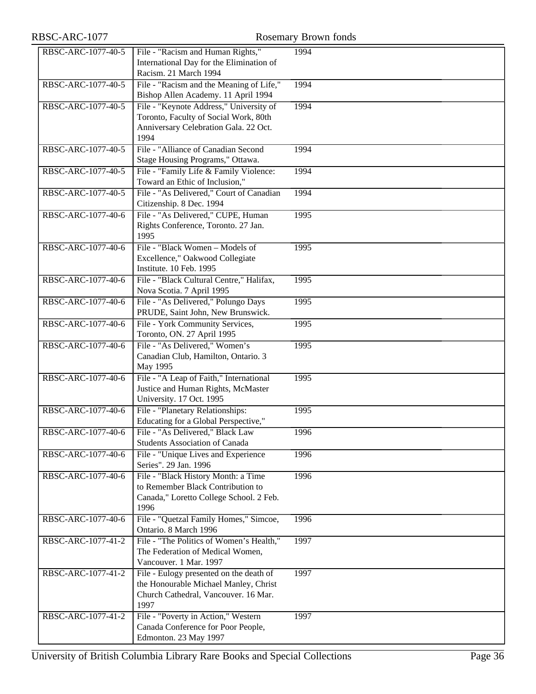| RBSC-ARC-1077      |                                                                                                                                   | <b>Rosemary Brown fonds</b> |
|--------------------|-----------------------------------------------------------------------------------------------------------------------------------|-----------------------------|
| RBSC-ARC-1077-40-5 | File - "Racism and Human Rights,"<br>International Day for the Elimination of<br>Racism. 21 March 1994                            | 1994                        |
| RBSC-ARC-1077-40-5 | File - "Racism and the Meaning of Life,"<br>Bishop Allen Academy. 11 April 1994                                                   | 1994                        |
| RBSC-ARC-1077-40-5 | File - "Keynote Address," University of<br>Toronto, Faculty of Social Work, 80th<br>Anniversary Celebration Gala. 22 Oct.<br>1994 | 1994                        |
| RBSC-ARC-1077-40-5 | File - "Alliance of Canadian Second<br>Stage Housing Programs," Ottawa.                                                           | 1994                        |
| RBSC-ARC-1077-40-5 | File - "Family Life & Family Violence:<br>Toward an Ethic of Inclusion,"                                                          | 1994                        |
| RBSC-ARC-1077-40-5 | File - "As Delivered," Court of Canadian<br>Citizenship. 8 Dec. 1994                                                              | 1994                        |
| RBSC-ARC-1077-40-6 | File - "As Delivered," CUPE, Human<br>Rights Conference, Toronto. 27 Jan.<br>1995                                                 | 1995                        |
| RBSC-ARC-1077-40-6 | File - "Black Women - Models of<br>Excellence," Oakwood Collegiate<br>Institute. 10 Feb. 1995                                     | 1995                        |
| RBSC-ARC-1077-40-6 | File - "Black Cultural Centre," Halifax,<br>Nova Scotia. 7 April 1995                                                             | 1995                        |
| RBSC-ARC-1077-40-6 | File - "As Delivered," Polungo Days<br>PRUDE, Saint John, New Brunswick.                                                          | 1995                        |
| RBSC-ARC-1077-40-6 | File - York Community Services,<br>Toronto, ON. 27 April 1995                                                                     | 1995                        |
| RBSC-ARC-1077-40-6 | File - "As Delivered," Women's<br>Canadian Club, Hamilton, Ontario. 3<br>May 1995                                                 | 1995                        |
| RBSC-ARC-1077-40-6 | File - "A Leap of Faith," International<br>Justice and Human Rights, McMaster<br>University. 17 Oct. 1995                         | 1995                        |
| RBSC-ARC-1077-40-6 | File - "Planetary Relationships:<br>Educating for a Global Perspective,"                                                          | 1995                        |
| RBSC-ARC-1077-40-6 | File - "As Delivered," Black Law<br><b>Students Association of Canada</b>                                                         | 1996                        |
| RBSC-ARC-1077-40-6 | File - "Unique Lives and Experience<br>Series". 29 Jan. 1996                                                                      | 1996                        |
| RBSC-ARC-1077-40-6 | File - "Black History Month: a Time<br>to Remember Black Contribution to<br>Canada," Loretto College School. 2 Feb.<br>1996       | 1996                        |
| RBSC-ARC-1077-40-6 | File - "Quetzal Family Homes," Simcoe,<br>Ontario. 8 March 1996                                                                   | 1996                        |
| RBSC-ARC-1077-41-2 | File - "The Politics of Women's Health,"<br>The Federation of Medical Women,<br>Vancouver. 1 Mar. 1997                            | 1997                        |
| RBSC-ARC-1077-41-2 | File - Eulogy presented on the death of<br>the Honourable Michael Manley, Christ<br>Church Cathedral, Vancouver. 16 Mar.<br>1997  | 1997                        |
| RBSC-ARC-1077-41-2 | File - "Poverty in Action," Western<br>Canada Conference for Poor People,<br>Edmonton. 23 May 1997                                | 1997                        |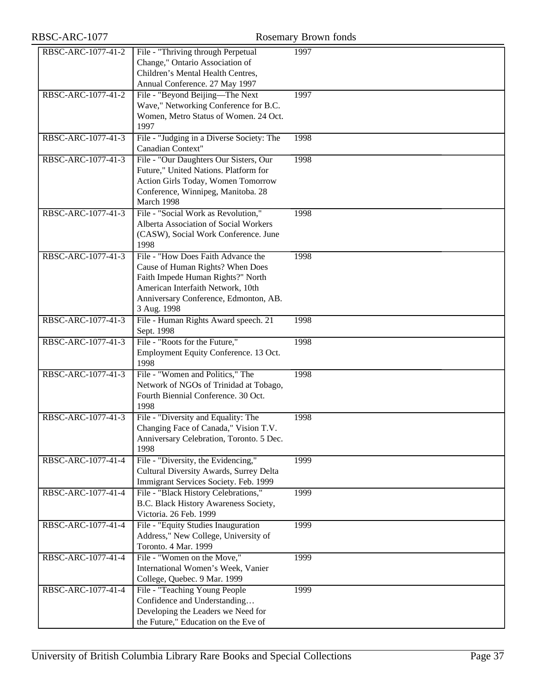| RBSC-ARC-1077      |                                                                                                                                                                                                          | Rosemary Brown fonds |
|--------------------|----------------------------------------------------------------------------------------------------------------------------------------------------------------------------------------------------------|----------------------|
| RBSC-ARC-1077-41-2 | File - "Thriving through Perpetual<br>Change," Ontario Association of<br>Children's Mental Health Centres,<br>Annual Conference. 27 May 1997                                                             | 1997                 |
| RBSC-ARC-1077-41-2 | File - "Beyond Beijing—The Next<br>Wave," Networking Conference for B.C.<br>Women, Metro Status of Women. 24 Oct.<br>1997                                                                                | 1997                 |
| RBSC-ARC-1077-41-3 | File - "Judging in a Diverse Society: The<br>Canadian Context"                                                                                                                                           | 1998                 |
| RBSC-ARC-1077-41-3 | File - "Our Daughters Our Sisters, Our<br>Future," United Nations. Platform for<br>Action Girls Today, Women Tomorrow<br>Conference, Winnipeg, Manitoba. 28<br>March 1998                                | 1998                 |
| RBSC-ARC-1077-41-3 | File - "Social Work as Revolution,"<br>Alberta Association of Social Workers<br>(CASW), Social Work Conference. June<br>1998                                                                             | 1998                 |
| RBSC-ARC-1077-41-3 | File - "How Does Faith Advance the<br>Cause of Human Rights? When Does<br>Faith Impede Human Rights?" North<br>American Interfaith Network, 10th<br>Anniversary Conference, Edmonton, AB.<br>3 Aug. 1998 | 1998                 |
| RBSC-ARC-1077-41-3 | File - Human Rights Award speech. 21<br>Sept. 1998                                                                                                                                                       | 1998                 |
| RBSC-ARC-1077-41-3 | File - "Roots for the Future,"<br>Employment Equity Conference. 13 Oct.<br>1998                                                                                                                          | 1998                 |
| RBSC-ARC-1077-41-3 | File - "Women and Politics," The<br>Network of NGOs of Trinidad at Tobago,<br>Fourth Biennial Conference. 30 Oct.<br>1998                                                                                | 1998                 |
| RBSC-ARC-1077-41-3 | File - "Diversity and Equality: The<br>Changing Face of Canada," Vision T.V.<br>Anniversary Celebration, Toronto. 5 Dec.<br>1998                                                                         | 1998                 |
| RBSC-ARC-1077-41-4 | File - "Diversity, the Evidencing,"<br>Cultural Diversity Awards, Surrey Delta<br>Immigrant Services Society. Feb. 1999                                                                                  | 1999                 |
| RBSC-ARC-1077-41-4 | File - "Black History Celebrations,"<br>B.C. Black History Awareness Society,<br>Victoria. 26 Feb. 1999                                                                                                  | 1999                 |
| RBSC-ARC-1077-41-4 | File - "Equity Studies Inauguration<br>Address," New College, University of<br>Toronto. 4 Mar. 1999                                                                                                      | 1999                 |
| RBSC-ARC-1077-41-4 | File - "Women on the Move,"<br>International Women's Week, Vanier<br>College, Quebec. 9 Mar. 1999                                                                                                        | 1999                 |
| RBSC-ARC-1077-41-4 | File - "Teaching Young People<br>Confidence and Understanding<br>Developing the Leaders we Need for                                                                                                      | 1999                 |

the Future," Education on the Eve of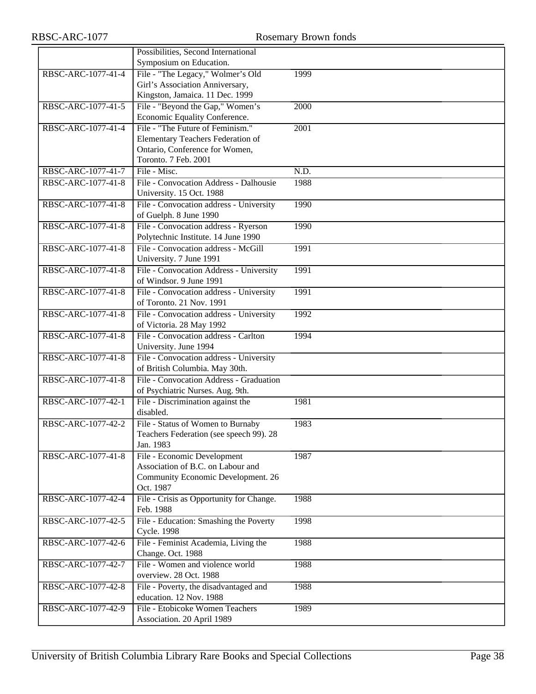|                    | Possibilities, Second International      |      |
|--------------------|------------------------------------------|------|
|                    | Symposium on Education.                  |      |
| RBSC-ARC-1077-41-4 | File - "The Legacy," Wolmer's Old        | 1999 |
|                    | Girl's Association Anniversary,          |      |
|                    | Kingston, Jamaica. 11 Dec. 1999          |      |
| RBSC-ARC-1077-41-5 | File - "Beyond the Gap," Women's         | 2000 |
|                    | Economic Equality Conference.            |      |
| RBSC-ARC-1077-41-4 | File - "The Future of Feminism."         | 2001 |
|                    | Elementary Teachers Federation of        |      |
|                    | Ontario, Conference for Women,           |      |
|                    | Toronto. 7 Feb. 2001                     |      |
| RBSC-ARC-1077-41-7 | File - Misc.                             | N.D. |
| RBSC-ARC-1077-41-8 | File - Convocation Address - Dalhousie   | 1988 |
|                    | University. 15 Oct. 1988                 |      |
| RBSC-ARC-1077-41-8 | File - Convocation address - University  | 1990 |
|                    | of Guelph. 8 June 1990                   |      |
| RBSC-ARC-1077-41-8 | File - Convocation address - Ryerson     | 1990 |
|                    | Polytechnic Institute. 14 June 1990      |      |
| RBSC-ARC-1077-41-8 | File - Convocation address - McGill      | 1991 |
|                    | University. 7 June 1991                  |      |
| RBSC-ARC-1077-41-8 | File - Convocation Address - University  | 1991 |
|                    | of Windsor. 9 June 1991                  |      |
| RBSC-ARC-1077-41-8 | File - Convocation address - University  | 1991 |
|                    | of Toronto. 21 Nov. 1991                 |      |
| RBSC-ARC-1077-41-8 | File - Convocation address - University  | 1992 |
|                    | of Victoria. 28 May 1992                 |      |
| RBSC-ARC-1077-41-8 | File - Convocation address - Carlton     | 1994 |
|                    | University. June 1994                    |      |
| RBSC-ARC-1077-41-8 | File - Convocation address - University  |      |
|                    | of British Columbia. May 30th.           |      |
| RBSC-ARC-1077-41-8 | File - Convocation Address - Graduation  |      |
|                    | of Psychiatric Nurses. Aug. 9th.         |      |
| RBSC-ARC-1077-42-1 | File - Discrimination against the        | 1981 |
|                    | disabled.                                |      |
| RBSC-ARC-1077-42-2 | File - Status of Women to Burnaby        | 1983 |
|                    | Teachers Federation (see speech 99). 28  |      |
|                    | Jan. 1983                                |      |
| RBSC-ARC-1077-41-8 | File - Economic Development              | 1987 |
|                    | Association of B.C. on Labour and        |      |
|                    | Community Economic Development. 26       |      |
|                    | Oct. 1987                                |      |
| RBSC-ARC-1077-42-4 | File - Crisis as Opportunity for Change. | 1988 |
|                    | Feb. 1988                                |      |
| RBSC-ARC-1077-42-5 | File - Education: Smashing the Poverty   | 1998 |
|                    | <b>Cycle. 1998</b>                       |      |
| RBSC-ARC-1077-42-6 | File - Feminist Academia, Living the     | 1988 |
|                    | Change. Oct. 1988                        |      |
| RBSC-ARC-1077-42-7 | File - Women and violence world          | 1988 |
|                    | overview. 28 Oct. 1988                   |      |
| RBSC-ARC-1077-42-8 | File - Poverty, the disadvantaged and    | 1988 |
|                    | education. 12 Nov. 1988                  |      |
| RBSC-ARC-1077-42-9 | File - Etobicoke Women Teachers          | 1989 |
|                    | Association. 20 April 1989               |      |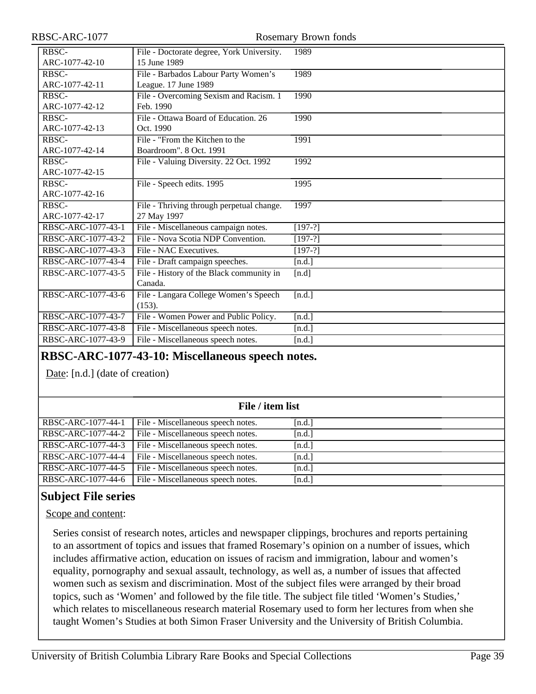| RBSC-ARC-1077                  |                                                              | Rosemary Brown fonds |
|--------------------------------|--------------------------------------------------------------|----------------------|
| <b>RBSC-</b><br>ARC-1077-42-10 | File - Doctorate degree, York University.<br>15 June 1989    | 1989                 |
| RBSC-<br>ARC-1077-42-11        | File - Barbados Labour Party Women's<br>League. 17 June 1989 | 1989                 |
| RBSC-<br>ARC-1077-42-12        | File - Overcoming Sexism and Racism. 1<br>Feb. 1990          | 1990                 |
| RBSC-<br>ARC-1077-42-13        | File - Ottawa Board of Education. 26<br>Oct. 1990            | 1990                 |
| RBSC-<br>ARC-1077-42-14        | File - "From the Kitchen to the<br>Boardroom". 8 Oct. 1991   | 1991                 |
| RBSC-<br>ARC-1077-42-15        | File - Valuing Diversity. 22 Oct. 1992                       | 1992                 |
| RBSC-<br>ARC-1077-42-16        | File - Speech edits. 1995                                    | 1995                 |
| RBSC-<br>ARC-1077-42-17        | File - Thriving through perpetual change.<br>27 May 1997     | 1997                 |
| RBSC-ARC-1077-43-1             | File - Miscellaneous campaign notes.                         | $[197-?]$            |
| RBSC-ARC-1077-43-2             | File - Nova Scotia NDP Convention.                           | $[197-?]$            |
| RBSC-ARC-1077-43-3             | File - NAC Executives.                                       | $[197-?]$            |
| RBSC-ARC-1077-43-4             | File - Draft campaign speeches.                              | [n.d.]               |
| RBSC-ARC-1077-43-5             | File - History of the Black community in<br>Canada.          | [n.d]                |
| RBSC-ARC-1077-43-6             | File - Langara College Women's Speech<br>(153).              | [n.d.]               |
| RBSC-ARC-1077-43-7             | File - Women Power and Public Policy.                        | [n.d.]               |
| RBSC-ARC-1077-43-8             | File - Miscellaneous speech notes.                           | [n.d.]               |
| RBSC-ARC-1077-43-9             | File - Miscellaneous speech notes.                           | [n.d.]               |
|                                |                                                              |                      |

#### **RBSC-ARC-1077-43-10: Miscellaneous speech notes.**

Date: [n.d.] (date of creation)

| File / item list   |                                    |        |  |
|--------------------|------------------------------------|--------|--|
| RBSC-ARC-1077-44-1 | File - Miscellaneous speech notes. | [n.d.] |  |
| RBSC-ARC-1077-44-2 | File - Miscellaneous speech notes. | [n.d.] |  |
| RBSC-ARC-1077-44-3 | File - Miscellaneous speech notes. | [n.d.] |  |
| RBSC-ARC-1077-44-4 | File - Miscellaneous speech notes. | [n.d.] |  |
| RBSC-ARC-1077-44-5 | File - Miscellaneous speech notes. | [n.d.] |  |
| RBSC-ARC-1077-44-6 | File - Miscellaneous speech notes. | [n.d.] |  |

### <span id="page-38-0"></span>**Subject File series**

#### Scope and content:

Series consist of research notes, articles and newspaper clippings, brochures and reports pertaining to an assortment of topics and issues that framed Rosemary's opinion on a number of issues, which includes affirmative action, education on issues of racism and immigration, labour and women's equality, pornography and sexual assault, technology, as well as, a number of issues that affected women such as sexism and discrimination. Most of the subject files were arranged by their broad topics, such as 'Women' and followed by the file title. The subject file titled 'Women's Studies,' which relates to miscellaneous research material Rosemary used to form her lectures from when she taught Women's Studies at both Simon Fraser University and the University of British Columbia.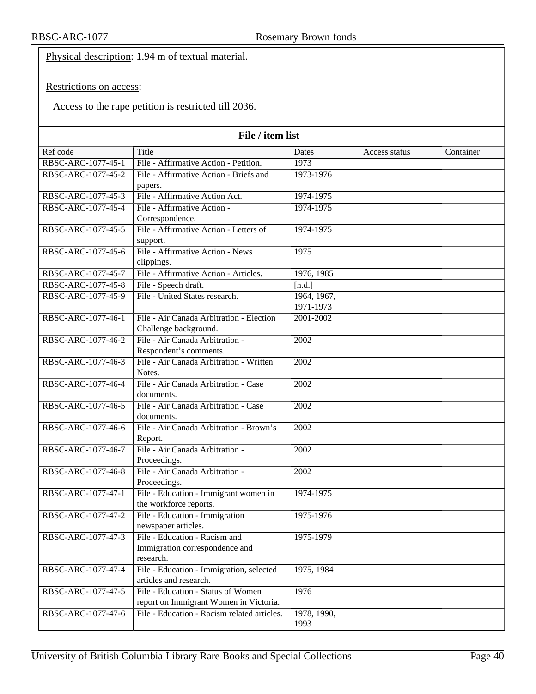Physical description: 1.94 m of textual material.

#### Restrictions on access:

Access to the rape petition is restricted till 2036.

| Title<br>Ref code<br>Container<br>Dates<br>Access status<br>RBSC-ARC-1077-45-1<br>File - Affirmative Action - Petition.<br>1973<br>File - Affirmative Action - Briefs and<br>RBSC-ARC-1077-45-2<br>1973-1976<br>papers.<br>RBSC-ARC-1077-45-3<br>File - Affirmative Action Act.<br>1974-1975<br>RBSC-ARC-1077-45-4<br>File - Affirmative Action -<br>1974-1975<br>Correspondence.<br>File - Affirmative Action - Letters of<br>RBSC-ARC-1077-45-5<br>1974-1975<br>support.<br>File - Affirmative Action - News<br>RBSC-ARC-1077-45-6<br>1975<br>clippings.<br>RBSC-ARC-1077-45-7<br>File - Affirmative Action - Articles.<br>1976, 1985<br>RBSC-ARC-1077-45-8<br>File - Speech draft.<br>[n.d.]<br>RBSC-ARC-1077-45-9<br>File - United States research.<br>1964, 1967,<br>1971-1973<br>RBSC-ARC-1077-46-1<br>File - Air Canada Arbitration - Election<br>2001-2002<br>Challenge background.<br>File - Air Canada Arbitration -<br>RBSC-ARC-1077-46-2<br>$\overline{2002}$<br>Respondent's comments.<br>File - Air Canada Arbitration - Written<br>RBSC-ARC-1077-46-3<br>2002<br>Notes.<br>RBSC-ARC-1077-46-4<br>File - Air Canada Arbitration - Case<br>2002 | File / item list |  |  |  |  |
|--------------------------------------------------------------------------------------------------------------------------------------------------------------------------------------------------------------------------------------------------------------------------------------------------------------------------------------------------------------------------------------------------------------------------------------------------------------------------------------------------------------------------------------------------------------------------------------------------------------------------------------------------------------------------------------------------------------------------------------------------------------------------------------------------------------------------------------------------------------------------------------------------------------------------------------------------------------------------------------------------------------------------------------------------------------------------------------------------------------------------------------------------------------|------------------|--|--|--|--|
|                                                                                                                                                                                                                                                                                                                                                                                                                                                                                                                                                                                                                                                                                                                                                                                                                                                                                                                                                                                                                                                                                                                                                              |                  |  |  |  |  |
|                                                                                                                                                                                                                                                                                                                                                                                                                                                                                                                                                                                                                                                                                                                                                                                                                                                                                                                                                                                                                                                                                                                                                              |                  |  |  |  |  |
|                                                                                                                                                                                                                                                                                                                                                                                                                                                                                                                                                                                                                                                                                                                                                                                                                                                                                                                                                                                                                                                                                                                                                              |                  |  |  |  |  |
|                                                                                                                                                                                                                                                                                                                                                                                                                                                                                                                                                                                                                                                                                                                                                                                                                                                                                                                                                                                                                                                                                                                                                              |                  |  |  |  |  |
|                                                                                                                                                                                                                                                                                                                                                                                                                                                                                                                                                                                                                                                                                                                                                                                                                                                                                                                                                                                                                                                                                                                                                              |                  |  |  |  |  |
|                                                                                                                                                                                                                                                                                                                                                                                                                                                                                                                                                                                                                                                                                                                                                                                                                                                                                                                                                                                                                                                                                                                                                              |                  |  |  |  |  |
|                                                                                                                                                                                                                                                                                                                                                                                                                                                                                                                                                                                                                                                                                                                                                                                                                                                                                                                                                                                                                                                                                                                                                              |                  |  |  |  |  |
|                                                                                                                                                                                                                                                                                                                                                                                                                                                                                                                                                                                                                                                                                                                                                                                                                                                                                                                                                                                                                                                                                                                                                              |                  |  |  |  |  |
|                                                                                                                                                                                                                                                                                                                                                                                                                                                                                                                                                                                                                                                                                                                                                                                                                                                                                                                                                                                                                                                                                                                                                              |                  |  |  |  |  |
|                                                                                                                                                                                                                                                                                                                                                                                                                                                                                                                                                                                                                                                                                                                                                                                                                                                                                                                                                                                                                                                                                                                                                              |                  |  |  |  |  |
|                                                                                                                                                                                                                                                                                                                                                                                                                                                                                                                                                                                                                                                                                                                                                                                                                                                                                                                                                                                                                                                                                                                                                              |                  |  |  |  |  |
|                                                                                                                                                                                                                                                                                                                                                                                                                                                                                                                                                                                                                                                                                                                                                                                                                                                                                                                                                                                                                                                                                                                                                              |                  |  |  |  |  |
|                                                                                                                                                                                                                                                                                                                                                                                                                                                                                                                                                                                                                                                                                                                                                                                                                                                                                                                                                                                                                                                                                                                                                              |                  |  |  |  |  |
|                                                                                                                                                                                                                                                                                                                                                                                                                                                                                                                                                                                                                                                                                                                                                                                                                                                                                                                                                                                                                                                                                                                                                              |                  |  |  |  |  |
|                                                                                                                                                                                                                                                                                                                                                                                                                                                                                                                                                                                                                                                                                                                                                                                                                                                                                                                                                                                                                                                                                                                                                              |                  |  |  |  |  |
|                                                                                                                                                                                                                                                                                                                                                                                                                                                                                                                                                                                                                                                                                                                                                                                                                                                                                                                                                                                                                                                                                                                                                              |                  |  |  |  |  |
|                                                                                                                                                                                                                                                                                                                                                                                                                                                                                                                                                                                                                                                                                                                                                                                                                                                                                                                                                                                                                                                                                                                                                              |                  |  |  |  |  |
|                                                                                                                                                                                                                                                                                                                                                                                                                                                                                                                                                                                                                                                                                                                                                                                                                                                                                                                                                                                                                                                                                                                                                              |                  |  |  |  |  |
|                                                                                                                                                                                                                                                                                                                                                                                                                                                                                                                                                                                                                                                                                                                                                                                                                                                                                                                                                                                                                                                                                                                                                              |                  |  |  |  |  |
|                                                                                                                                                                                                                                                                                                                                                                                                                                                                                                                                                                                                                                                                                                                                                                                                                                                                                                                                                                                                                                                                                                                                                              |                  |  |  |  |  |
|                                                                                                                                                                                                                                                                                                                                                                                                                                                                                                                                                                                                                                                                                                                                                                                                                                                                                                                                                                                                                                                                                                                                                              |                  |  |  |  |  |
|                                                                                                                                                                                                                                                                                                                                                                                                                                                                                                                                                                                                                                                                                                                                                                                                                                                                                                                                                                                                                                                                                                                                                              |                  |  |  |  |  |
| documents.                                                                                                                                                                                                                                                                                                                                                                                                                                                                                                                                                                                                                                                                                                                                                                                                                                                                                                                                                                                                                                                                                                                                                   |                  |  |  |  |  |
| RBSC-ARC-1077-46-5<br>File - Air Canada Arbitration - Case<br>$\overline{2002}$                                                                                                                                                                                                                                                                                                                                                                                                                                                                                                                                                                                                                                                                                                                                                                                                                                                                                                                                                                                                                                                                              |                  |  |  |  |  |
| documents.                                                                                                                                                                                                                                                                                                                                                                                                                                                                                                                                                                                                                                                                                                                                                                                                                                                                                                                                                                                                                                                                                                                                                   |                  |  |  |  |  |
| RBSC-ARC-1077-46-6<br>File - Air Canada Arbitration - Brown's<br>$\overline{2002}$                                                                                                                                                                                                                                                                                                                                                                                                                                                                                                                                                                                                                                                                                                                                                                                                                                                                                                                                                                                                                                                                           |                  |  |  |  |  |
| Report.                                                                                                                                                                                                                                                                                                                                                                                                                                                                                                                                                                                                                                                                                                                                                                                                                                                                                                                                                                                                                                                                                                                                                      |                  |  |  |  |  |
| RBSC-ARC-1077-46-7<br>File - Air Canada Arbitration -<br>2002                                                                                                                                                                                                                                                                                                                                                                                                                                                                                                                                                                                                                                                                                                                                                                                                                                                                                                                                                                                                                                                                                                |                  |  |  |  |  |
| Proceedings.                                                                                                                                                                                                                                                                                                                                                                                                                                                                                                                                                                                                                                                                                                                                                                                                                                                                                                                                                                                                                                                                                                                                                 |                  |  |  |  |  |
| File - Air Canada Arbitration -<br>RBSC-ARC-1077-46-8<br>$\overline{2002}$                                                                                                                                                                                                                                                                                                                                                                                                                                                                                                                                                                                                                                                                                                                                                                                                                                                                                                                                                                                                                                                                                   |                  |  |  |  |  |
| Proceedings.                                                                                                                                                                                                                                                                                                                                                                                                                                                                                                                                                                                                                                                                                                                                                                                                                                                                                                                                                                                                                                                                                                                                                 |                  |  |  |  |  |
| RBSC-ARC-1077-47-1<br>File - Education - Immigrant women in<br>1974-1975                                                                                                                                                                                                                                                                                                                                                                                                                                                                                                                                                                                                                                                                                                                                                                                                                                                                                                                                                                                                                                                                                     |                  |  |  |  |  |
| the workforce reports.                                                                                                                                                                                                                                                                                                                                                                                                                                                                                                                                                                                                                                                                                                                                                                                                                                                                                                                                                                                                                                                                                                                                       |                  |  |  |  |  |
| File - Education - Immigration<br>RBSC-ARC-1077-47-2<br>1975-1976                                                                                                                                                                                                                                                                                                                                                                                                                                                                                                                                                                                                                                                                                                                                                                                                                                                                                                                                                                                                                                                                                            |                  |  |  |  |  |
| newspaper articles.                                                                                                                                                                                                                                                                                                                                                                                                                                                                                                                                                                                                                                                                                                                                                                                                                                                                                                                                                                                                                                                                                                                                          |                  |  |  |  |  |
| File - Education - Racism and<br>RBSC-ARC-1077-47-3<br>1975-1979                                                                                                                                                                                                                                                                                                                                                                                                                                                                                                                                                                                                                                                                                                                                                                                                                                                                                                                                                                                                                                                                                             |                  |  |  |  |  |
| Immigration correspondence and<br>research.                                                                                                                                                                                                                                                                                                                                                                                                                                                                                                                                                                                                                                                                                                                                                                                                                                                                                                                                                                                                                                                                                                                  |                  |  |  |  |  |
| RBSC-ARC-1077-47-4                                                                                                                                                                                                                                                                                                                                                                                                                                                                                                                                                                                                                                                                                                                                                                                                                                                                                                                                                                                                                                                                                                                                           |                  |  |  |  |  |
| File - Education - Immigration, selected<br>1975, 1984<br>articles and research.                                                                                                                                                                                                                                                                                                                                                                                                                                                                                                                                                                                                                                                                                                                                                                                                                                                                                                                                                                                                                                                                             |                  |  |  |  |  |
| File - Education - Status of Women<br>1976<br>RBSC-ARC-1077-47-5                                                                                                                                                                                                                                                                                                                                                                                                                                                                                                                                                                                                                                                                                                                                                                                                                                                                                                                                                                                                                                                                                             |                  |  |  |  |  |
| report on Immigrant Women in Victoria.                                                                                                                                                                                                                                                                                                                                                                                                                                                                                                                                                                                                                                                                                                                                                                                                                                                                                                                                                                                                                                                                                                                       |                  |  |  |  |  |
| RBSC-ARC-1077-47-6<br>File - Education - Racism related articles.<br>1978, 1990,                                                                                                                                                                                                                                                                                                                                                                                                                                                                                                                                                                                                                                                                                                                                                                                                                                                                                                                                                                                                                                                                             |                  |  |  |  |  |
| 1993                                                                                                                                                                                                                                                                                                                                                                                                                                                                                                                                                                                                                                                                                                                                                                                                                                                                                                                                                                                                                                                                                                                                                         |                  |  |  |  |  |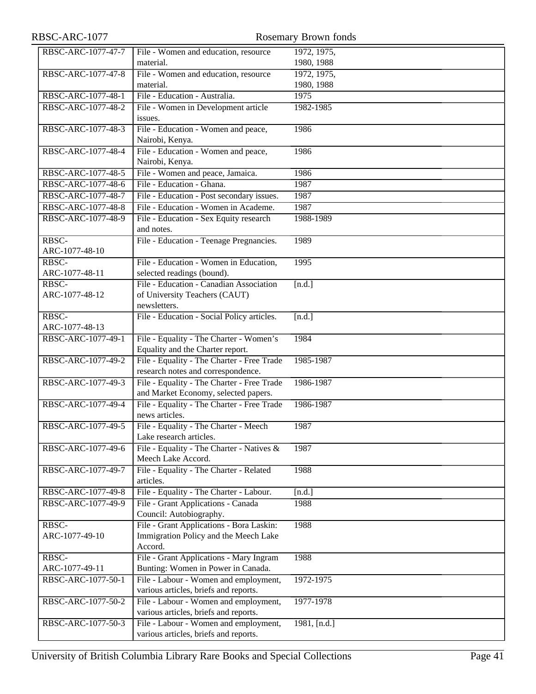| RBSC-ARC-1077                        |                                                                                    | Rosemary Brown fonds |
|--------------------------------------|------------------------------------------------------------------------------------|----------------------|
| RBSC-ARC-1077-47-7                   | File - Women and education, resource                                               | 1972, 1975,          |
|                                      | material.                                                                          | 1980, 1988           |
| RBSC-ARC-1077-47-8                   | File - Women and education, resource                                               | 1972, 1975,          |
|                                      | material.                                                                          | 1980, 1988           |
| RBSC-ARC-1077-48-1                   | File - Education - Australia.                                                      | 1975                 |
| RBSC-ARC-1077-48-2                   | File - Women in Development article                                                | 1982-1985            |
|                                      | issues.                                                                            |                      |
| RBSC-ARC-1077-48-3                   | File - Education - Women and peace,                                                | 1986                 |
|                                      | Nairobi, Kenya.                                                                    |                      |
| RBSC-ARC-1077-48-4                   | File - Education - Women and peace,                                                | 1986                 |
|                                      | Nairobi, Kenya.                                                                    |                      |
| RBSC-ARC-1077-48-5                   | File - Women and peace, Jamaica.                                                   | 1986                 |
| RBSC-ARC-1077-48-6                   | File - Education - Ghana.                                                          | 1987                 |
| RBSC-ARC-1077-48-7                   | File - Education - Post secondary issues.<br>File - Education - Women in Academe.  | 1987                 |
| RBSC-ARC-1077-48-8                   |                                                                                    | 1987<br>1988-1989    |
| RBSC-ARC-1077-48-9                   | File - Education - Sex Equity research<br>and notes.                               |                      |
| RBSC-                                | File - Education - Teenage Pregnancies.                                            | 1989                 |
| ARC-1077-48-10                       |                                                                                    |                      |
| RBSC-                                | File - Education - Women in Education,                                             | 1995                 |
| ARC-1077-48-11                       | selected readings (bound).                                                         |                      |
| RBSC-                                | File - Education - Canadian Association                                            | [n.d.]               |
| ARC-1077-48-12                       | of University Teachers (CAUT)                                                      |                      |
|                                      | newsletters.                                                                       |                      |
| RBSC-                                | File - Education - Social Policy articles.                                         | [n.d.]               |
| ARC-1077-48-13                       |                                                                                    |                      |
| RBSC-ARC-1077-49-1                   | File - Equality - The Charter - Women's                                            | 1984                 |
|                                      | Equality and the Charter report.                                                   |                      |
| RBSC-ARC-1077-49-2                   | File - Equality - The Charter - Free Trade                                         | 1985-1987            |
|                                      | research notes and correspondence.                                                 |                      |
| RBSC-ARC-1077-49-3                   | File - Equality - The Charter - Free Trade                                         | 1986-1987            |
| RBSC-ARC-1077-49-4                   | and Market Economy, selected papers.<br>File - Equality - The Charter - Free Trade | 1986-1987            |
|                                      | news articles.                                                                     |                      |
| RBSC-ARC-1077-49-5                   | File - Equality - The Charter - Meech                                              | 1987                 |
|                                      | Lake research articles.                                                            |                      |
| RBSC-ARC-1077-49-6                   | File - Equality - The Charter - Natives &                                          | 1987                 |
|                                      | Meech Lake Accord.                                                                 |                      |
| RBSC-ARC-1077-49-7                   | File - Equality - The Charter - Related                                            | 1988                 |
|                                      | articles.                                                                          |                      |
| RBSC-ARC-1077-49-8                   | File - Equality - The Charter - Labour.                                            | [n.d.]               |
| RBSC-ARC-1077-49-9                   | File - Grant Applications - Canada                                                 | 1988                 |
|                                      | Council: Autobiography.                                                            |                      |
| $R\overline{B}$ <sub>SC</sub> $-$    | File - Grant Applications - Bora Laskin:                                           | 1988                 |
| ARC-1077-49-10                       | Immigration Policy and the Meech Lake                                              |                      |
|                                      | Accord.                                                                            |                      |
| RBSC-                                | File - Grant Applications - Mary Ingram                                            | 1988                 |
| ARC-1077-49-11<br>RBSC-ARC-1077-50-1 | Bunting: Women in Power in Canada.<br>File - Labour - Women and employment,        | 1972-1975            |
|                                      | various articles, briefs and reports.                                              |                      |
| RBSC-ARC-1077-50-2                   | File - Labour - Women and employment,                                              | 1977-1978            |
|                                      | various articles, briefs and reports.                                              |                      |
| RBSC-ARC-1077-50-3                   | File - Labour - Women and employment,                                              | 1981, [n.d.]         |
|                                      | various articles, briefs and reports.                                              |                      |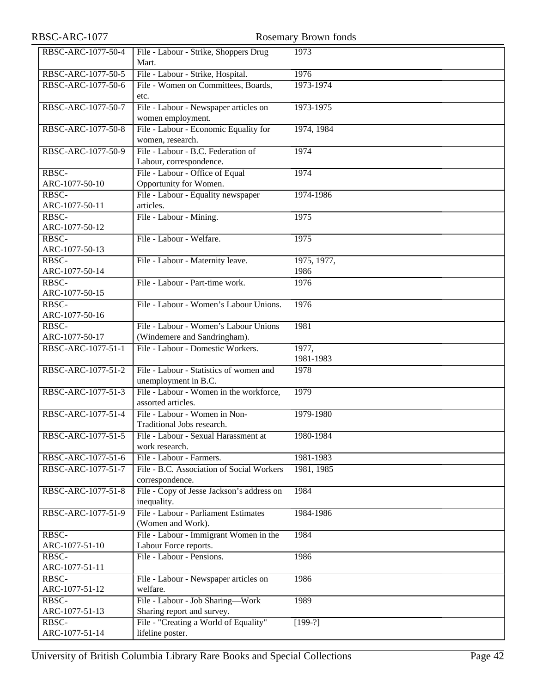| RBSC-ARC-1077           | Rosemary Brown fonds                                            |                    |  |
|-------------------------|-----------------------------------------------------------------|--------------------|--|
| RBSC-ARC-1077-50-4      | File - Labour - Strike, Shoppers Drug<br>Mart.                  | 1973               |  |
| RBSC-ARC-1077-50-5      | File - Labour - Strike, Hospital.                               | 1976               |  |
| RBSC-ARC-1077-50-6      | File - Women on Committees, Boards,<br>etc.                     | 1973-1974          |  |
| RBSC-ARC-1077-50-7      | File - Labour - Newspaper articles on<br>women employment.      | 1973-1975          |  |
| RBSC-ARC-1077-50-8      | File - Labour - Economic Equality for<br>women, research.       | 1974, 1984         |  |
| RBSC-ARC-1077-50-9      | File - Labour - B.C. Federation of<br>Labour, correspondence.   | 1974               |  |
| RBSC-                   | File - Labour - Office of Equal                                 | 1974               |  |
| ARC-1077-50-10          | Opportunity for Women.                                          |                    |  |
| RBSC-<br>ARC-1077-50-11 | File - Labour - Equality newspaper<br>articles.                 | 1974-1986          |  |
| RBSC-<br>ARC-1077-50-12 | File - Labour - Mining.                                         | 1975               |  |
| RBSC-<br>ARC-1077-50-13 | File - Labour - Welfare.                                        | 1975               |  |
| RBSC-                   | File - Labour - Maternity leave.                                | 1975, 1977,        |  |
| ARC-1077-50-14          |                                                                 | 1986               |  |
| RBSC-                   | File - Labour - Part-time work.                                 | 1976               |  |
| ARC-1077-50-15          |                                                                 |                    |  |
| RBSC-                   | File - Labour - Women's Labour Unions.                          | 1976               |  |
| ARC-1077-50-16<br>RBSC- | File - Labour - Women's Labour Unions                           | 1981               |  |
| ARC-1077-50-17          | (Windemere and Sandringham).                                    |                    |  |
| RBSC-ARC-1077-51-1      | File - Labour - Domestic Workers.                               | 1977,<br>1981-1983 |  |
| RBSC-ARC-1077-51-2      | File - Labour - Statistics of women and<br>unemployment in B.C. | 1978               |  |
| RBSC-ARC-1077-51-3      | File - Labour - Women in the workforce,<br>assorted articles.   | 1979               |  |
| RBSC-ARC-1077-51-4      | File - Labour - Women in Non-<br>Traditional Jobs research.     | 1979-1980          |  |
| RBSC-ARC-1077-51-5      | File - Labour - Sexual Harassment at<br>work research.          | 1980-1984          |  |
| RBSC-ARC-1077-51-6      | File - Labour - Farmers.                                        | 1981-1983          |  |
| RBSC-ARC-1077-51-7      | File - B.C. Association of Social Workers<br>correspondence.    | 1981, 1985         |  |
| RBSC-ARC-1077-51-8      | File - Copy of Jesse Jackson's address on<br>inequality.        | 1984               |  |
| RBSC-ARC-1077-51-9      | File - Labour - Parliament Estimates<br>(Women and Work).       | 1984-1986          |  |
| RBSC-                   | File - Labour - Immigrant Women in the                          | 1984               |  |
| ARC-1077-51-10          | Labour Force reports.                                           |                    |  |
| RBSC-<br>ARC-1077-51-11 | File - Labour - Pensions.                                       | 1986               |  |
| RBSC-<br>ARC-1077-51-12 | File - Labour - Newspaper articles on<br>welfare.               | 1986               |  |
| RBSC-<br>ARC-1077-51-13 | File - Labour - Job Sharing-Work<br>Sharing report and survey.  | 1989               |  |
| RBSC-<br>ARC-1077-51-14 | File - "Creating a World of Equality"<br>lifeline poster.       | $[199-?]$          |  |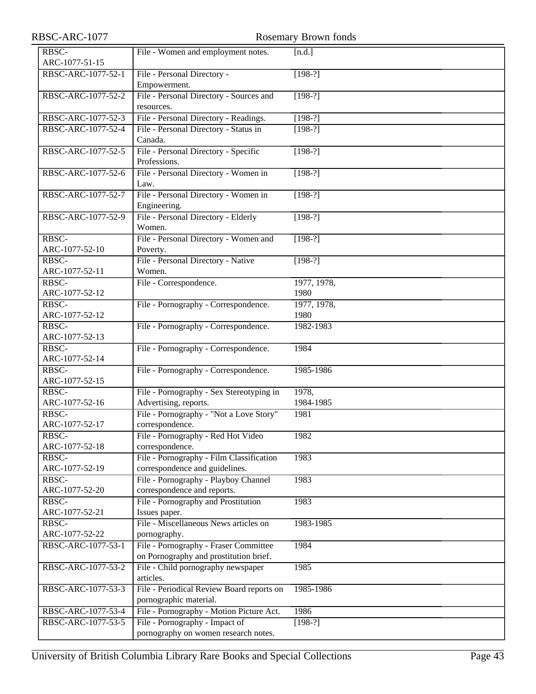| RBSC-ARC-1077           | Rosemary Brown fonds                                                            |                    |  |  |  |
|-------------------------|---------------------------------------------------------------------------------|--------------------|--|--|--|
| RBSC-<br>ARC-1077-51-15 | [n.d.]<br>File - Women and employment notes.                                    |                    |  |  |  |
| RBSC-ARC-1077-52-1      | File - Personal Directory -<br>Empowerment.                                     | $[198-?]$          |  |  |  |
| RBSC-ARC-1077-52-2      | File - Personal Directory - Sources and<br>resources.                           | $[198-?]$          |  |  |  |
| RBSC-ARC-1077-52-3      | File - Personal Directory - Readings.                                           | $[198-?]$          |  |  |  |
| RBSC-ARC-1077-52-4      | File - Personal Directory - Status in<br>Canada.                                | $[198-?]$          |  |  |  |
| RBSC-ARC-1077-52-5      | File - Personal Directory - Specific<br>Professions.                            | $[198-?]$          |  |  |  |
| RBSC-ARC-1077-52-6      | File - Personal Directory - Women in<br>Law.                                    | $[198-?]$          |  |  |  |
| RBSC-ARC-1077-52-7      | File - Personal Directory - Women in<br>Engineering.                            | $[198-?]$          |  |  |  |
| RBSC-ARC-1077-52-9      | File - Personal Directory - Elderly<br>Women.                                   | $[198-?]$          |  |  |  |
| RBSC-<br>ARC-1077-52-10 | File - Personal Directory - Women and<br>Poverty.                               | $[198-?]$          |  |  |  |
| RBSC-<br>ARC-1077-52-11 | File - Personal Directory - Native<br>Women.                                    | $[198-?]$          |  |  |  |
| RBSC-                   | File - Correspondence.                                                          | 1977, 1978,        |  |  |  |
| ARC-1077-52-12          |                                                                                 | 1980               |  |  |  |
| RBSC-                   | File - Pornography - Correspondence.                                            | 1977, 1978,        |  |  |  |
| ARC-1077-52-12          |                                                                                 | 1980               |  |  |  |
| RBSC-<br>ARC-1077-52-13 | File - Pornography - Correspondence.                                            | 1982-1983          |  |  |  |
| RBSC-<br>ARC-1077-52-14 | File - Pornography - Correspondence.                                            | 1984               |  |  |  |
| RBSC-<br>ARC-1077-52-15 | File - Pornography - Correspondence.                                            | 1985-1986          |  |  |  |
| RBSC-<br>ARC-1077-52-16 | File - Pornography - Sex Stereotyping in<br>Advertising, reports.               | 1978,<br>1984-1985 |  |  |  |
| RBSC-<br>ARC-1077-52-17 | File - Pornography - "Not a Love Story"<br>correspondence.                      | 1981               |  |  |  |
| RBSC-<br>ARC-1077-52-18 | File - Pornography - Red Hot Video<br>correspondence.                           | 1982               |  |  |  |
| RBSC-<br>ARC-1077-52-19 | File - Pornography - Film Classification<br>correspondence and guidelines.      | 1983               |  |  |  |
| RBSC-                   | File - Pornography - Playboy Channel                                            | 1983               |  |  |  |
| ARC-1077-52-20          | correspondence and reports.                                                     |                    |  |  |  |
| RBSC-<br>ARC-1077-52-21 | File - Pornography and Prostitution<br>Issues paper.                            | 1983               |  |  |  |
| RBSC-<br>ARC-1077-52-22 | File - Miscellaneous News articles on<br>pornography.                           | 1983-1985          |  |  |  |
| RBSC-ARC-1077-53-1      | File - Pornography - Fraser Committee<br>on Pornography and prostitution brief. | 1984               |  |  |  |
| RBSC-ARC-1077-53-2      | File - Child pornography newspaper<br>articles.                                 | 1985               |  |  |  |
| RBSC-ARC-1077-53-3      | File - Periodical Review Board reports on<br>pornographic material.             | 1985-1986          |  |  |  |
| RBSC-ARC-1077-53-4      | File - Pornography - Motion Picture Act.                                        | 1986               |  |  |  |
| RBSC-ARC-1077-53-5      | File - Pornography - Impact of<br>pornography on women research notes.          | $[198-?]$          |  |  |  |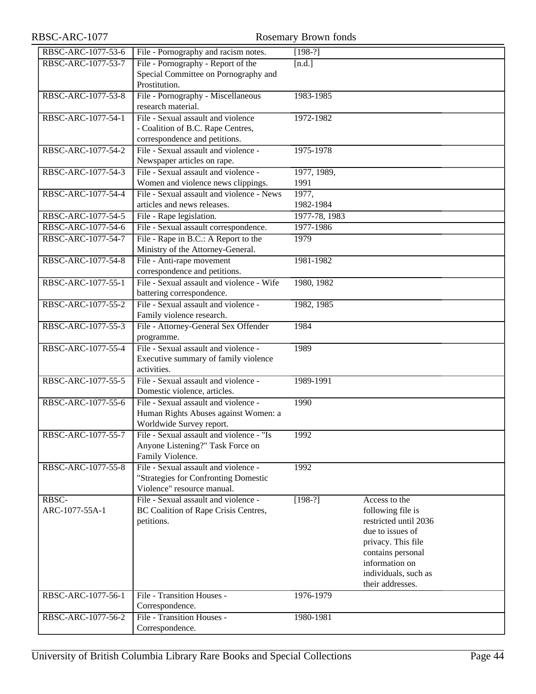## RBSC-ARC-1077 Rosemary Brown fonds

| RBSC-ARC-1077-53-6 | File - Pornography and racism notes.                | $[198-?]$     |                       |
|--------------------|-----------------------------------------------------|---------------|-----------------------|
| RBSC-ARC-1077-53-7 | File - Pornography - Report of the                  | [n.d.]        |                       |
|                    | Special Committee on Pornography and                |               |                       |
|                    | Prostitution.                                       |               |                       |
| RBSC-ARC-1077-53-8 | File - Pornography - Miscellaneous                  | 1983-1985     |                       |
|                    | research material.                                  |               |                       |
| RBSC-ARC-1077-54-1 | File - Sexual assault and violence                  | 1972-1982     |                       |
|                    | - Coalition of B.C. Rape Centres,                   |               |                       |
|                    | correspondence and petitions.                       |               |                       |
| RBSC-ARC-1077-54-2 | File - Sexual assault and violence -                | 1975-1978     |                       |
|                    | Newspaper articles on rape.                         |               |                       |
| RBSC-ARC-1077-54-3 | File - Sexual assault and violence -                | 1977, 1989,   |                       |
|                    | Women and violence news clippings.                  | 1991          |                       |
| RBSC-ARC-1077-54-4 | File - Sexual assault and violence - News           | 1977,         |                       |
|                    | articles and news releases.                         | 1982-1984     |                       |
| RBSC-ARC-1077-54-5 | File - Rape legislation.                            | 1977-78, 1983 |                       |
| RBSC-ARC-1077-54-6 | File - Sexual assault correspondence.               | 1977-1986     |                       |
| RBSC-ARC-1077-54-7 | File - Rape in B.C.: A Report to the                | 1979          |                       |
|                    | Ministry of the Attorney-General.                   |               |                       |
| RBSC-ARC-1077-54-8 | File - Anti-rape movement                           | 1981-1982     |                       |
|                    | correspondence and petitions.                       |               |                       |
| RBSC-ARC-1077-55-1 | File - Sexual assault and violence - Wife           | 1980, 1982    |                       |
|                    | battering correspondence.                           |               |                       |
| RBSC-ARC-1077-55-2 | File - Sexual assault and violence -                | 1982, 1985    |                       |
|                    | Family violence research.                           |               |                       |
| RBSC-ARC-1077-55-3 | File - Attorney-General Sex Offender                | 1984          |                       |
|                    | programme.                                          |               |                       |
| RBSC-ARC-1077-55-4 | File - Sexual assault and violence -                | 1989          |                       |
|                    | Executive summary of family violence<br>activities. |               |                       |
| RBSC-ARC-1077-55-5 | File - Sexual assault and violence -                | 1989-1991     |                       |
|                    | Domestic violence, articles.                        |               |                       |
| RBSC-ARC-1077-55-6 | File - Sexual assault and violence -                | 1990          |                       |
|                    | Human Rights Abuses against Women: a                |               |                       |
|                    | Worldwide Survey report.                            |               |                       |
| RBSC-ARC-1077-55-7 | File - Sexual assault and violence - "Is            | 1992          |                       |
|                    | Anyone Listening?" Task Force on                    |               |                       |
|                    | Family Violence.                                    |               |                       |
| RBSC-ARC-1077-55-8 | File - Sexual assault and violence -                | 1992          |                       |
|                    | "Strategies for Confronting Domestic                |               |                       |
|                    | Violence" resource manual.                          |               |                       |
| RBSC-              | File - Sexual assault and violence -                | $[198-?]$     | Access to the         |
| ARC-1077-55A-1     | BC Coalition of Rape Crisis Centres,                |               | following file is     |
|                    | petitions.                                          |               | restricted until 2036 |
|                    |                                                     |               | due to issues of      |
|                    |                                                     |               | privacy. This file    |
|                    |                                                     |               | contains personal     |
|                    |                                                     |               | information on        |
|                    |                                                     |               | individuals, such as  |
|                    |                                                     |               | their addresses.      |
| RBSC-ARC-1077-56-1 | File - Transition Houses -                          | 1976-1979     |                       |
|                    | Correspondence.                                     |               |                       |
| RBSC-ARC-1077-56-2 | File - Transition Houses -                          | 1980-1981     |                       |
|                    | Correspondence.                                     |               |                       |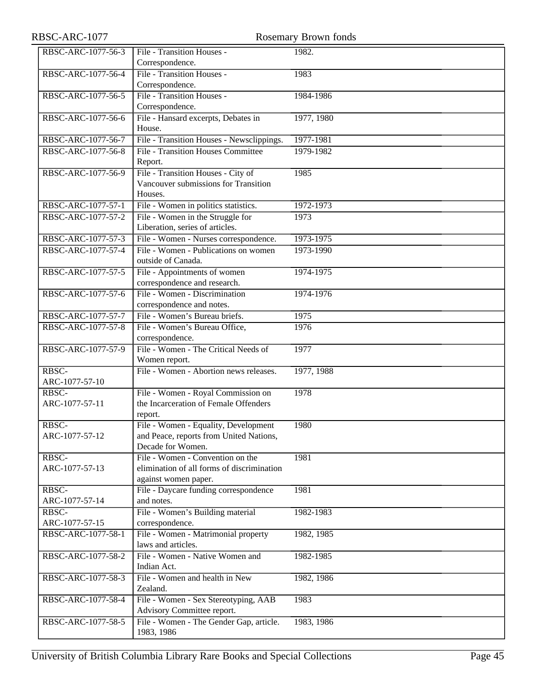| RBSC-ARC-1077           | Rosemary Brown fonds                                                                                   |            |  |
|-------------------------|--------------------------------------------------------------------------------------------------------|------------|--|
| RBSC-ARC-1077-56-3      | File - Transition Houses -<br>Correspondence.                                                          | 1982.      |  |
| RBSC-ARC-1077-56-4      | File - Transition Houses -<br>Correspondence.                                                          | 1983       |  |
| RBSC-ARC-1077-56-5      | File - Transition Houses -<br>Correspondence.                                                          | 1984-1986  |  |
| RBSC-ARC-1077-56-6      | File - Hansard excerpts, Debates in<br>House.                                                          | 1977, 1980 |  |
| RBSC-ARC-1077-56-7      | File - Transition Houses - Newsclippings.                                                              | 1977-1981  |  |
| RBSC-ARC-1077-56-8      | <b>File - Transition Houses Committee</b><br>Report.                                                   | 1979-1982  |  |
| RBSC-ARC-1077-56-9      | File - Transition Houses - City of<br>Vancouver submissions for Transition<br>Houses.                  | 1985       |  |
| RBSC-ARC-1077-57-1      | File - Women in politics statistics.                                                                   | 1972-1973  |  |
| RBSC-ARC-1077-57-2      | File - Women in the Struggle for<br>Liberation, series of articles.                                    | 1973       |  |
| RBSC-ARC-1077-57-3      | File - Women - Nurses correspondence.                                                                  | 1973-1975  |  |
| RBSC-ARC-1077-57-4      | File - Women - Publications on women<br>outside of Canada.                                             | 1973-1990  |  |
| RBSC-ARC-1077-57-5      | File - Appointments of women<br>correspondence and research.                                           | 1974-1975  |  |
| RBSC-ARC-1077-57-6      | File - Women - Discrimination<br>correspondence and notes.                                             | 1974-1976  |  |
| RBSC-ARC-1077-57-7      | File - Women's Bureau briefs.                                                                          | 1975       |  |
| RBSC-ARC-1077-57-8      | File - Women's Bureau Office,<br>correspondence.                                                       | 1976       |  |
| RBSC-ARC-1077-57-9      | File - Women - The Critical Needs of<br>Women report.                                                  | 1977       |  |
| RBSC-<br>ARC-1077-57-10 | File - Women - Abortion news releases.                                                                 | 1977, 1988 |  |
| RBSC-<br>ARC-1077-57-11 | File - Women - Royal Commission on<br>the Incarceration of Female Offenders<br>report.                 | 1978       |  |
| RBSC-<br>ARC-1077-57-12 | File - Women - Equality, Development<br>and Peace, reports from United Nations,<br>Decade for Women.   | 1980       |  |
| RBSC-<br>ARC-1077-57-13 | File - Women - Convention on the<br>elimination of all forms of discrimination<br>against women paper. | 1981       |  |
| RBSC-<br>ARC-1077-57-14 | File - Daycare funding correspondence<br>and notes.                                                    | 1981       |  |
| RBSC-<br>ARC-1077-57-15 | File - Women's Building material<br>correspondence.                                                    | 1982-1983  |  |
| RBSC-ARC-1077-58-1      | File - Women - Matrimonial property<br>laws and articles.                                              | 1982, 1985 |  |
| RBSC-ARC-1077-58-2      | File - Women - Native Women and<br>Indian Act.                                                         | 1982-1985  |  |
| RBSC-ARC-1077-58-3      | File - Women and health in New<br>Zealand.                                                             | 1982, 1986 |  |
| RBSC-ARC-1077-58-4      | File - Women - Sex Stereotyping, AAB<br>Advisory Committee report.                                     | 1983       |  |
| RBSC-ARC-1077-58-5      | File - Women - The Gender Gap, article.<br>1983, 1986                                                  | 1983, 1986 |  |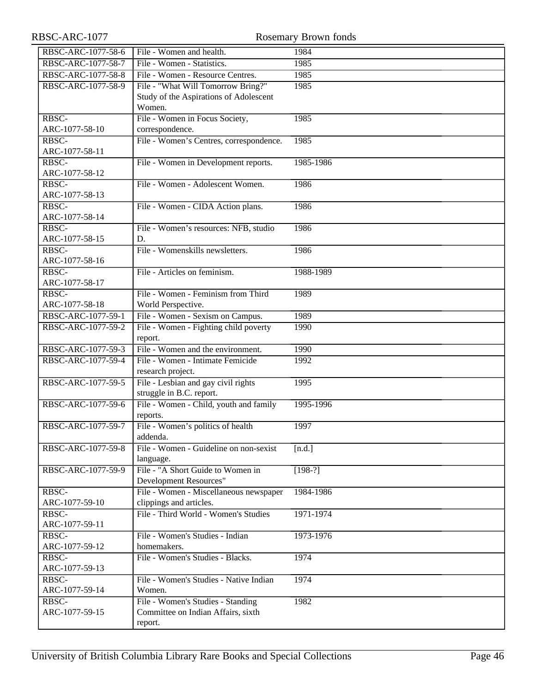| RBSC-ARC-1077           | Rosemary Brown fonds                                                                   |           |  |
|-------------------------|----------------------------------------------------------------------------------------|-----------|--|
| RBSC-ARC-1077-58-6      | File - Women and health.                                                               | 1984      |  |
| RBSC-ARC-1077-58-7      | File - Women - Statistics.                                                             | 1985      |  |
| RBSC-ARC-1077-58-8      | File - Women - Resource Centres.                                                       | 1985      |  |
| RBSC-ARC-1077-58-9      | File - "What Will Tomorrow Bring?"<br>Study of the Aspirations of Adolescent<br>Women. | 1985      |  |
| RBSC-<br>ARC-1077-58-10 | File - Women in Focus Society,<br>correspondence.                                      | 1985      |  |
| RBSC-<br>ARC-1077-58-11 | File - Women's Centres, correspondence.                                                | 1985      |  |
| RBSC-<br>ARC-1077-58-12 | File - Women in Development reports.                                                   | 1985-1986 |  |
| RBSC-<br>ARC-1077-58-13 | File - Women - Adolescent Women.                                                       | 1986      |  |
| RBSC-<br>ARC-1077-58-14 | File - Women - CIDA Action plans.                                                      | 1986      |  |
| RBSC-<br>ARC-1077-58-15 | File - Women's resources: NFB, studio<br>D.                                            | 1986      |  |
| RBSC-<br>ARC-1077-58-16 | File - Womenskills newsletters.                                                        | 1986      |  |
| RBSC-<br>ARC-1077-58-17 | File - Articles on feminism.                                                           | 1988-1989 |  |
| RBSC-<br>ARC-1077-58-18 | File - Women - Feminism from Third<br>World Perspective.                               | 1989      |  |
| RBSC-ARC-1077-59-1      | File - Women - Sexism on Campus.                                                       | 1989      |  |
| RBSC-ARC-1077-59-2      | File - Women - Fighting child poverty<br>report.                                       | 1990      |  |
| RBSC-ARC-1077-59-3      | File - Women and the environment.                                                      | 1990      |  |
| RBSC-ARC-1077-59-4      | File - Women - Intimate Femicide<br>research project.                                  | 1992      |  |
| RBSC-ARC-1077-59-5      | File - Lesbian and gay civil rights<br>struggle in B.C. report.                        | 1995      |  |
| RBSC-ARC-1077-59-6      | File - Women - Child, youth and family<br>reports.                                     | 1995-1996 |  |
| RBSC-ARC-1077-59-7      | File - Women's politics of health<br>addenda.                                          | 1997      |  |
| RBSC-ARC-1077-59-8      | File - Women - Guideline on non-sexist<br>language.                                    | [n.d.]    |  |
| RBSC-ARC-1077-59-9      | File - "A Short Guide to Women in<br><b>Development Resources"</b>                     | $[198-?]$ |  |
| RBSC-<br>ARC-1077-59-10 | File - Women - Miscellaneous newspaper<br>clippings and articles.                      | 1984-1986 |  |
| RBSC-<br>ARC-1077-59-11 | File - Third World - Women's Studies                                                   | 1971-1974 |  |
| RBSC-<br>ARC-1077-59-12 | File - Women's Studies - Indian<br>homemakers.                                         | 1973-1976 |  |
| RBSC-<br>ARC-1077-59-13 | File - Women's Studies - Blacks.                                                       | 1974      |  |
| RBSC-<br>ARC-1077-59-14 | File - Women's Studies - Native Indian<br>Women.                                       | 1974      |  |
| RBSC-<br>ARC-1077-59-15 | File - Women's Studies - Standing<br>Committee on Indian Affairs, sixth<br>report.     | 1982      |  |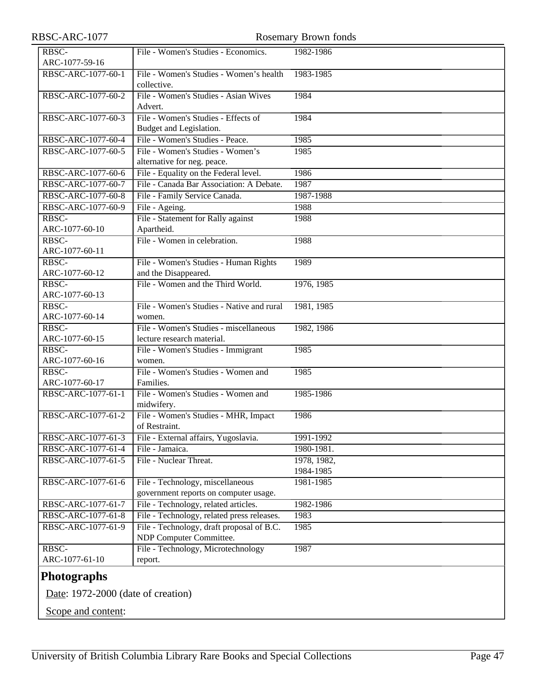| RBSC-ARC-1077                        |                                            | Rosemary Brown fonds |
|--------------------------------------|--------------------------------------------|----------------------|
| RBSC-                                | File - Women's Studies - Economics.        | 1982-1986            |
| ARC-1077-59-16                       |                                            |                      |
| RBSC-ARC-1077-60-1                   | File - Women's Studies - Women's health    | 1983-1985            |
|                                      | collective.                                |                      |
| RBSC-ARC-1077-60-2                   | File - Women's Studies - Asian Wives       | 1984                 |
|                                      | Advert.                                    |                      |
| RBSC-ARC-1077-60-3                   | File - Women's Studies - Effects of        | 1984                 |
|                                      | Budget and Legislation.                    |                      |
| RBSC-ARC-1077-60-4                   | File - Women's Studies - Peace.            | 1985                 |
| RBSC-ARC-1077-60-5                   | File - Women's Studies - Women's           | 1985                 |
|                                      | alternative for neg. peace.                |                      |
| RBSC-ARC-1077-60-6                   | File - Equality on the Federal level.      | 1986                 |
| RBSC-ARC-1077-60-7                   | File - Canada Bar Association: A Debate.   | 1987                 |
| RBSC-ARC-1077-60-8                   | File - Family Service Canada.              | 1987-1988            |
| RBSC-ARC-1077-60-9                   | File - Ageing.                             | 1988                 |
| RBSC-                                | File - Statement for Rally against         | 1988                 |
| ARC-1077-60-10                       | Apartheid.                                 |                      |
| RBSC-                                | File - Women in celebration.               | 1988                 |
| ARC-1077-60-11                       |                                            |                      |
| RBSC-                                | File - Women's Studies - Human Rights      | 1989                 |
| ARC-1077-60-12                       | and the Disappeared.                       |                      |
| RBSC-                                | File - Women and the Third World.          | 1976, 1985           |
| ARC-1077-60-13                       |                                            |                      |
| RBSC-                                | File - Women's Studies - Native and rural  | 1981, 1985           |
| ARC-1077-60-14                       | women.                                     |                      |
| RBSC-                                | File - Women's Studies - miscellaneous     | 1982, 1986           |
| ARC-1077-60-15                       | lecture research material.                 |                      |
| RBSC-                                | File - Women's Studies - Immigrant         | 1985                 |
| ARC-1077-60-16                       | women.                                     |                      |
| RBSC-                                | File - Women's Studies - Women and         | 1985                 |
| ARC-1077-60-17                       | Families.                                  |                      |
| RBSC-ARC-1077-61-1                   | File - Women's Studies - Women and         | 1985-1986            |
|                                      | midwifery.                                 |                      |
| RBSC-ARC-1077-61-2                   | File - Women's Studies - MHR, Impact       | 1986                 |
|                                      | of Restraint.                              |                      |
| RBSC-ARC-1077-61-3                   | File - External affairs, Yugoslavia.       | 1991-1992            |
| RBSC-ARC-1077-61-4                   | File - Jamaica.                            | 1980-1981.           |
| RBSC-ARC-1077-61-5                   | File - Nuclear Threat.                     | 1978, 1982,          |
|                                      |                                            | 1984-1985            |
| RBSC-ARC-1077-61-6                   | File - Technology, miscellaneous           | 1981-1985            |
|                                      | government reports on computer usage.      |                      |
| RBSC-ARC-1077-61-7                   | File - Technology, related articles.       | 1982-1986            |
| RBSC-ARC-1077-61-8                   | File - Technology, related press releases. | 1983                 |
| RBSC-ARC-1077-61-9                   | File - Technology, draft proposal of B.C.  | 1985                 |
|                                      | NDP Computer Committee.                    |                      |
| RBSC-                                | File - Technology, Microtechnology         | 1987                 |
| ARC-1077-61-10                       | report.                                    |                      |
| <b>Photographs</b>                   |                                            |                      |
|                                      |                                            |                      |
| Date: $1972-2000$ (date of creation) |                                            |                      |
|                                      |                                            |                      |

<span id="page-46-0"></span>Scope and content: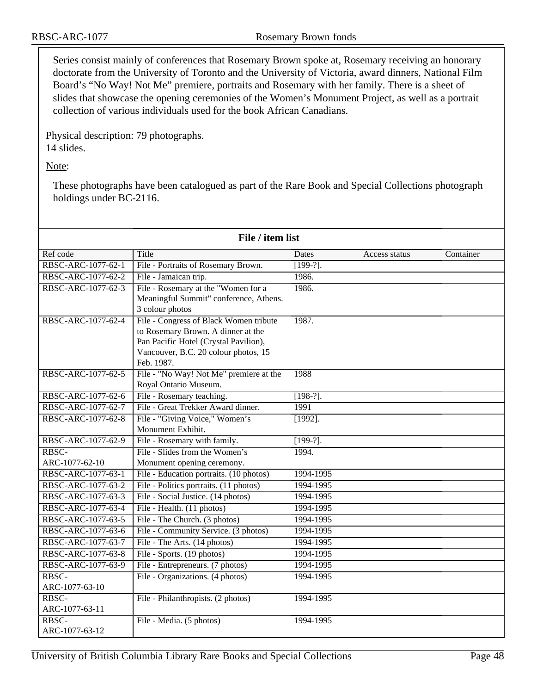Series consist mainly of conferences that Rosemary Brown spoke at, Rosemary receiving an honorary doctorate from the University of Toronto and the University of Victoria, award dinners, National Film Board's "No Way! Not Me" premiere, portraits and Rosemary with her family. There is a sheet of slides that showcase the opening ceremonies of the Women's Monument Project, as well as a portrait collection of various individuals used for the book African Canadians.

Physical description: 79 photographs. 14 slides.

Note:

These photographs have been catalogued as part of the Rare Book and Special Collections photograph holdings under BC-2116.

| File / item list   |                                         |             |               |           |
|--------------------|-----------------------------------------|-------------|---------------|-----------|
| Ref code           | Title                                   | Dates       | Access status | Container |
| RBSC-ARC-1077-62-1 | File - Portraits of Rosemary Brown.     | $[199-?].$  |               |           |
| RBSC-ARC-1077-62-2 | File - Jamaican trip.                   | 1986.       |               |           |
| RBSC-ARC-1077-62-3 | File - Rosemary at the "Women for a     | 1986.       |               |           |
|                    | Meaningful Summit" conference, Athens.  |             |               |           |
|                    | 3 colour photos                         |             |               |           |
| RBSC-ARC-1077-62-4 | File - Congress of Black Women tribute  | 1987.       |               |           |
|                    | to Rosemary Brown. A dinner at the      |             |               |           |
|                    | Pan Pacific Hotel (Crystal Pavilion),   |             |               |           |
|                    | Vancouver, B.C. 20 colour photos, 15    |             |               |           |
|                    | Feb. 1987.                              |             |               |           |
| RBSC-ARC-1077-62-5 | File - "No Way! Not Me" premiere at the | 1988        |               |           |
|                    | Royal Ontario Museum.                   |             |               |           |
| RBSC-ARC-1077-62-6 | File - Rosemary teaching.               | $[198-?]$ . |               |           |
| RBSC-ARC-1077-62-7 | File - Great Trekker Award dinner.      | 1991        |               |           |
| RBSC-ARC-1077-62-8 | File - "Giving Voice," Women's          | $[1992]$ .  |               |           |
|                    | Monument Exhibit.                       |             |               |           |
| RBSC-ARC-1077-62-9 | File - Rosemary with family.            | $[199-?].$  |               |           |
| RBSC-              | File - Slides from the Women's          | 1994.       |               |           |
| ARC-1077-62-10     | Monument opening ceremony.              |             |               |           |
| RBSC-ARC-1077-63-1 | File - Education portraits. (10 photos) | 1994-1995   |               |           |
| RBSC-ARC-1077-63-2 | File - Politics portraits. (11 photos)  | 1994-1995   |               |           |
| RBSC-ARC-1077-63-3 | File - Social Justice. (14 photos)      | 1994-1995   |               |           |
| RBSC-ARC-1077-63-4 | File - Health. (11 photos)              | 1994-1995   |               |           |
| RBSC-ARC-1077-63-5 | File - The Church. (3 photos)           | 1994-1995   |               |           |
| RBSC-ARC-1077-63-6 | File - Community Service. (3 photos)    | 1994-1995   |               |           |
| RBSC-ARC-1077-63-7 | File - The Arts. (14 photos)            | 1994-1995   |               |           |
| RBSC-ARC-1077-63-8 | File - Sports. (19 photos)              | 1994-1995   |               |           |
| RBSC-ARC-1077-63-9 | File - Entrepreneurs. (7 photos)        | 1994-1995   |               |           |
| RBSC-              | File - Organizations. (4 photos)        | 1994-1995   |               |           |
| ARC-1077-63-10     |                                         |             |               |           |
| RBSC-              | File - Philanthropists. (2 photos)      | 1994-1995   |               |           |
| ARC-1077-63-11     |                                         |             |               |           |
| RBSC-              | File - Media. (5 photos)                | 1994-1995   |               |           |
| ARC-1077-63-12     |                                         |             |               |           |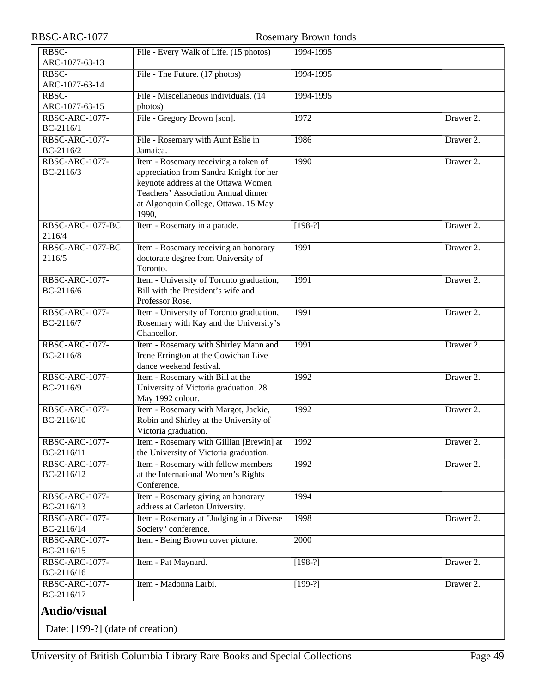<span id="page-48-0"></span>

| RBSC-ARC-1077                       |                                                                                                                                                                                                                | <b>Rosemary Brown fonds</b> |           |
|-------------------------------------|----------------------------------------------------------------------------------------------------------------------------------------------------------------------------------------------------------------|-----------------------------|-----------|
| RBSC-<br>ARC-1077-63-13             | File - Every Walk of Life. (15 photos)                                                                                                                                                                         | 1994-1995                   |           |
| RBSC-<br>ARC-1077-63-14             | File - The Future. (17 photos)                                                                                                                                                                                 | 1994-1995                   |           |
| RBSC-<br>ARC-1077-63-15             | File - Miscellaneous individuals. (14<br>photos)                                                                                                                                                               | 1994-1995                   |           |
| RBSC-ARC-1077-<br>BC-2116/1         | File - Gregory Brown [son].                                                                                                                                                                                    | 1972                        | Drawer 2. |
| RBSC-ARC-1077-<br>BC-2116/2         | File - Rosemary with Aunt Eslie in<br>Jamaica.                                                                                                                                                                 | 1986                        | Drawer 2. |
| <b>RBSC-ARC-1077-</b><br>BC-2116/3  | Item - Rosemary receiving a token of<br>appreciation from Sandra Knight for her<br>keynote address at the Ottawa Women<br>Teachers' Association Annual dinner<br>at Algonquin College, Ottawa. 15 May<br>1990, | 1990                        | Drawer 2. |
| RBSC-ARC-1077-BC<br>2116/4          | Item - Rosemary in a parade.                                                                                                                                                                                   | $[198-?]$                   | Drawer 2. |
| RBSC-ARC-1077-BC<br>2116/5          | Item - Rosemary receiving an honorary<br>doctorate degree from University of<br>Toronto.                                                                                                                       | 1991                        | Drawer 2. |
| RBSC-ARC-1077-<br>BC-2116/6         | Item - University of Toronto graduation,<br>Bill with the President's wife and<br>Professor Rose.                                                                                                              | 1991                        | Drawer 2. |
| RBSC-ARC-1077-<br>BC-2116/7         | Item - University of Toronto graduation,<br>Rosemary with Kay and the University's<br>Chancellor.                                                                                                              | 1991                        | Drawer 2. |
| RBSC-ARC-1077-<br>BC-2116/8         | Item - Rosemary with Shirley Mann and<br>Irene Errington at the Cowichan Live<br>dance weekend festival.                                                                                                       | 1991                        | Drawer 2. |
| <b>RBSC-ARC-1077-</b><br>BC-2116/9  | Item - Rosemary with Bill at the<br>University of Victoria graduation. 28<br>May 1992 colour.                                                                                                                  | 1992                        | Drawer 2. |
| RBSC-ARC-1077-<br>BC-2116/10        | Item - Rosemary with Margot, Jackie,<br>Robin and Shirley at the University of<br>Victoria graduation.                                                                                                         | 1992                        | Drawer 2. |
| RBSC-ARC-1077-<br>BC-2116/11        | Item - Rosemary with Gillian [Brewin] at<br>the University of Victoria graduation.                                                                                                                             | 1992                        | Drawer 2. |
| RBSC-ARC-1077-<br>BC-2116/12        | Item - Rosemary with fellow members<br>at the International Women's Rights<br>Conference.                                                                                                                      | 1992                        | Drawer 2. |
| RBSC-ARC-1077-<br>BC-2116/13        | Item - Rosemary giving an honorary<br>address at Carleton University.                                                                                                                                          | 1994                        |           |
| RBSC-ARC-1077-<br>BC-2116/14        | Item - Rosemary at "Judging in a Diverse<br>Society" conference.                                                                                                                                               | 1998                        | Drawer 2. |
| RBSC-ARC-1077-<br>BC-2116/15        | Item - Being Brown cover picture.                                                                                                                                                                              | 2000                        |           |
| RBSC-ARC-1077-<br>BC-2116/16        | Item - Pat Maynard.                                                                                                                                                                                            | $[198-?]$                   | Drawer 2. |
| <b>RBSC-ARC-1077-</b><br>BC-2116/17 | Item - Madonna Larbi.                                                                                                                                                                                          | $[199-?]$                   | Drawer 2. |
| <b>Audio/visual</b>                 |                                                                                                                                                                                                                |                             |           |
| Date: $[199-?]$ (date of creation)  |                                                                                                                                                                                                                |                             |           |